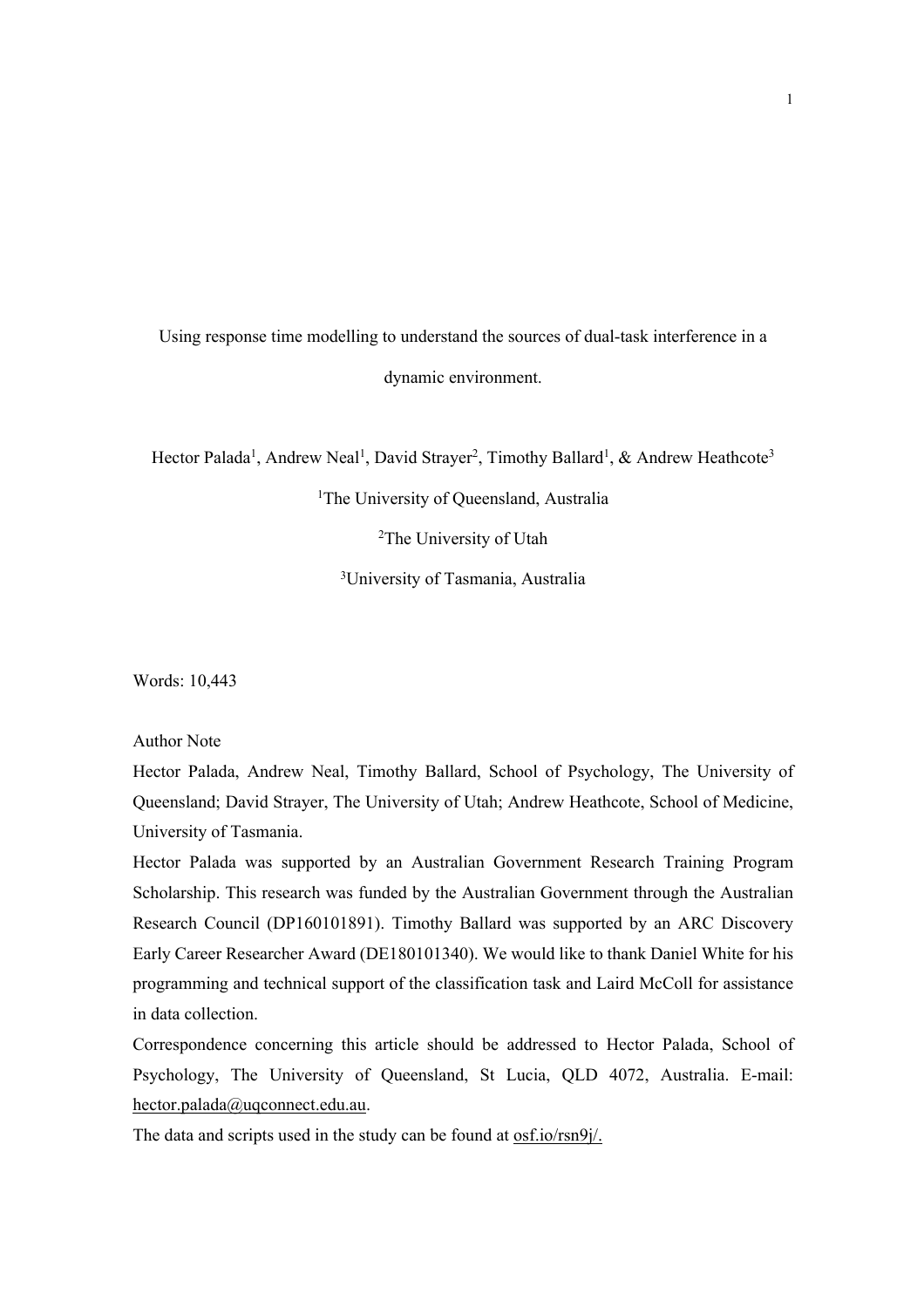# Using response time modelling to understand the sources of dual-task interference in a dynamic environment.

Hector Palada<sup>1</sup>, Andrew Neal<sup>1</sup>, David Strayer<sup>2</sup>, Timothy Ballard<sup>1</sup>, & Andrew Heathcote<sup>3</sup>

<sup>1</sup>The University of Queensland, Australia

<sup>2</sup>The University of Utah

3 University of Tasmania, Australia

Words: 10,443

Author Note

Hector Palada, Andrew Neal, Timothy Ballard, School of Psychology, The University of Queensland; David Strayer, The University of Utah; Andrew Heathcote, School of Medicine, University of Tasmania.

Hector Palada was supported by an Australian Government Research Training Program Scholarship. This research was funded by the Australian Government through the Australian Research Council (DP160101891). Timothy Ballard was supported by an ARC Discovery Early Career Researcher Award (DE180101340). We would like to thank Daniel White for his programming and technical support of the classification task and Laird McColl for assistance in data collection.

Correspondence concerning this article should be addressed to Hector Palada, School of Psychology, The University of Queensland, St Lucia, QLD 4072, Australia. E-mail: hector.palada@uqconnect.edu.au.

The data and scripts used in the study can be found at <u>osf.io/rsn9j/.</u>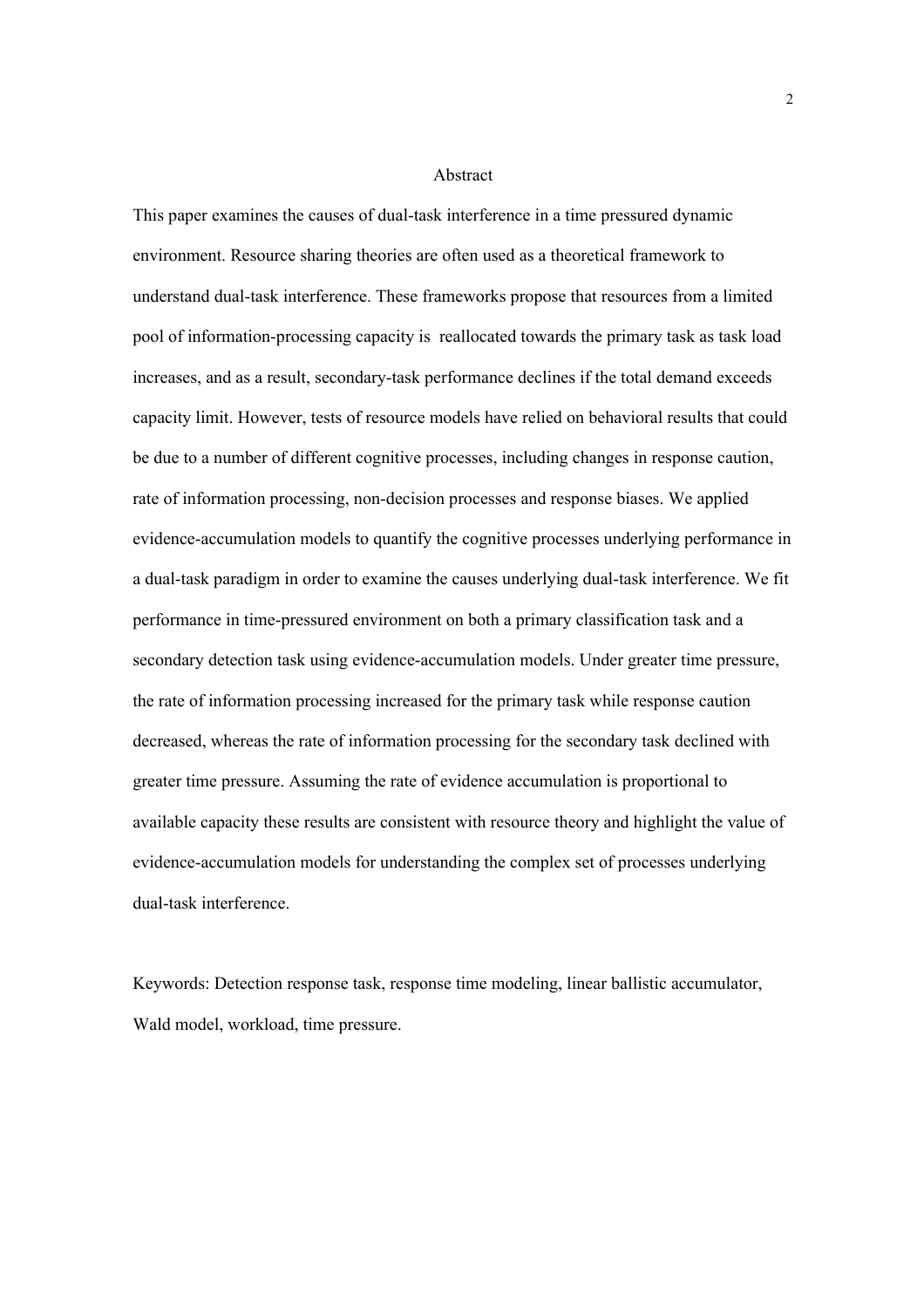#### Abstract

This paper examines the causes of dual-task interference in a time pressured dynamic environment. Resource sharing theories are often used as a theoretical framework to understand dual-task interference. These frameworks propose that resources from a limited pool of information-processing capacity is reallocated towards the primary task as task load increases, and as a result, secondary-task performance declines if the total demand exceeds capacity limit. However, tests of resource models have relied on behavioral results that could be due to a number of different cognitive processes, including changes in response caution, rate of information processing, non-decision processes and response biases. We applied evidence-accumulation models to quantify the cognitive processes underlying performance in a dual-task paradigm in order to examine the causes underlying dual-task interference. We fit performance in time-pressured environment on both a primary classification task and a secondary detection task using evidence-accumulation models. Under greater time pressure, the rate of information processing increased for the primary task while response caution decreased, whereas the rate of information processing for the secondary task declined with greater time pressure. Assuming the rate of evidence accumulation is proportional to available capacity these results are consistent with resource theory and highlight the value of evidence-accumulation models for understanding the complex set of processes underlying dual-task interference.

Keywords: Detection response task, response time modeling, linear ballistic accumulator, Wald model, workload, time pressure.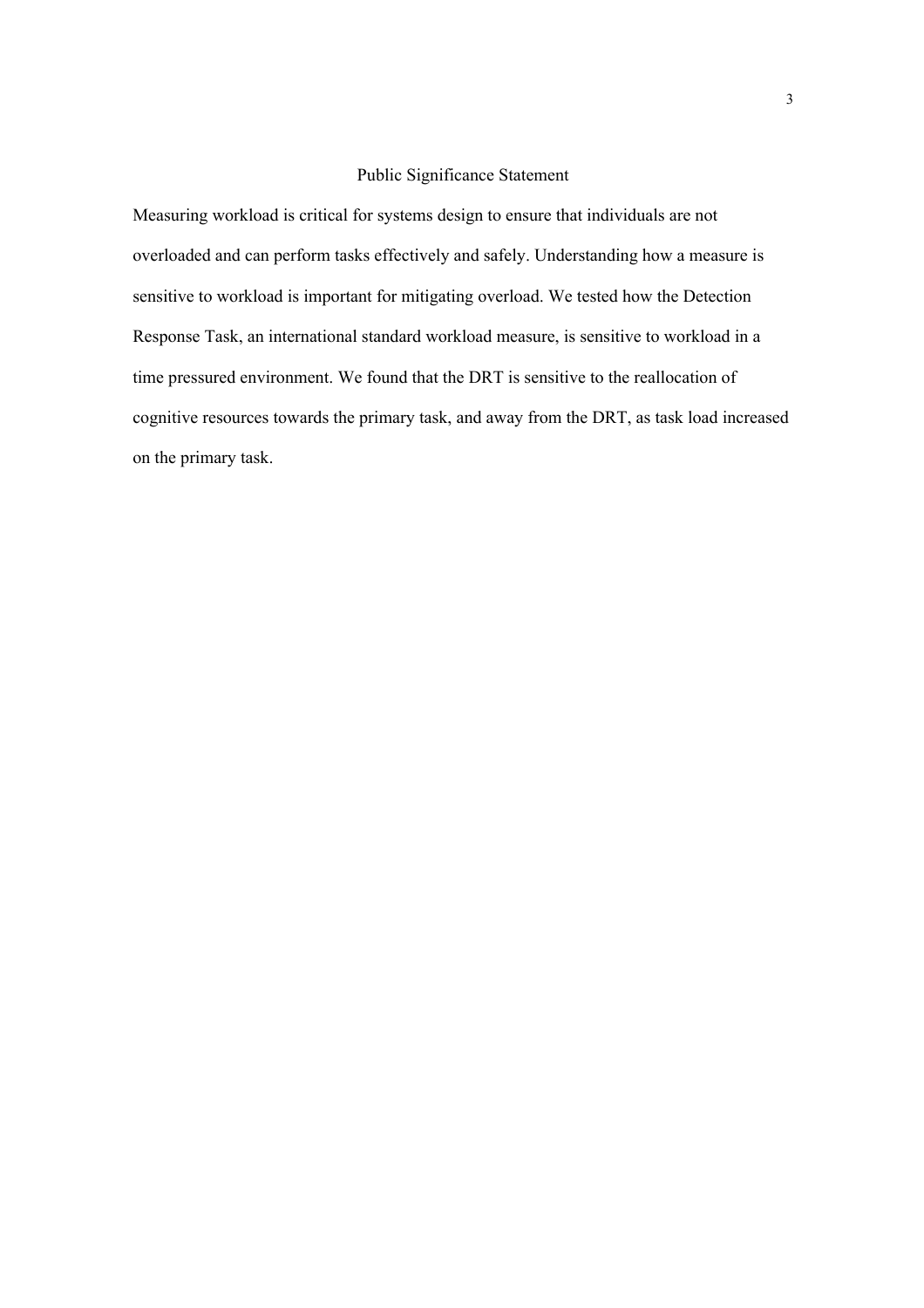# Public Significance Statement

Measuring workload is critical for systems design to ensure that individuals are not overloaded and can perform tasks effectively and safely. Understanding how a measure is sensitive to workload is important for mitigating overload. We tested how the Detection Response Task, an international standard workload measure, is sensitive to workload in a time pressured environment. We found that the DRT is sensitive to the reallocation of cognitive resources towards the primary task, and away from the DRT, as task load increased on the primary task.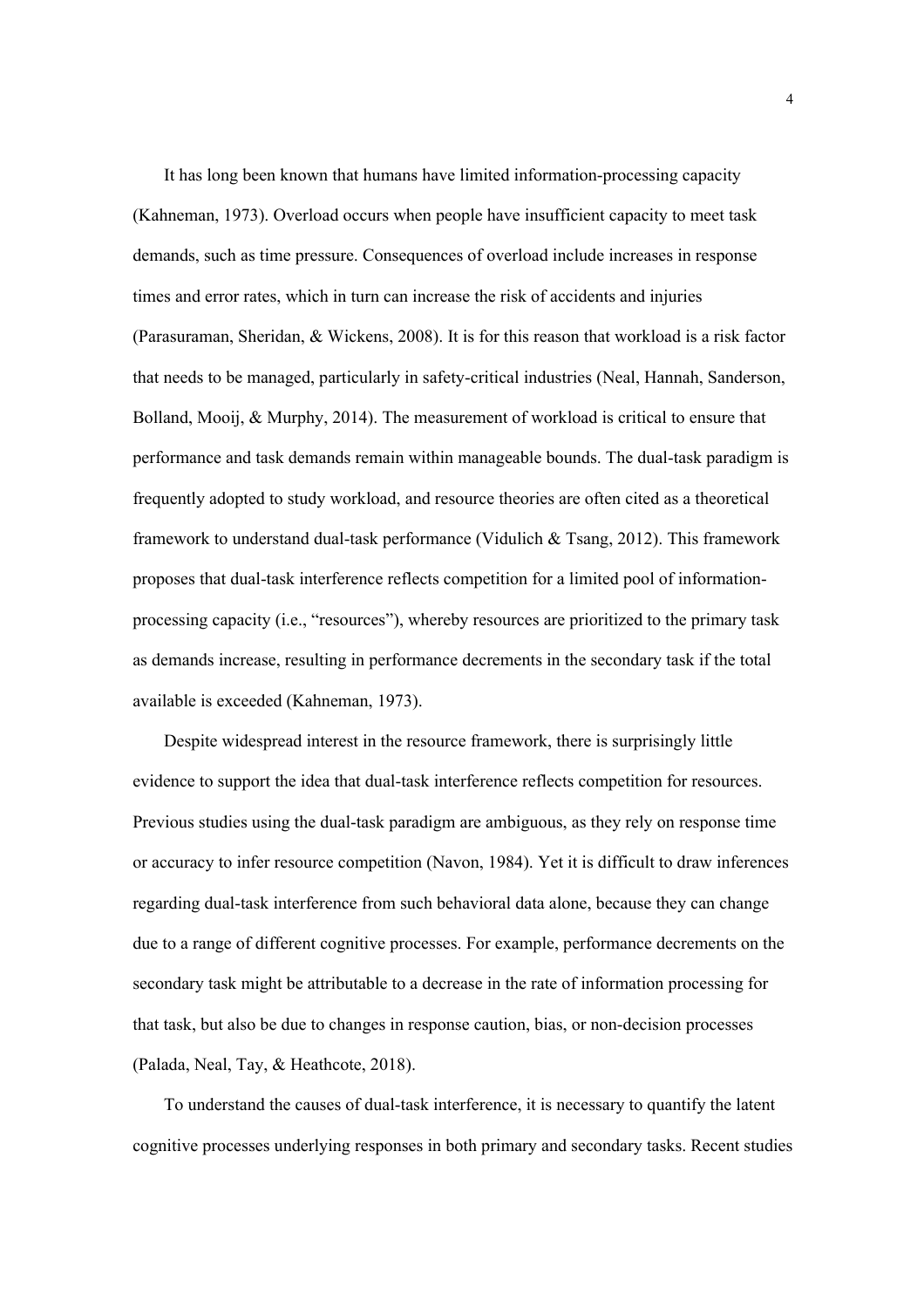It has long been known that humans have limited information-processing capacity (Kahneman, 1973). Overload occurs when people have insufficient capacity to meet task demands, such as time pressure. Consequences of overload include increases in response times and error rates, which in turn can increase the risk of accidents and injuries (Parasuraman, Sheridan, & Wickens, 2008). It is for this reason that workload is a risk factor that needs to be managed, particularly in safety-critical industries (Neal, Hannah, Sanderson, Bolland, Mooij, & Murphy, 2014). The measurement of workload is critical to ensure that performance and task demands remain within manageable bounds. The dual-task paradigm is frequently adopted to study workload, and resource theories are often cited as a theoretical framework to understand dual-task performance (Vidulich & Tsang, 2012). This framework proposes that dual-task interference reflects competition for a limited pool of informationprocessing capacity (i.e., "resources"), whereby resources are prioritized to the primary task as demands increase, resulting in performance decrements in the secondary task if the total available is exceeded (Kahneman, 1973).

Despite widespread interest in the resource framework, there is surprisingly little evidence to support the idea that dual-task interference reflects competition for resources. Previous studies using the dual-task paradigm are ambiguous, as they rely on response time or accuracy to infer resource competition (Navon, 1984). Yet it is difficult to draw inferences regarding dual-task interference from such behavioral data alone, because they can change due to a range of different cognitive processes. For example, performance decrements on the secondary task might be attributable to a decrease in the rate of information processing for that task, but also be due to changes in response caution, bias, or non-decision processes (Palada, Neal, Tay, & Heathcote, 2018).

To understand the causes of dual-task interference, it is necessary to quantify the latent cognitive processes underlying responses in both primary and secondary tasks. Recent studies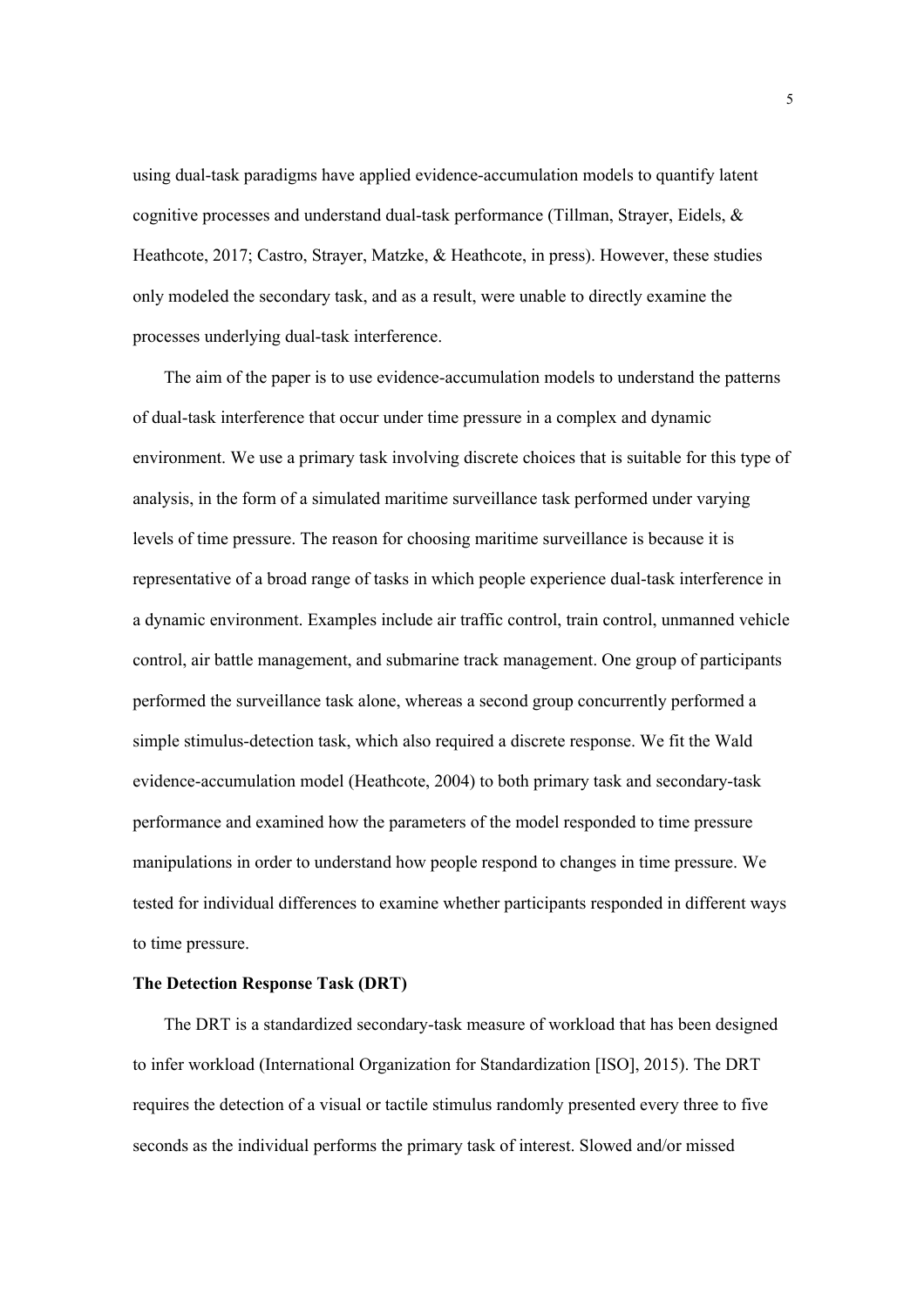using dual-task paradigms have applied evidence-accumulation models to quantify latent cognitive processes and understand dual-task performance (Tillman, Strayer, Eidels, & Heathcote, 2017; Castro, Strayer, Matzke, & Heathcote, in press). However, these studies only modeled the secondary task, and as a result, were unable to directly examine the processes underlying dual-task interference.

The aim of the paper is to use evidence-accumulation models to understand the patterns of dual-task interference that occur under time pressure in a complex and dynamic environment. We use a primary task involving discrete choices that is suitable for this type of analysis, in the form of a simulated maritime surveillance task performed under varying levels of time pressure. The reason for choosing maritime surveillance is because it is representative of a broad range of tasks in which people experience dual-task interference in a dynamic environment. Examples include air traffic control, train control, unmanned vehicle control, air battle management, and submarine track management. One group of participants performed the surveillance task alone, whereas a second group concurrently performed a simple stimulus-detection task, which also required a discrete response. We fit the Wald evidence-accumulation model (Heathcote, 2004) to both primary task and secondary-task performance and examined how the parameters of the model responded to time pressure manipulations in order to understand how people respond to changes in time pressure. We tested for individual differences to examine whether participants responded in different ways to time pressure.

## **The Detection Response Task (DRT)**

The DRT is a standardized secondary-task measure of workload that has been designed to infer workload (International Organization for Standardization [ISO], 2015). The DRT requires the detection of a visual or tactile stimulus randomly presented every three to five seconds as the individual performs the primary task of interest. Slowed and/or missed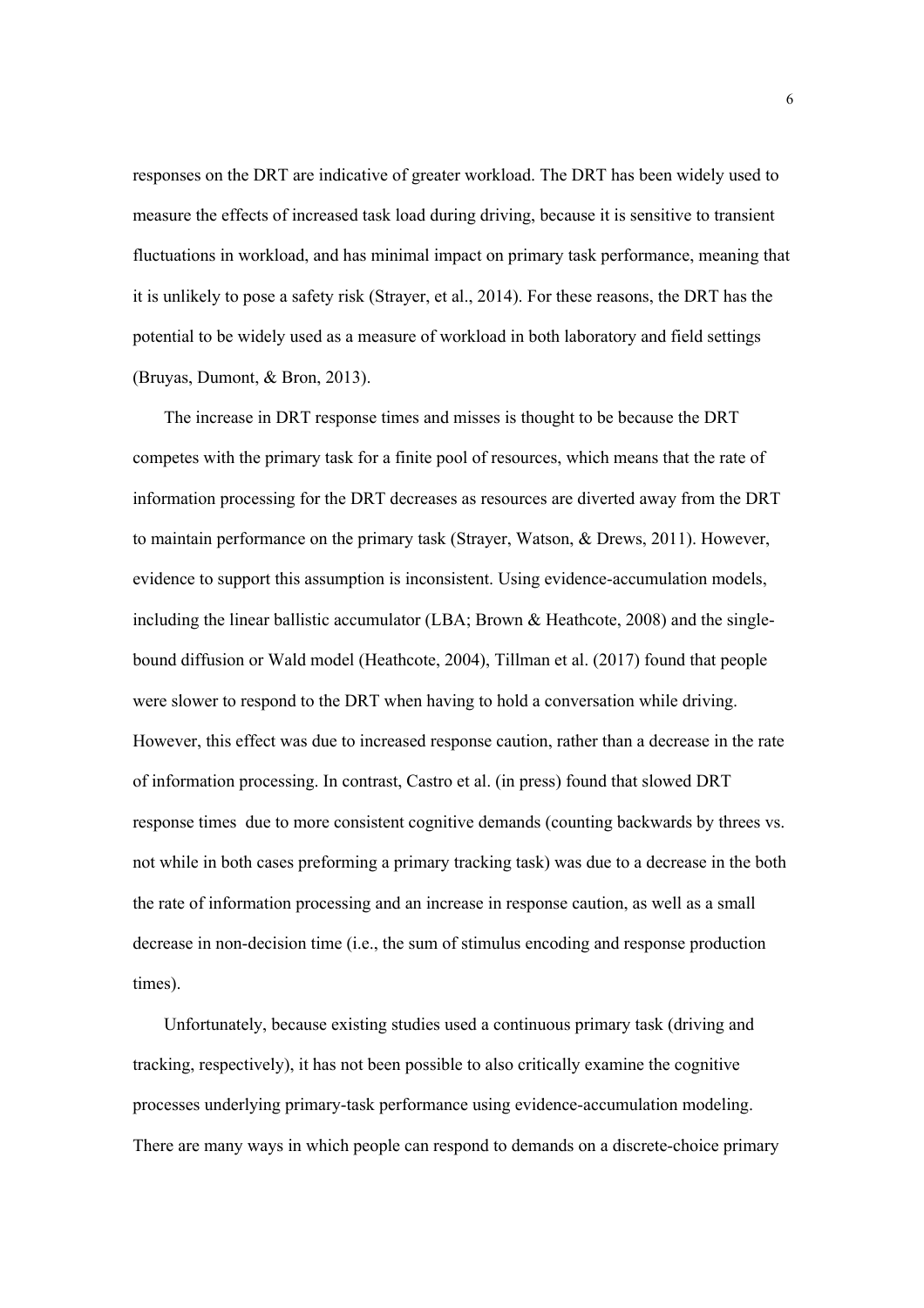responses on the DRT are indicative of greater workload. The DRT has been widely used to measure the effects of increased task load during driving, because it is sensitive to transient fluctuations in workload, and has minimal impact on primary task performance, meaning that it is unlikely to pose a safety risk (Strayer, et al., 2014). For these reasons, the DRT has the potential to be widely used as a measure of workload in both laboratory and field settings (Bruyas, Dumont, & Bron, 2013).

The increase in DRT response times and misses is thought to be because the DRT competes with the primary task for a finite pool of resources, which means that the rate of information processing for the DRT decreases as resources are diverted away from the DRT to maintain performance on the primary task (Strayer, Watson, & Drews, 2011). However, evidence to support this assumption is inconsistent. Using evidence-accumulation models, including the linear ballistic accumulator (LBA; Brown & Heathcote, 2008) and the singlebound diffusion or Wald model (Heathcote, 2004), Tillman et al. (2017) found that people were slower to respond to the DRT when having to hold a conversation while driving. However, this effect was due to increased response caution, rather than a decrease in the rate of information processing. In contrast, Castro et al. (in press) found that slowed DRT response times due to more consistent cognitive demands (counting backwards by threes vs. not while in both cases preforming a primary tracking task) was due to a decrease in the both the rate of information processing and an increase in response caution, as well as a small decrease in non-decision time (i.e., the sum of stimulus encoding and response production times).

Unfortunately, because existing studies used a continuous primary task (driving and tracking, respectively), it has not been possible to also critically examine the cognitive processes underlying primary-task performance using evidence-accumulation modeling. There are many ways in which people can respond to demands on a discrete-choice primary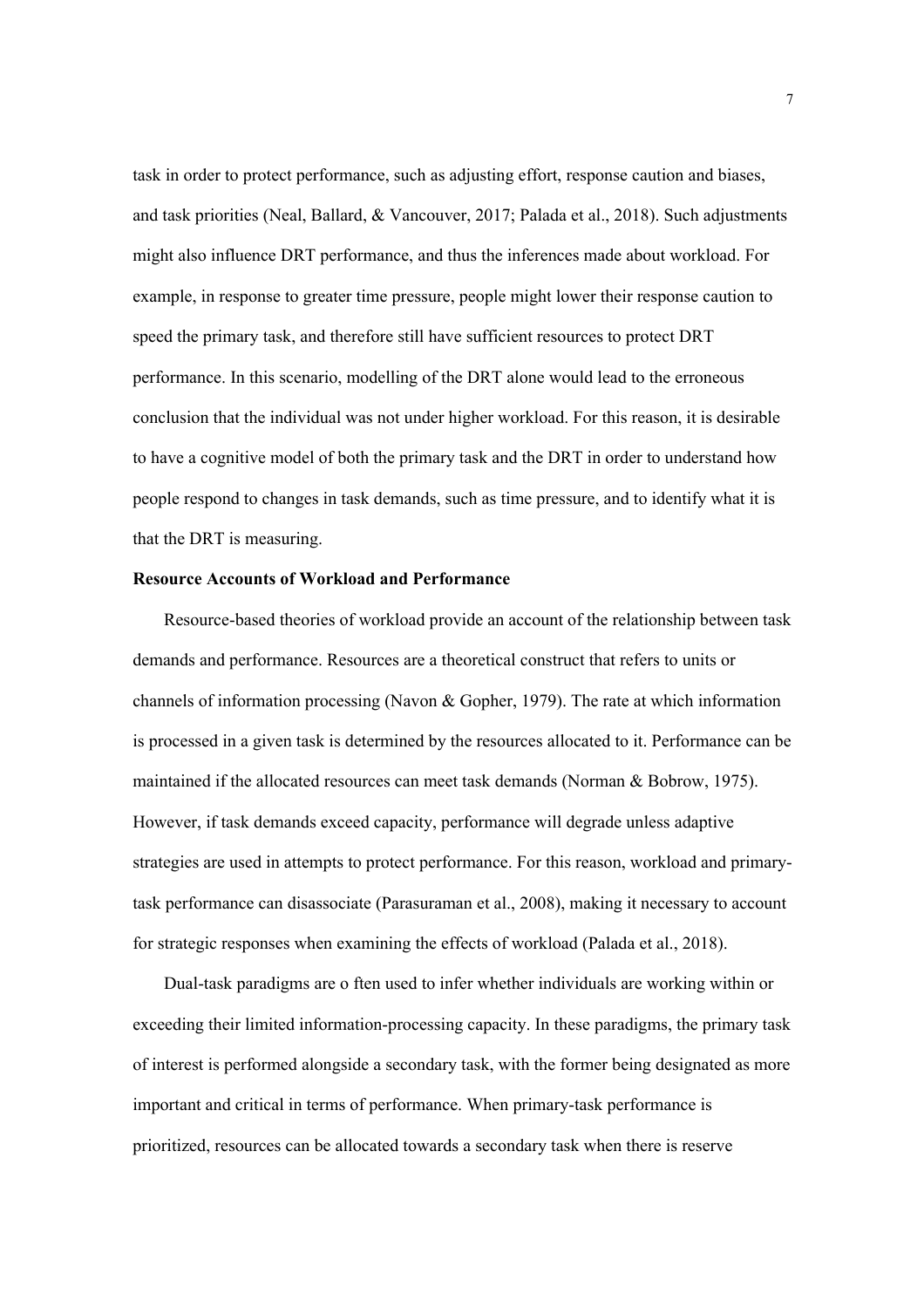task in order to protect performance, such as adjusting effort, response caution and biases, and task priorities (Neal, Ballard, & Vancouver, 2017; Palada et al., 2018). Such adjustments might also influence DRT performance, and thus the inferences made about workload. For example, in response to greater time pressure, people might lower their response caution to speed the primary task, and therefore still have sufficient resources to protect DRT performance. In this scenario, modelling of the DRT alone would lead to the erroneous conclusion that the individual was not under higher workload. For this reason, it is desirable to have a cognitive model of both the primary task and the DRT in order to understand how people respond to changes in task demands, such as time pressure, and to identify what it is that the DRT is measuring.

# **Resource Accounts of Workload and Performance**

Resource-based theories of workload provide an account of the relationship between task demands and performance. Resources are a theoretical construct that refers to units or channels of information processing (Navon & Gopher, 1979). The rate at which information is processed in a given task is determined by the resources allocated to it. Performance can be maintained if the allocated resources can meet task demands (Norman & Bobrow, 1975). However, if task demands exceed capacity, performance will degrade unless adaptive strategies are used in attempts to protect performance. For this reason, workload and primarytask performance can disassociate (Parasuraman et al., 2008), making it necessary to account for strategic responses when examining the effects of workload (Palada et al., 2018).

Dual-task paradigms are o ften used to infer whether individuals are working within or exceeding their limited information-processing capacity. In these paradigms, the primary task of interest is performed alongside a secondary task, with the former being designated as more important and critical in terms of performance. When primary-task performance is prioritized, resources can be allocated towards a secondary task when there is reserve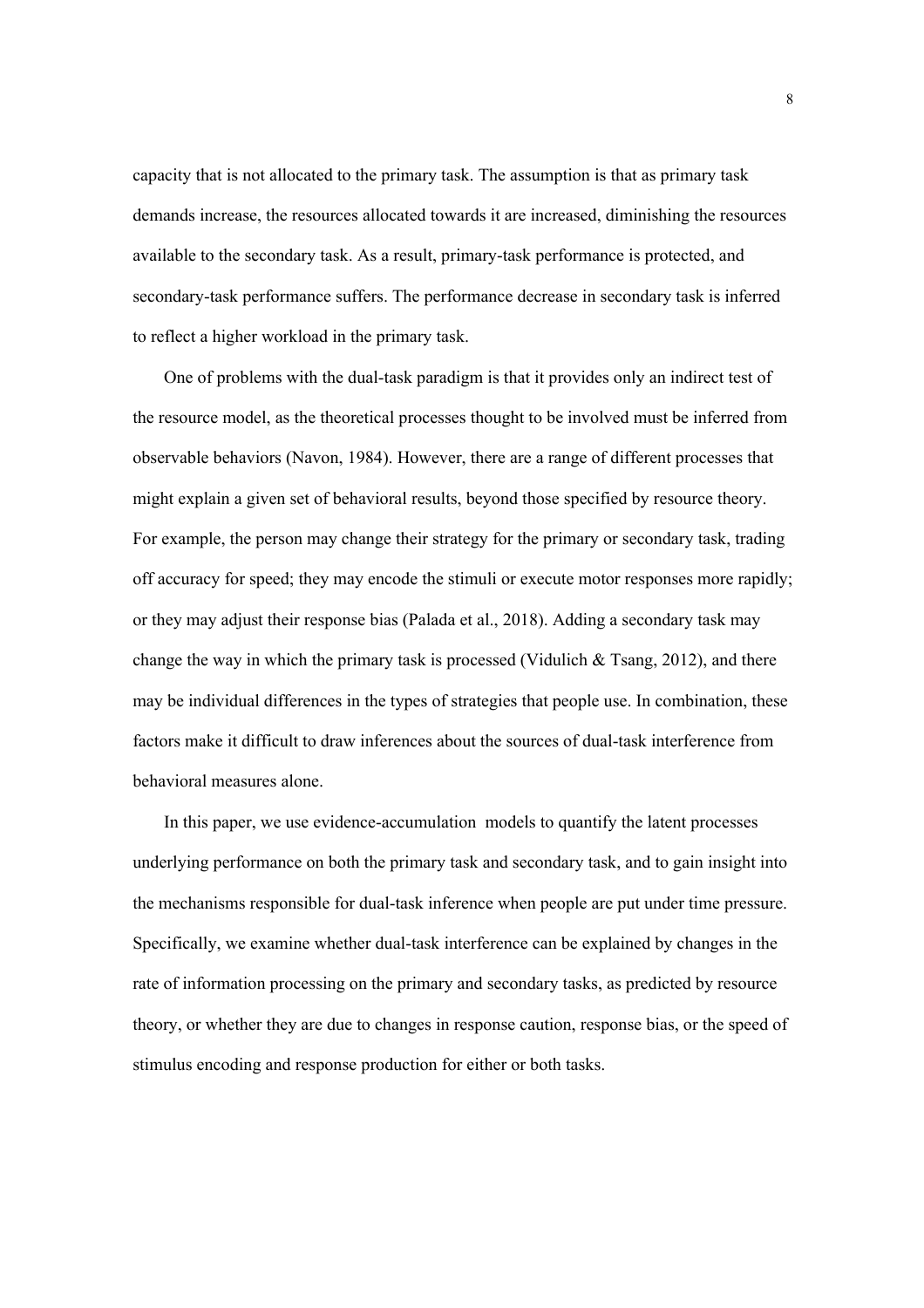capacity that is not allocated to the primary task. The assumption is that as primary task demands increase, the resources allocated towards it are increased, diminishing the resources available to the secondary task. As a result, primary-task performance is protected, and secondary-task performance suffers. The performance decrease in secondary task is inferred to reflect a higher workload in the primary task.

One of problems with the dual-task paradigm is that it provides only an indirect test of the resource model, as the theoretical processes thought to be involved must be inferred from observable behaviors (Navon, 1984). However, there are a range of different processes that might explain a given set of behavioral results, beyond those specified by resource theory. For example, the person may change their strategy for the primary or secondary task, trading off accuracy for speed; they may encode the stimuli or execute motor responses more rapidly; or they may adjust their response bias (Palada et al., 2018). Adding a secondary task may change the way in which the primary task is processed (Vidulich  $\&$  Tsang, 2012), and there may be individual differences in the types of strategies that people use. In combination, these factors make it difficult to draw inferences about the sources of dual-task interference from behavioral measures alone.

In this paper, we use evidence-accumulation models to quantify the latent processes underlying performance on both the primary task and secondary task, and to gain insight into the mechanisms responsible for dual-task inference when people are put under time pressure. Specifically, we examine whether dual-task interference can be explained by changes in the rate of information processing on the primary and secondary tasks, as predicted by resource theory, or whether they are due to changes in response caution, response bias, or the speed of stimulus encoding and response production for either or both tasks.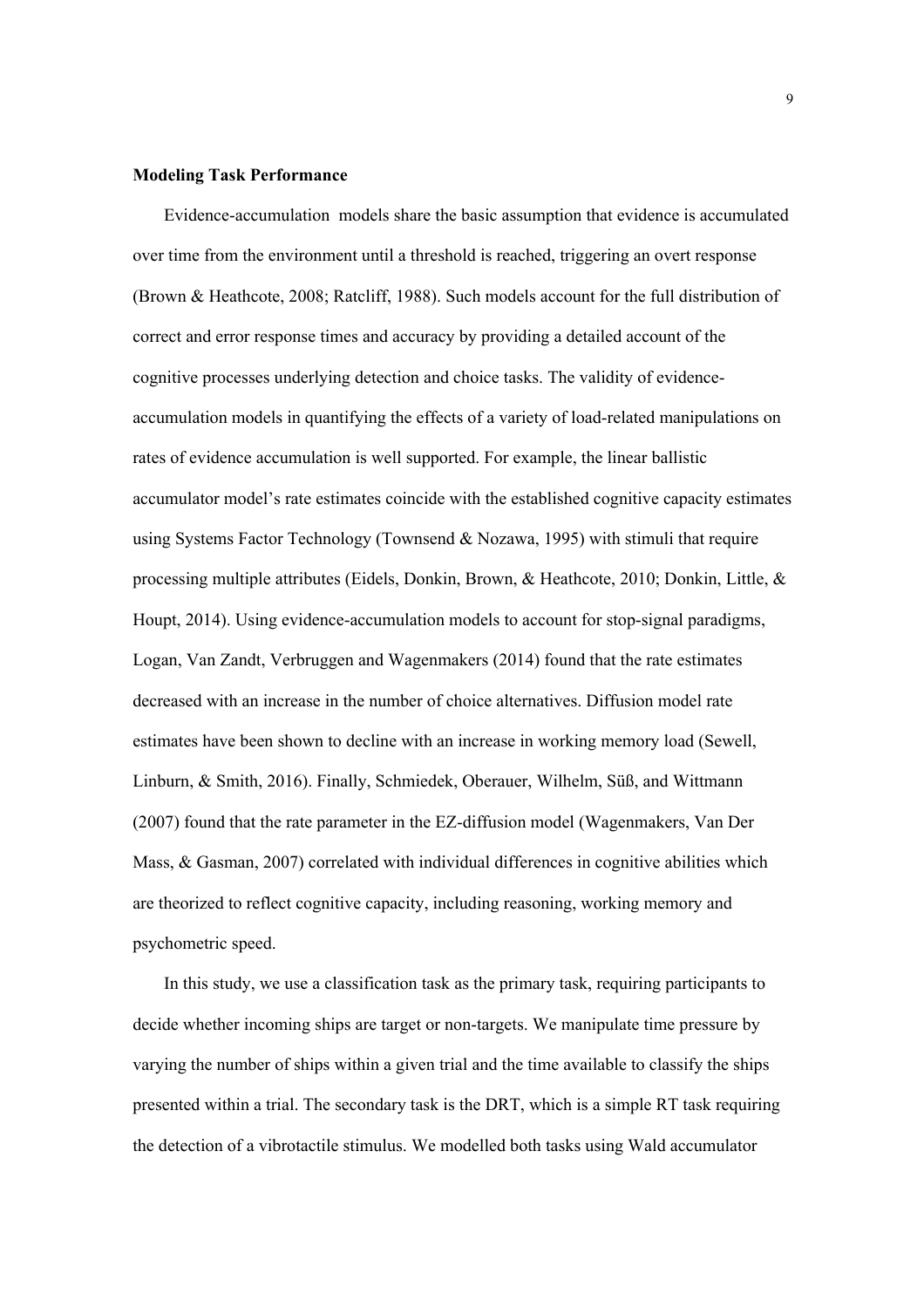### **Modeling Task Performance**

Evidence-accumulation models share the basic assumption that evidence is accumulated over time from the environment until a threshold is reached, triggering an overt response (Brown & Heathcote, 2008; Ratcliff, 1988). Such models account for the full distribution of correct and error response times and accuracy by providing a detailed account of the cognitive processes underlying detection and choice tasks. The validity of evidenceaccumulation models in quantifying the effects of a variety of load-related manipulations on rates of evidence accumulation is well supported. For example, the linear ballistic accumulator model's rate estimates coincide with the established cognitive capacity estimates using Systems Factor Technology (Townsend & Nozawa, 1995) with stimuli that require processing multiple attributes (Eidels, Donkin, Brown, & Heathcote, 2010; Donkin, Little, & Houpt, 2014). Using evidence-accumulation models to account for stop-signal paradigms, Logan, Van Zandt, Verbruggen and Wagenmakers (2014) found that the rate estimates decreased with an increase in the number of choice alternatives. Diffusion model rate estimates have been shown to decline with an increase in working memory load (Sewell, Linburn, & Smith, 2016). Finally, Schmiedek, Oberauer, Wilhelm, Süß, and Wittmann (2007) found that the rate parameter in the EZ-diffusion model (Wagenmakers, Van Der Mass, & Gasman, 2007) correlated with individual differences in cognitive abilities which are theorized to reflect cognitive capacity, including reasoning, working memory and psychometric speed.

In this study, we use a classification task as the primary task, requiring participants to decide whether incoming ships are target or non-targets. We manipulate time pressure by varying the number of ships within a given trial and the time available to classify the ships presented within a trial. The secondary task is the DRT, which is a simple RT task requiring the detection of a vibrotactile stimulus. We modelled both tasks using Wald accumulator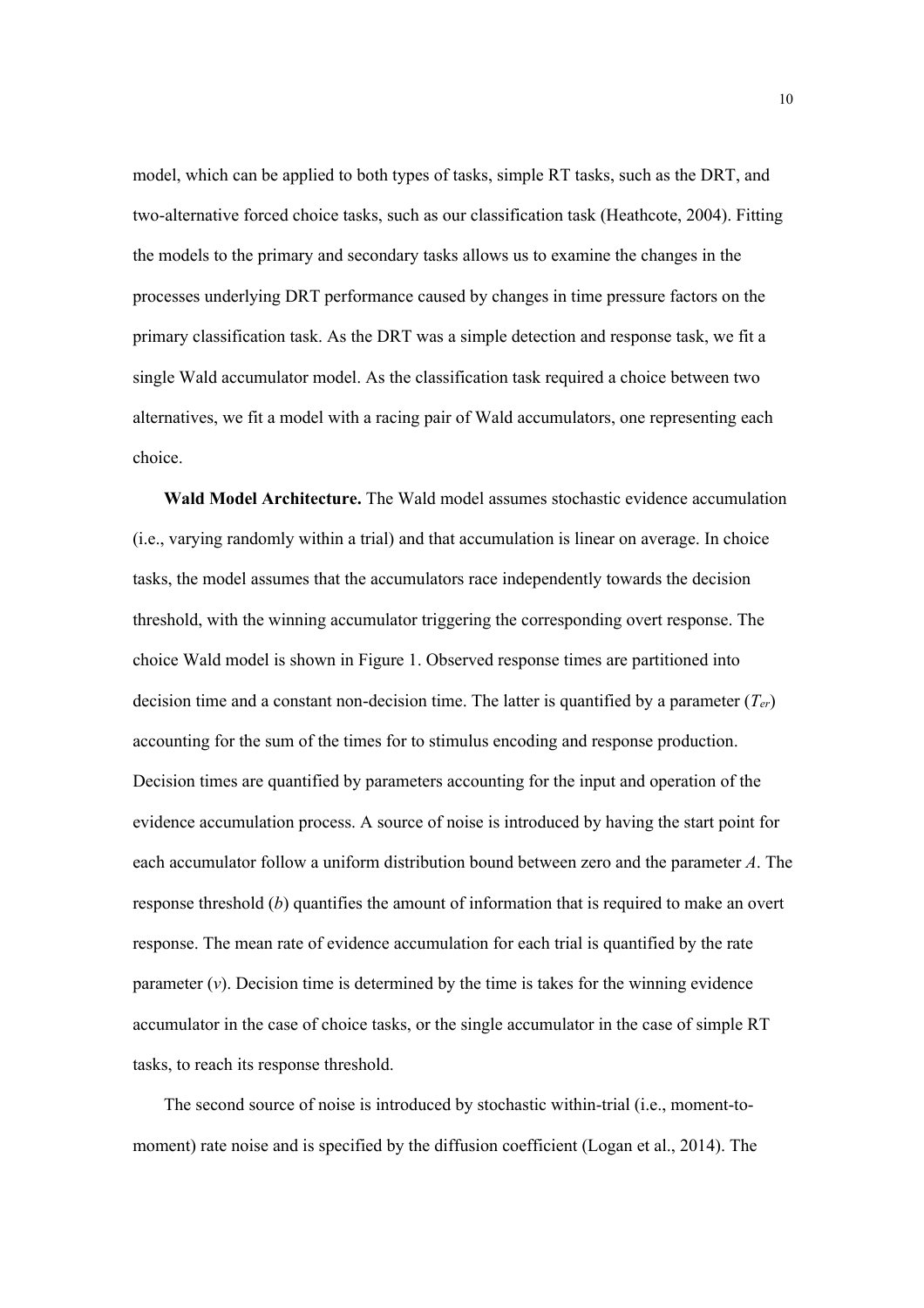model, which can be applied to both types of tasks, simple RT tasks, such as the DRT, and two-alternative forced choice tasks, such as our classification task (Heathcote, 2004). Fitting the models to the primary and secondary tasks allows us to examine the changes in the processes underlying DRT performance caused by changes in time pressure factors on the primary classification task. As the DRT was a simple detection and response task, we fit a single Wald accumulator model. As the classification task required a choice between two alternatives, we fit a model with a racing pair of Wald accumulators, one representing each choice.

**Wald Model Architecture.** The Wald model assumes stochastic evidence accumulation (i.e., varying randomly within a trial) and that accumulation is linear on average. In choice tasks, the model assumes that the accumulators race independently towards the decision threshold, with the winning accumulator triggering the corresponding overt response. The choice Wald model is shown in Figure 1. Observed response times are partitioned into decision time and a constant non-decision time. The latter is quantified by a parameter (*Ter*) accounting for the sum of the times for to stimulus encoding and response production. Decision times are quantified by parameters accounting for the input and operation of the evidence accumulation process. A source of noise is introduced by having the start point for each accumulator follow a uniform distribution bound between zero and the parameter *A*. The response threshold (*b*) quantifies the amount of information that is required to make an overt response. The mean rate of evidence accumulation for each trial is quantified by the rate parameter  $(v)$ . Decision time is determined by the time is takes for the winning evidence accumulator in the case of choice tasks, or the single accumulator in the case of simple RT tasks, to reach its response threshold.

The second source of noise is introduced by stochastic within-trial (i.e., moment-tomoment) rate noise and is specified by the diffusion coefficient (Logan et al., 2014). The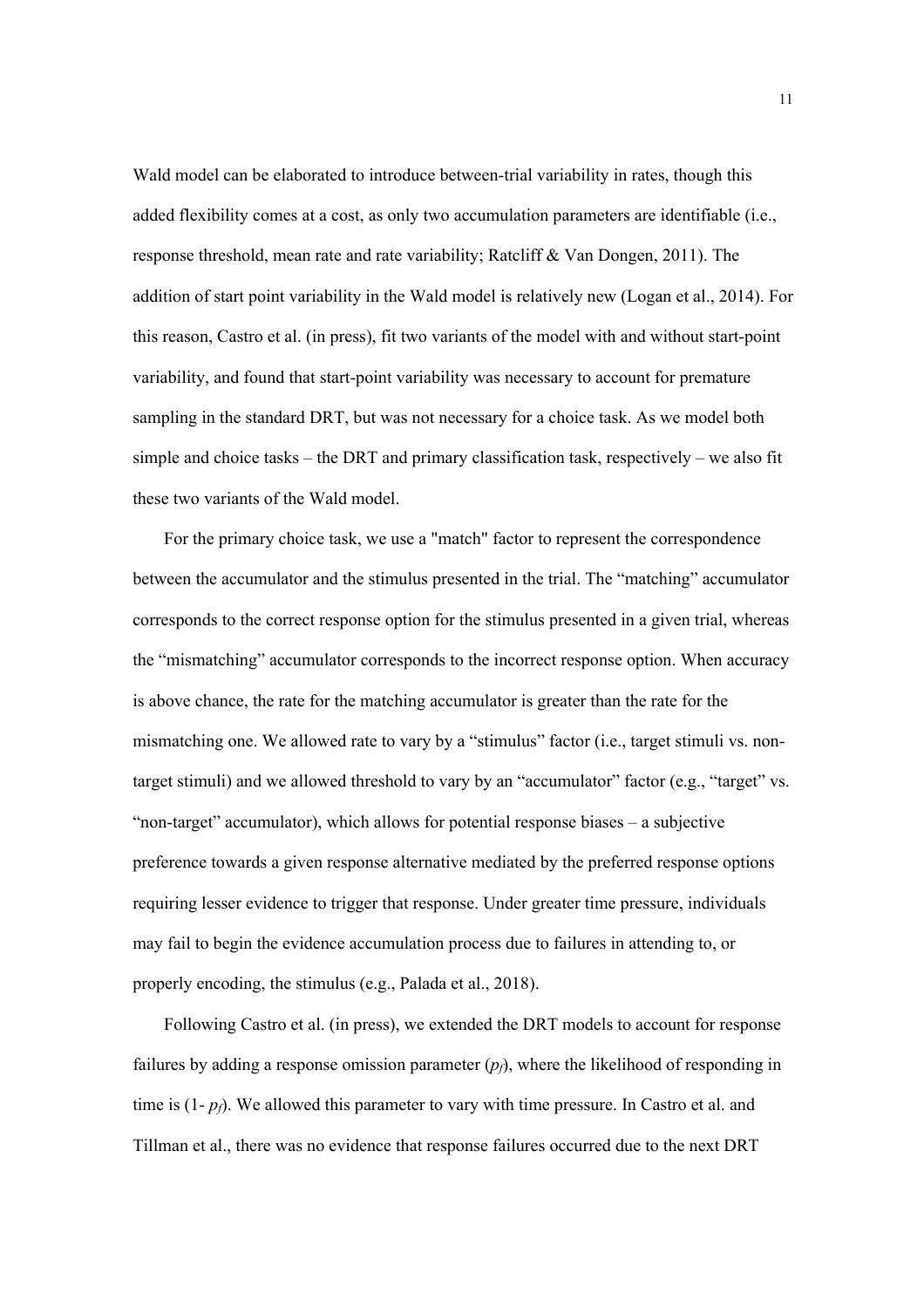Wald model can be elaborated to introduce between-trial variability in rates, though this added flexibility comes at a cost, as only two accumulation parameters are identifiable (i.e., response threshold, mean rate and rate variability; Ratcliff & Van Dongen, 2011). The addition of start point variability in the Wald model is relatively new (Logan et al., 2014). For this reason, Castro et al. (in press), fit two variants of the model with and without start-point variability, and found that start-point variability was necessary to account for premature sampling in the standard DRT, but was not necessary for a choice task. As we model both simple and choice tasks – the DRT and primary classification task, respectively – we also fit these two variants of the Wald model.

For the primary choice task, we use a "match" factor to represent the correspondence between the accumulator and the stimulus presented in the trial. The "matching" accumulator corresponds to the correct response option for the stimulus presented in a given trial, whereas the "mismatching" accumulator corresponds to the incorrect response option. When accuracy is above chance, the rate for the matching accumulator is greater than the rate for the mismatching one. We allowed rate to vary by a "stimulus" factor (i.e., target stimuli vs. nontarget stimuli) and we allowed threshold to vary by an "accumulator" factor (e.g., "target" vs. "non-target" accumulator), which allows for potential response biases – a subjective preference towards a given response alternative mediated by the preferred response options requiring lesser evidence to trigger that response. Under greater time pressure, individuals may fail to begin the evidence accumulation process due to failures in attending to, or properly encoding, the stimulus (e.g., Palada et al., 2018).

Following Castro et al. (in press), we extended the DRT models to account for response failures by adding a response omission parameter  $(p<sub>f</sub>)$ , where the likelihood of responding in time is  $(1-p_f)$ . We allowed this parameter to vary with time pressure. In Castro et al. and Tillman et al., there was no evidence that response failures occurred due to the next DRT

11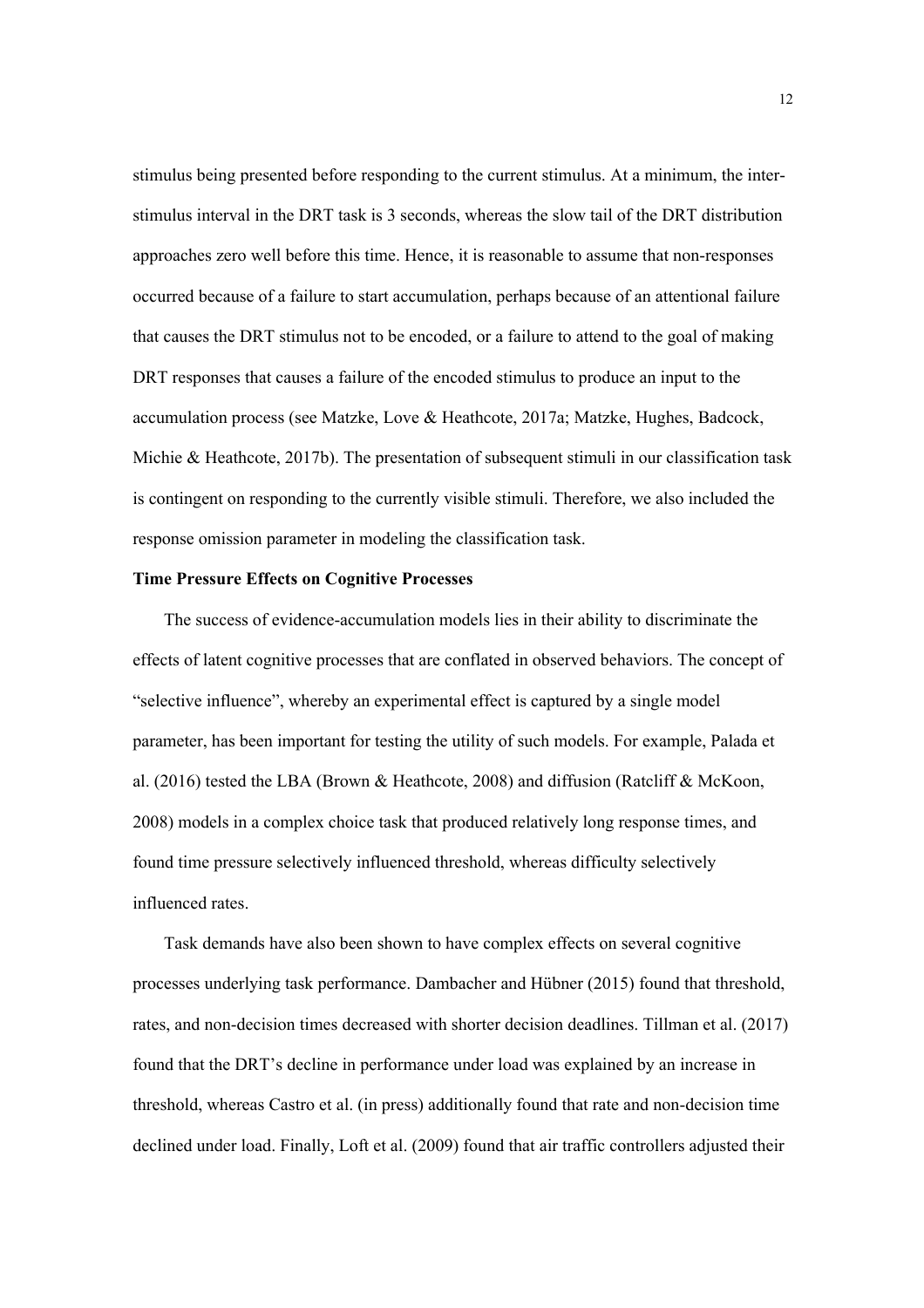stimulus being presented before responding to the current stimulus. At a minimum, the interstimulus interval in the DRT task is 3 seconds, whereas the slow tail of the DRT distribution approaches zero well before this time. Hence, it is reasonable to assume that non-responses occurred because of a failure to start accumulation, perhaps because of an attentional failure that causes the DRT stimulus not to be encoded, or a failure to attend to the goal of making DRT responses that causes a failure of the encoded stimulus to produce an input to the accumulation process (see Matzke, Love & Heathcote, 2017a; Matzke, Hughes, Badcock, Michie & Heathcote, 2017b). The presentation of subsequent stimuli in our classification task is contingent on responding to the currently visible stimuli. Therefore, we also included the response omission parameter in modeling the classification task.

## **Time Pressure Effects on Cognitive Processes**

The success of evidence-accumulation models lies in their ability to discriminate the effects of latent cognitive processes that are conflated in observed behaviors. The concept of "selective influence", whereby an experimental effect is captured by a single model parameter, has been important for testing the utility of such models. For example, Palada et al. (2016) tested the LBA (Brown & Heathcote, 2008) and diffusion (Ratcliff & McKoon, 2008) models in a complex choice task that produced relatively long response times, and found time pressure selectively influenced threshold, whereas difficulty selectively influenced rates.

Task demands have also been shown to have complex effects on several cognitive processes underlying task performance. Dambacher and Hübner (2015) found that threshold, rates, and non-decision times decreased with shorter decision deadlines. Tillman et al. (2017) found that the DRT's decline in performance under load was explained by an increase in threshold, whereas Castro et al. (in press) additionally found that rate and non-decision time declined under load. Finally, Loft et al. (2009) found that air traffic controllers adjusted their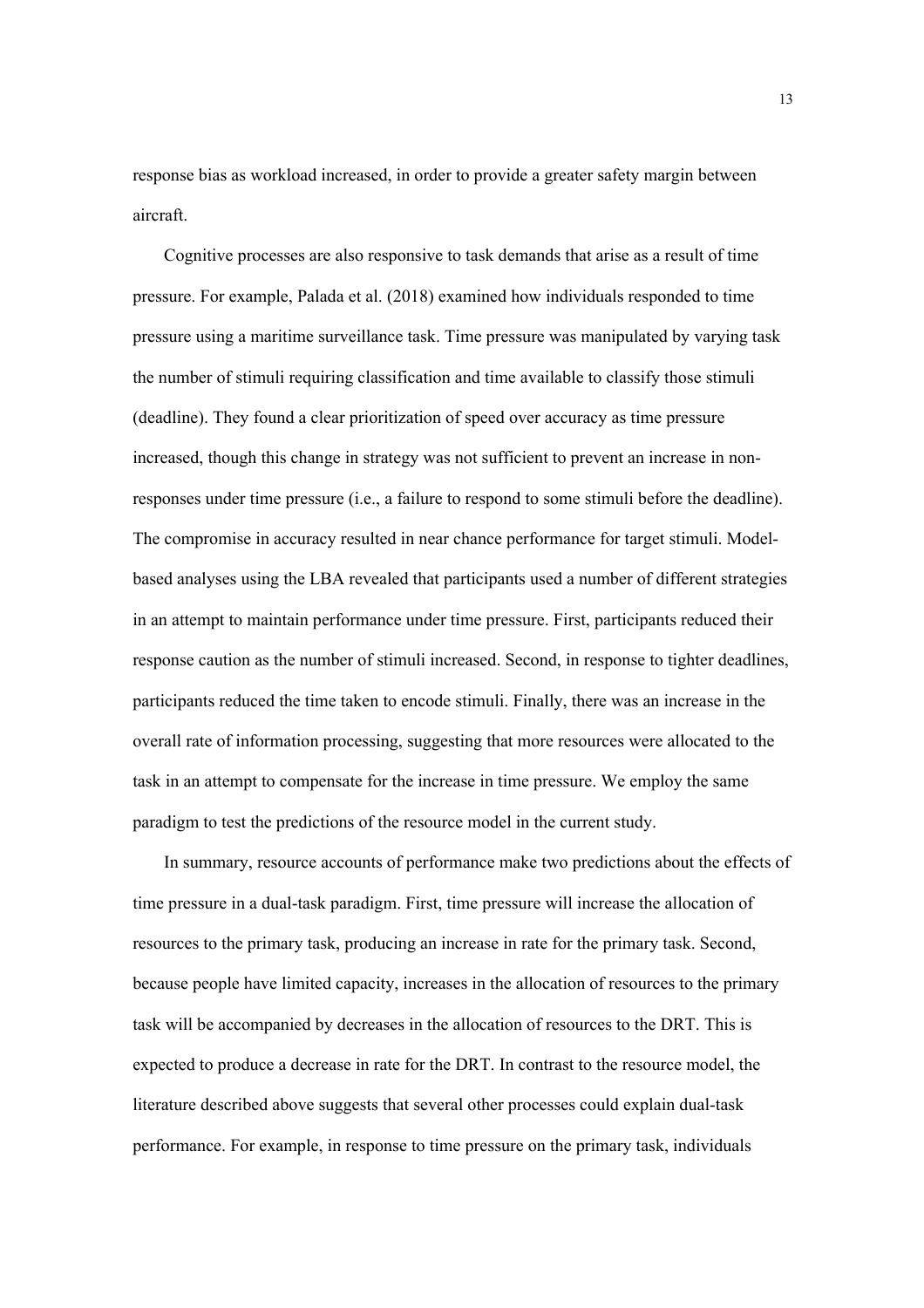response bias as workload increased, in order to provide a greater safety margin between aircraft.

Cognitive processes are also responsive to task demands that arise as a result of time pressure. For example, Palada et al. (2018) examined how individuals responded to time pressure using a maritime surveillance task. Time pressure was manipulated by varying task the number of stimuli requiring classification and time available to classify those stimuli (deadline). They found a clear prioritization of speed over accuracy as time pressure increased, though this change in strategy was not sufficient to prevent an increase in nonresponses under time pressure (i.e., a failure to respond to some stimuli before the deadline). The compromise in accuracy resulted in near chance performance for target stimuli. Modelbased analyses using the LBA revealed that participants used a number of different strategies in an attempt to maintain performance under time pressure. First, participants reduced their response caution as the number of stimuli increased. Second, in response to tighter deadlines, participants reduced the time taken to encode stimuli. Finally, there was an increase in the overall rate of information processing, suggesting that more resources were allocated to the task in an attempt to compensate for the increase in time pressure. We employ the same paradigm to test the predictions of the resource model in the current study.

In summary, resource accounts of performance make two predictions about the effects of time pressure in a dual-task paradigm. First, time pressure will increase the allocation of resources to the primary task, producing an increase in rate for the primary task. Second, because people have limited capacity, increases in the allocation of resources to the primary task will be accompanied by decreases in the allocation of resources to the DRT. This is expected to produce a decrease in rate for the DRT. In contrast to the resource model, the literature described above suggests that several other processes could explain dual-task performance. For example, in response to time pressure on the primary task, individuals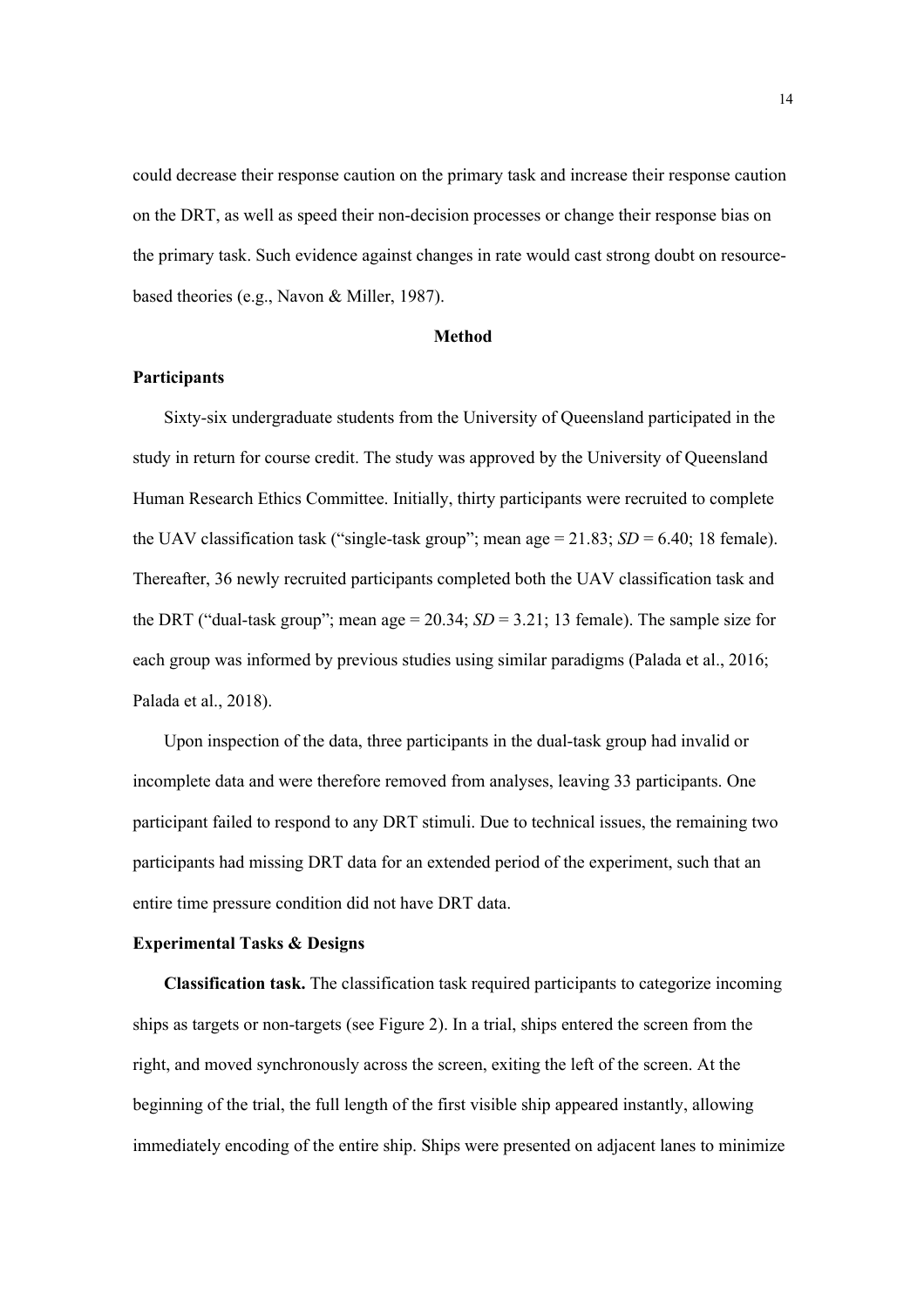could decrease their response caution on the primary task and increase their response caution on the DRT, as well as speed their non-decision processes or change their response bias on the primary task. Such evidence against changes in rate would cast strong doubt on resourcebased theories (e.g., Navon & Miller, 1987).

## **Method**

# **Participants**

Sixty-six undergraduate students from the University of Queensland participated in the study in return for course credit. The study was approved by the University of Queensland Human Research Ethics Committee. Initially, thirty participants were recruited to complete the UAV classification task ("single-task group"; mean age  $= 21.83$ ; *SD*  $= 6.40$ ; 18 female). Thereafter, 36 newly recruited participants completed both the UAV classification task and the DRT ("dual-task group"; mean age =  $20.34$ ;  $SD = 3.21$ ; 13 female). The sample size for each group was informed by previous studies using similar paradigms (Palada et al., 2016; Palada et al., 2018).

Upon inspection of the data, three participants in the dual-task group had invalid or incomplete data and were therefore removed from analyses, leaving 33 participants. One participant failed to respond to any DRT stimuli. Due to technical issues, the remaining two participants had missing DRT data for an extended period of the experiment, such that an entire time pressure condition did not have DRT data.

## **Experimental Tasks & Designs**

**Classification task.** The classification task required participants to categorize incoming ships as targets or non-targets (see Figure 2). In a trial, ships entered the screen from the right, and moved synchronously across the screen, exiting the left of the screen. At the beginning of the trial, the full length of the first visible ship appeared instantly, allowing immediately encoding of the entire ship. Ships were presented on adjacent lanes to minimize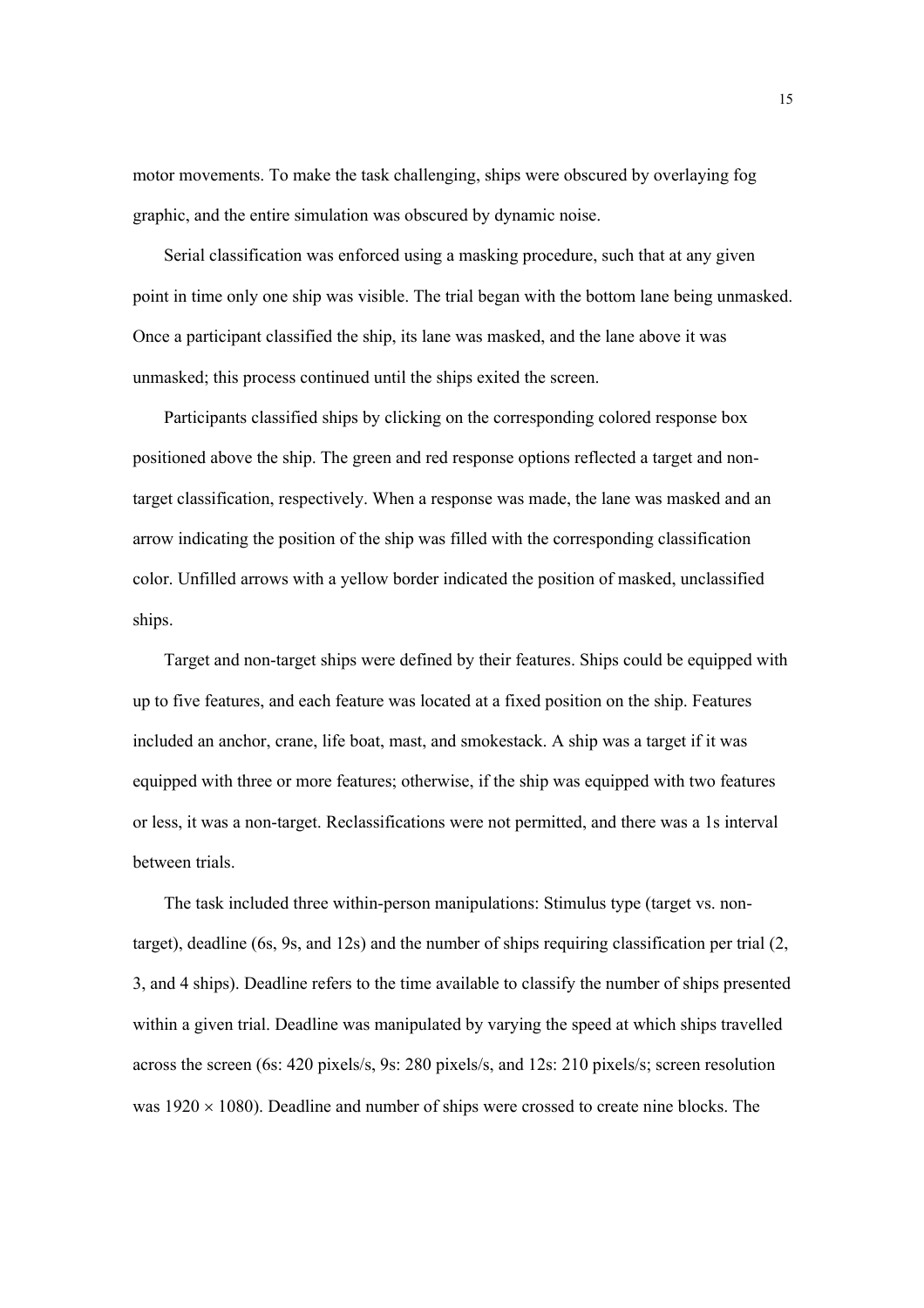motor movements. To make the task challenging, ships were obscured by overlaying fog graphic, and the entire simulation was obscured by dynamic noise.

Serial classification was enforced using a masking procedure, such that at any given point in time only one ship was visible. The trial began with the bottom lane being unmasked. Once a participant classified the ship, its lane was masked, and the lane above it was unmasked; this process continued until the ships exited the screen.

Participants classified ships by clicking on the corresponding colored response box positioned above the ship. The green and red response options reflected a target and nontarget classification, respectively. When a response was made, the lane was masked and an arrow indicating the position of the ship was filled with the corresponding classification color. Unfilled arrows with a yellow border indicated the position of masked, unclassified ships.

Target and non-target ships were defined by their features. Ships could be equipped with up to five features, and each feature was located at a fixed position on the ship. Features included an anchor, crane, life boat, mast, and smokestack. A ship was a target if it was equipped with three or more features; otherwise, if the ship was equipped with two features or less, it was a non-target. Reclassifications were not permitted, and there was a 1s interval between trials.

The task included three within-person manipulations: Stimulus type (target vs. nontarget), deadline (6s, 9s, and 12s) and the number of ships requiring classification per trial (2, 3, and 4 ships). Deadline refers to the time available to classify the number of ships presented within a given trial. Deadline was manipulated by varying the speed at which ships travelled across the screen (6s: 420 pixels/s, 9s: 280 pixels/s, and 12s: 210 pixels/s; screen resolution was  $1920 \times 1080$ ). Deadline and number of ships were crossed to create nine blocks. The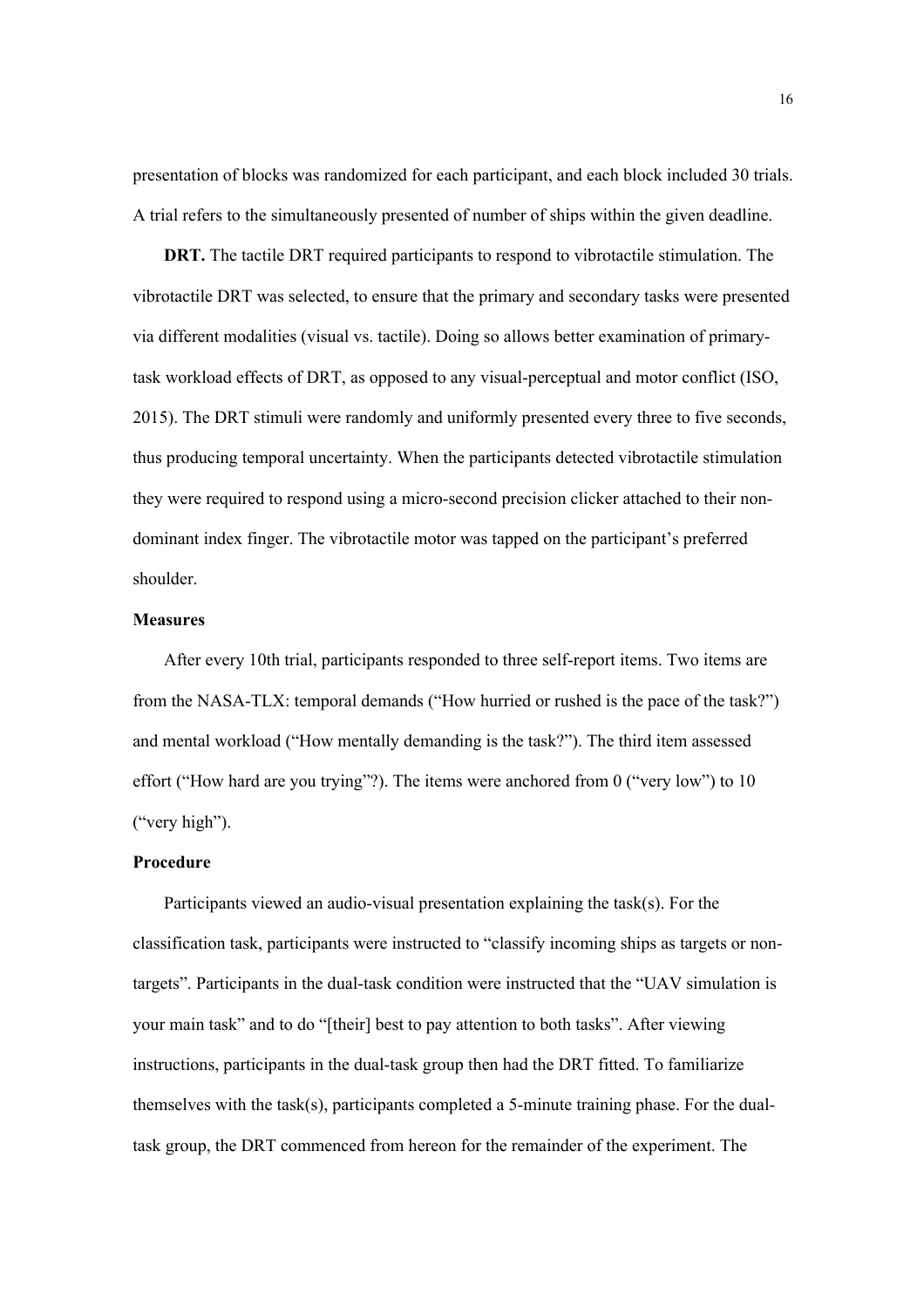presentation of blocks was randomized for each participant, and each block included 30 trials. A trial refers to the simultaneously presented of number of ships within the given deadline.

**DRT.** The tactile DRT required participants to respond to vibrotactile stimulation. The vibrotactile DRT was selected, to ensure that the primary and secondary tasks were presented via different modalities (visual vs. tactile). Doing so allows better examination of primarytask workload effects of DRT, as opposed to any visual-perceptual and motor conflict (ISO, 2015). The DRT stimuli were randomly and uniformly presented every three to five seconds, thus producing temporal uncertainty. When the participants detected vibrotactile stimulation they were required to respond using a micro-second precision clicker attached to their nondominant index finger. The vibrotactile motor was tapped on the participant's preferred shoulder.

# **Measures**

After every 10th trial, participants responded to three self-report items. Two items are from the NASA-TLX: temporal demands ("How hurried or rushed is the pace of the task?") and mental workload ("How mentally demanding is the task?"). The third item assessed effort ("How hard are you trying"?). The items were anchored from 0 ("very low") to 10 ("very high").

## **Procedure**

Participants viewed an audio-visual presentation explaining the task(s). For the classification task, participants were instructed to "classify incoming ships as targets or nontargets". Participants in the dual-task condition were instructed that the "UAV simulation is your main task" and to do "[their] best to pay attention to both tasks". After viewing instructions, participants in the dual-task group then had the DRT fitted. To familiarize themselves with the task(s), participants completed a 5-minute training phase. For the dualtask group, the DRT commenced from hereon for the remainder of the experiment. The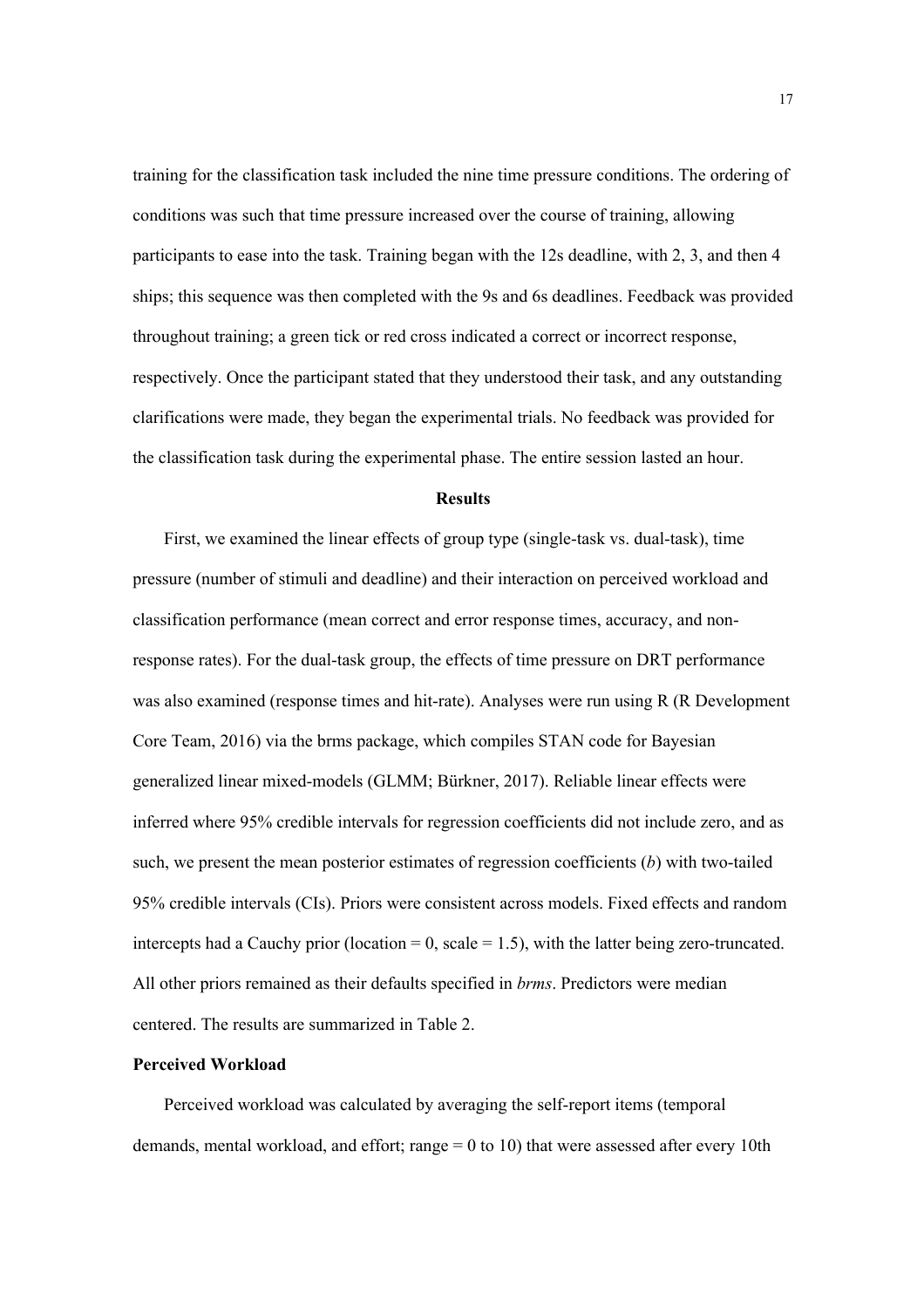training for the classification task included the nine time pressure conditions. The ordering of conditions was such that time pressure increased over the course of training, allowing participants to ease into the task. Training began with the 12s deadline, with 2, 3, and then 4 ships; this sequence was then completed with the 9s and 6s deadlines. Feedback was provided throughout training; a green tick or red cross indicated a correct or incorrect response, respectively. Once the participant stated that they understood their task, and any outstanding clarifications were made, they began the experimental trials. No feedback was provided for the classification task during the experimental phase. The entire session lasted an hour.

# **Results**

First, we examined the linear effects of group type (single-task vs. dual-task), time pressure (number of stimuli and deadline) and their interaction on perceived workload and classification performance (mean correct and error response times, accuracy, and nonresponse rates). For the dual-task group, the effects of time pressure on DRT performance was also examined (response times and hit-rate). Analyses were run using R (R Development Core Team, 2016) via the brms package, which compiles STAN code for Bayesian generalized linear mixed-models (GLMM; Bürkner, 2017). Reliable linear effects were inferred where 95% credible intervals for regression coefficients did not include zero, and as such, we present the mean posterior estimates of regression coefficients (*b*) with two-tailed 95% credible intervals (CIs). Priors were consistent across models. Fixed effects and random intercepts had a Cauchy prior (location  $= 0$ , scale  $= 1.5$ ), with the latter being zero-truncated. All other priors remained as their defaults specified in *brms*. Predictors were median centered. The results are summarized in Table 2.

# **Perceived Workload**

Perceived workload was calculated by averaging the self-report items (temporal demands, mental workload, and effort; range  $= 0$  to 10) that were assessed after every 10th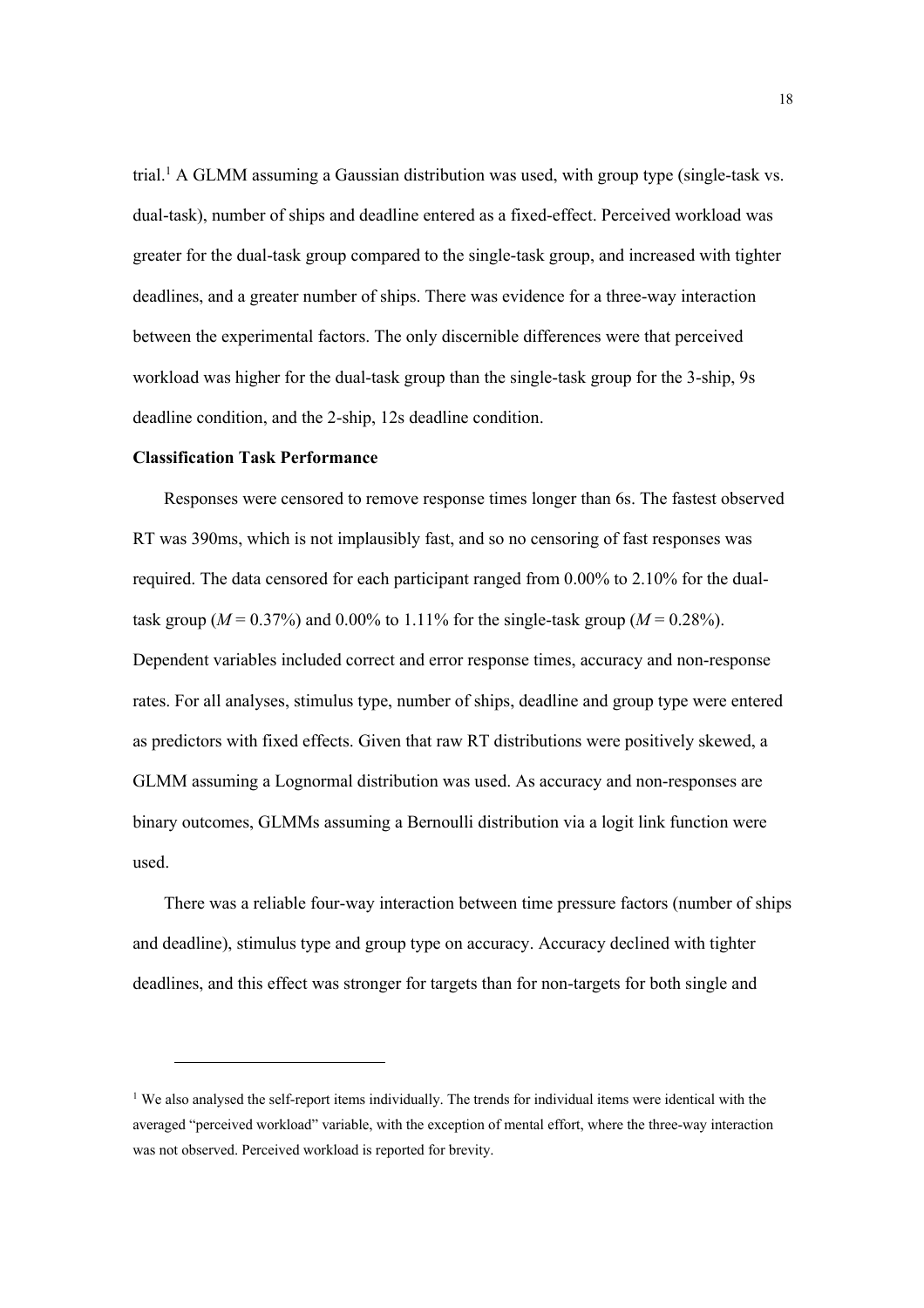trial.<sup>1</sup> A GLMM assuming a Gaussian distribution was used, with group type (single-task vs. dual-task), number of ships and deadline entered as a fixed-effect. Perceived workload was greater for the dual-task group compared to the single-task group, and increased with tighter deadlines, and a greater number of ships. There was evidence for a three-way interaction between the experimental factors. The only discernible differences were that perceived workload was higher for the dual-task group than the single-task group for the 3-ship, 9s deadline condition, and the 2-ship, 12s deadline condition.

## **Classification Task Performance**

l

Responses were censored to remove response times longer than 6s. The fastest observed RT was 390ms, which is not implausibly fast, and so no censoring of fast responses was required. The data censored for each participant ranged from 0.00% to 2.10% for the dualtask group ( $M = 0.37\%$ ) and 0.00% to 1.11% for the single-task group ( $M = 0.28\%$ ). Dependent variables included correct and error response times, accuracy and non-response rates. For all analyses, stimulus type, number of ships, deadline and group type were entered as predictors with fixed effects. Given that raw RT distributions were positively skewed, a GLMM assuming a Lognormal distribution was used. As accuracy and non-responses are binary outcomes, GLMMs assuming a Bernoulli distribution via a logit link function were used.

There was a reliable four-way interaction between time pressure factors (number of ships and deadline), stimulus type and group type on accuracy. Accuracy declined with tighter deadlines, and this effect was stronger for targets than for non-targets for both single and

<sup>&</sup>lt;sup>1</sup> We also analysed the self-report items individually. The trends for individual items were identical with the averaged "perceived workload" variable, with the exception of mental effort, where the three-way interaction was not observed. Perceived workload is reported for brevity.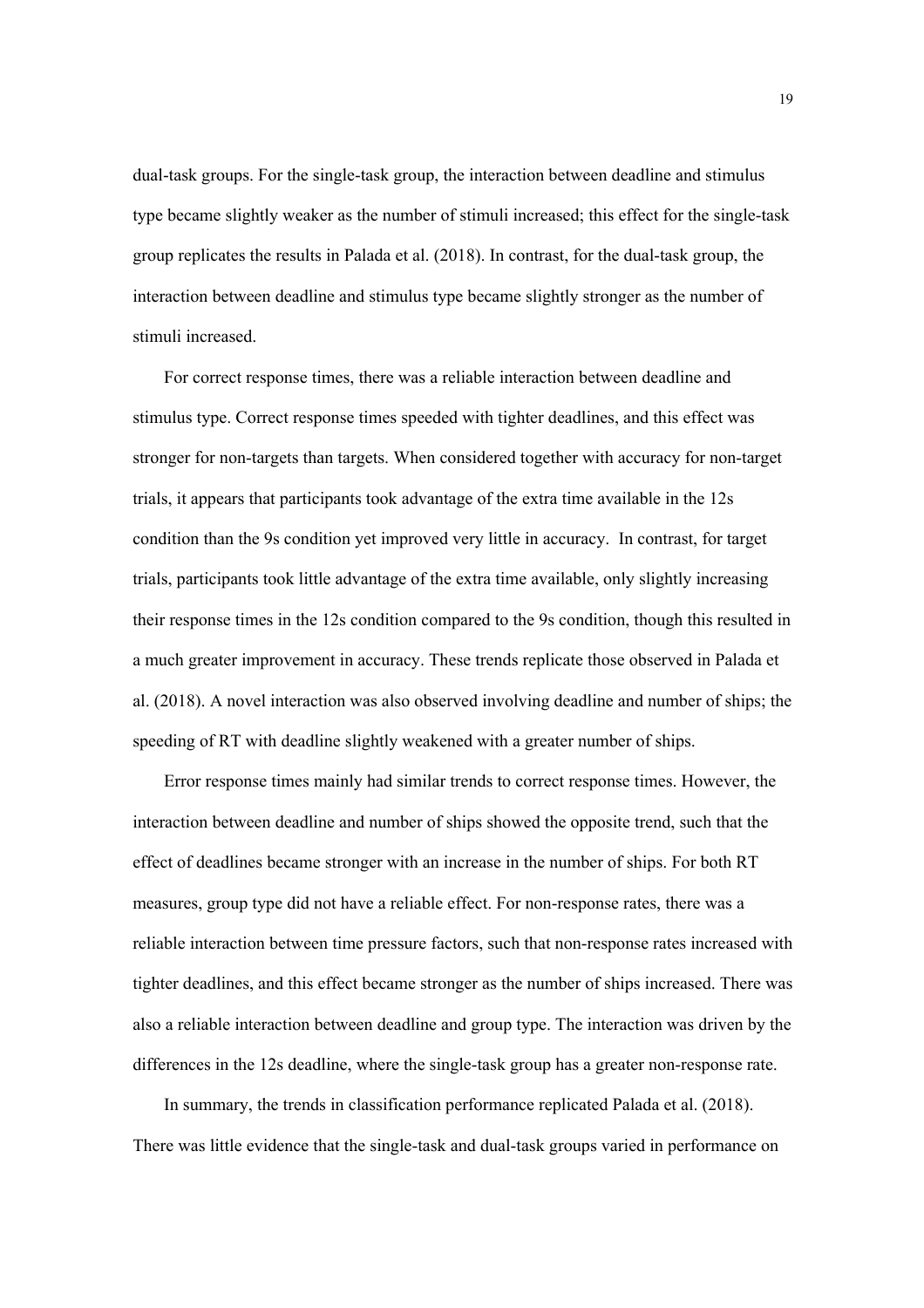dual-task groups. For the single-task group, the interaction between deadline and stimulus type became slightly weaker as the number of stimuli increased; this effect for the single-task group replicates the results in Palada et al. (2018). In contrast, for the dual-task group, the interaction between deadline and stimulus type became slightly stronger as the number of stimuli increased.

For correct response times, there was a reliable interaction between deadline and stimulus type. Correct response times speeded with tighter deadlines, and this effect was stronger for non-targets than targets. When considered together with accuracy for non-target trials, it appears that participants took advantage of the extra time available in the 12s condition than the 9s condition yet improved very little in accuracy. In contrast, for target trials, participants took little advantage of the extra time available, only slightly increasing their response times in the 12s condition compared to the 9s condition, though this resulted in a much greater improvement in accuracy. These trends replicate those observed in Palada et al. (2018). A novel interaction was also observed involving deadline and number of ships; the speeding of RT with deadline slightly weakened with a greater number of ships.

Error response times mainly had similar trends to correct response times. However, the interaction between deadline and number of ships showed the opposite trend, such that the effect of deadlines became stronger with an increase in the number of ships. For both RT measures, group type did not have a reliable effect. For non-response rates, there was a reliable interaction between time pressure factors, such that non-response rates increased with tighter deadlines, and this effect became stronger as the number of ships increased. There was also a reliable interaction between deadline and group type. The interaction was driven by the differences in the 12s deadline, where the single-task group has a greater non-response rate.

In summary, the trends in classification performance replicated Palada et al. (2018). There was little evidence that the single-task and dual-task groups varied in performance on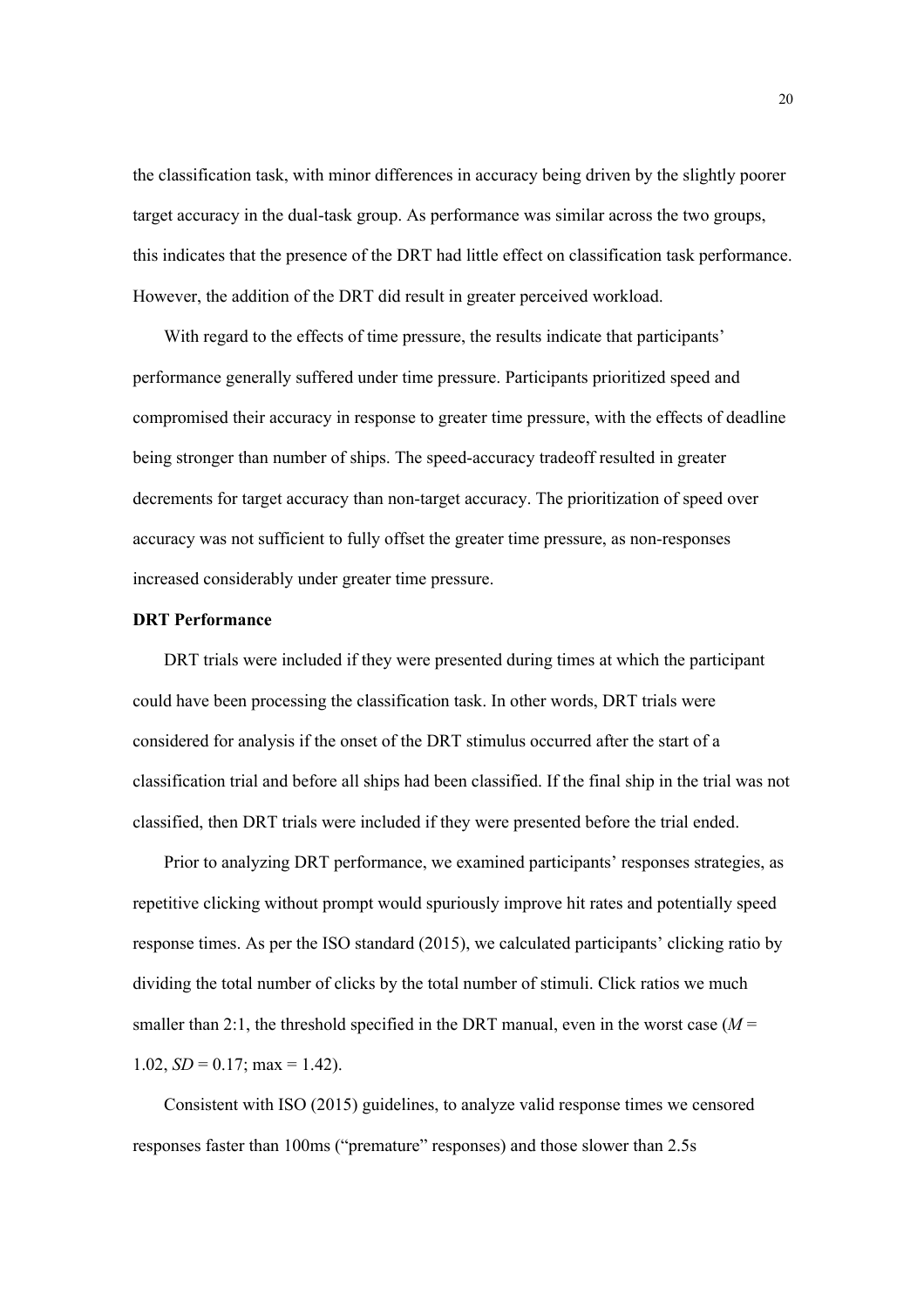the classification task, with minor differences in accuracy being driven by the slightly poorer target accuracy in the dual-task group. As performance was similar across the two groups, this indicates that the presence of the DRT had little effect on classification task performance. However, the addition of the DRT did result in greater perceived workload.

With regard to the effects of time pressure, the results indicate that participants' performance generally suffered under time pressure. Participants prioritized speed and compromised their accuracy in response to greater time pressure, with the effects of deadline being stronger than number of ships. The speed-accuracy tradeoff resulted in greater decrements for target accuracy than non-target accuracy. The prioritization of speed over accuracy was not sufficient to fully offset the greater time pressure, as non-responses increased considerably under greater time pressure.

## **DRT Performance**

DRT trials were included if they were presented during times at which the participant could have been processing the classification task. In other words, DRT trials were considered for analysis if the onset of the DRT stimulus occurred after the start of a classification trial and before all ships had been classified. If the final ship in the trial was not classified, then DRT trials were included if they were presented before the trial ended.

Prior to analyzing DRT performance, we examined participants' responses strategies, as repetitive clicking without prompt would spuriously improve hit rates and potentially speed response times. As per the ISO standard (2015), we calculated participants' clicking ratio by dividing the total number of clicks by the total number of stimuli. Click ratios we much smaller than 2:1, the threshold specified in the DRT manual, even in the worst case  $(M =$ 1.02,  $SD = 0.17$ ; max = 1.42).

Consistent with ISO (2015) guidelines, to analyze valid response times we censored responses faster than 100ms ("premature" responses) and those slower than 2.5s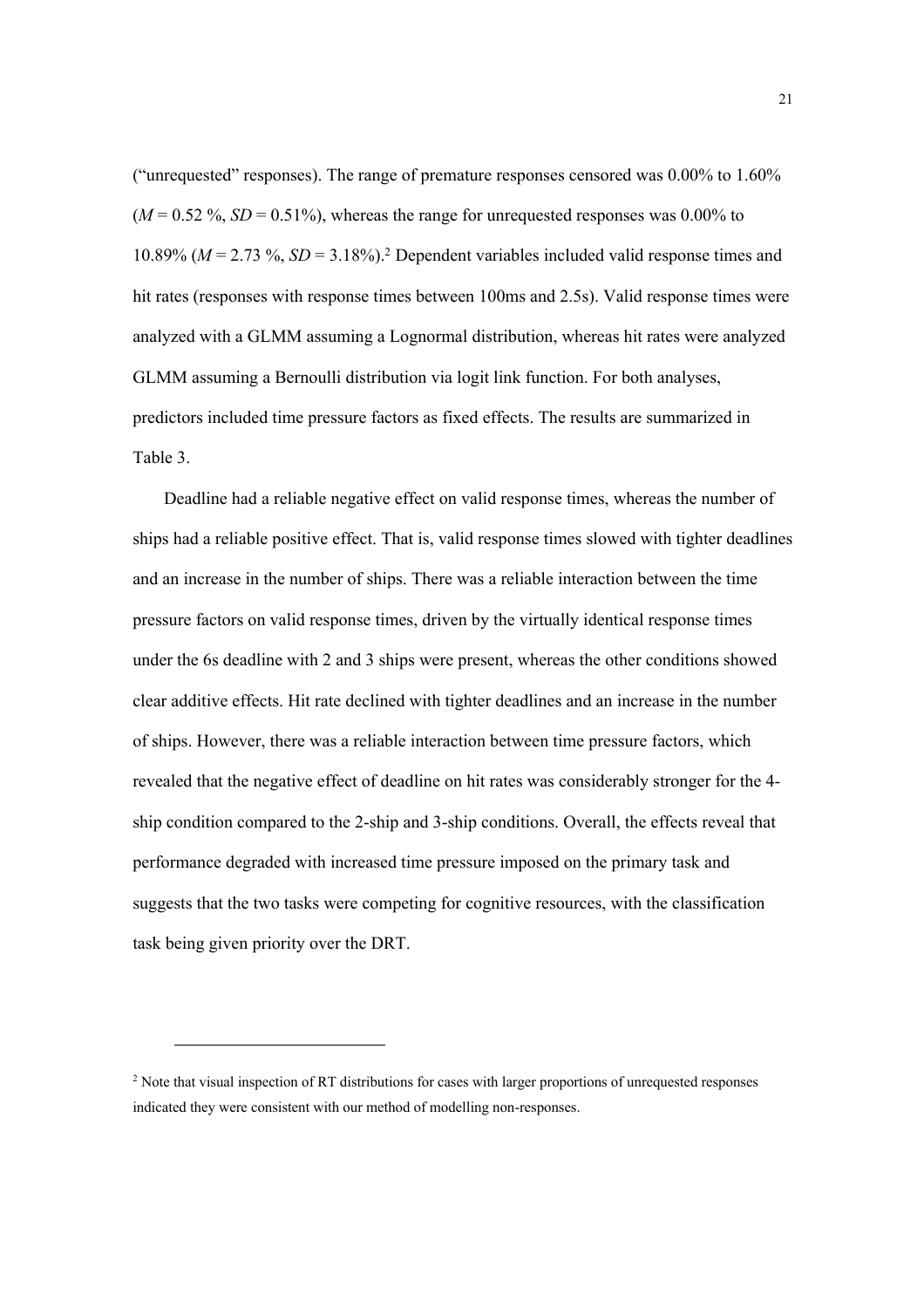("unrequested" responses). The range of premature responses censored was 0.00% to 1.60%  $(M = 0.52 \text{ %}, SD = 0.51\text{ %})$ , whereas the range for unrequested responses was 0.00% to 10.89% ( $M = 2.73$ %,  $SD = 3.18$ %).<sup>2</sup> Dependent variables included valid response times and hit rates (responses with response times between 100ms and 2.5s). Valid response times were analyzed with a GLMM assuming a Lognormal distribution, whereas hit rates were analyzed GLMM assuming a Bernoulli distribution via logit link function. For both analyses, predictors included time pressure factors as fixed effects. The results are summarized in Table 3.

Deadline had a reliable negative effect on valid response times, whereas the number of ships had a reliable positive effect. That is, valid response times slowed with tighter deadlines and an increase in the number of ships. There was a reliable interaction between the time pressure factors on valid response times, driven by the virtually identical response times under the 6s deadline with 2 and 3 ships were present, whereas the other conditions showed clear additive effects. Hit rate declined with tighter deadlines and an increase in the number of ships. However, there was a reliable interaction between time pressure factors, which revealed that the negative effect of deadline on hit rates was considerably stronger for the 4 ship condition compared to the 2-ship and 3-ship conditions. Overall, the effects reveal that performance degraded with increased time pressure imposed on the primary task and suggests that the two tasks were competing for cognitive resources, with the classification task being given priority over the DRT.

l

<sup>&</sup>lt;sup>2</sup> Note that visual inspection of RT distributions for cases with larger proportions of unrequested responses indicated they were consistent with our method of modelling non-responses.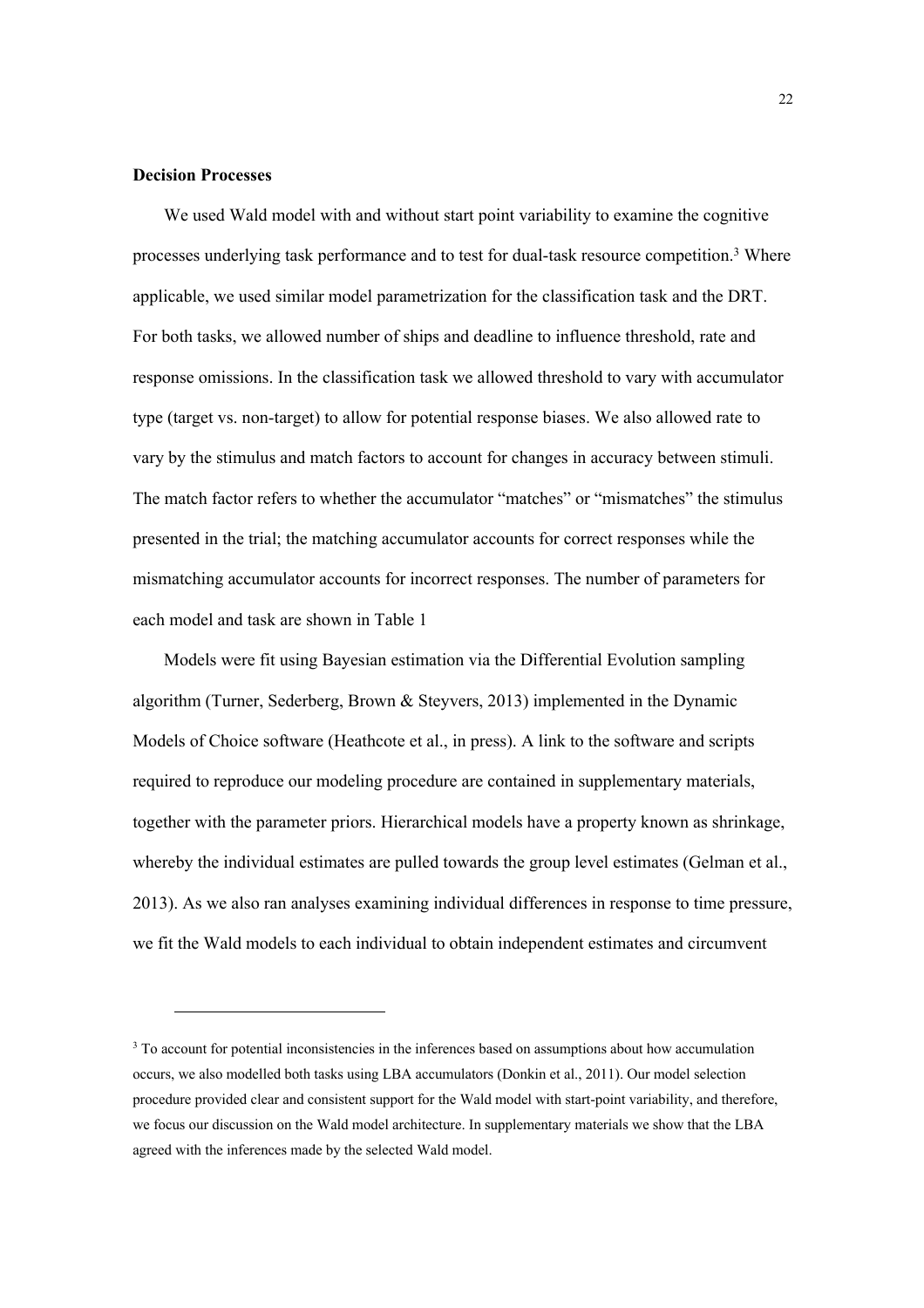### **Decision Processes**

l

We used Wald model with and without start point variability to examine the cognitive processes underlying task performance and to test for dual-task resource competition.<sup>3</sup> Where applicable, we used similar model parametrization for the classification task and the DRT. For both tasks, we allowed number of ships and deadline to influence threshold, rate and response omissions. In the classification task we allowed threshold to vary with accumulator type (target vs. non-target) to allow for potential response biases. We also allowed rate to vary by the stimulus and match factors to account for changes in accuracy between stimuli. The match factor refers to whether the accumulator "matches" or "mismatches" the stimulus presented in the trial; the matching accumulator accounts for correct responses while the mismatching accumulator accounts for incorrect responses. The number of parameters for each model and task are shown in Table 1

Models were fit using Bayesian estimation via the Differential Evolution sampling algorithm (Turner, Sederberg, Brown & Steyvers, 2013) implemented in the Dynamic Models of Choice software (Heathcote et al., in press). A link to the software and scripts required to reproduce our modeling procedure are contained in supplementary materials, together with the parameter priors. Hierarchical models have a property known as shrinkage, whereby the individual estimates are pulled towards the group level estimates (Gelman et al., 2013). As we also ran analyses examining individual differences in response to time pressure, we fit the Wald models to each individual to obtain independent estimates and circumvent

 $3$  To account for potential inconsistencies in the inferences based on assumptions about how accumulation occurs, we also modelled both tasks using LBA accumulators (Donkin et al., 2011). Our model selection procedure provided clear and consistent support for the Wald model with start-point variability, and therefore, we focus our discussion on the Wald model architecture. In supplementary materials we show that the LBA agreed with the inferences made by the selected Wald model.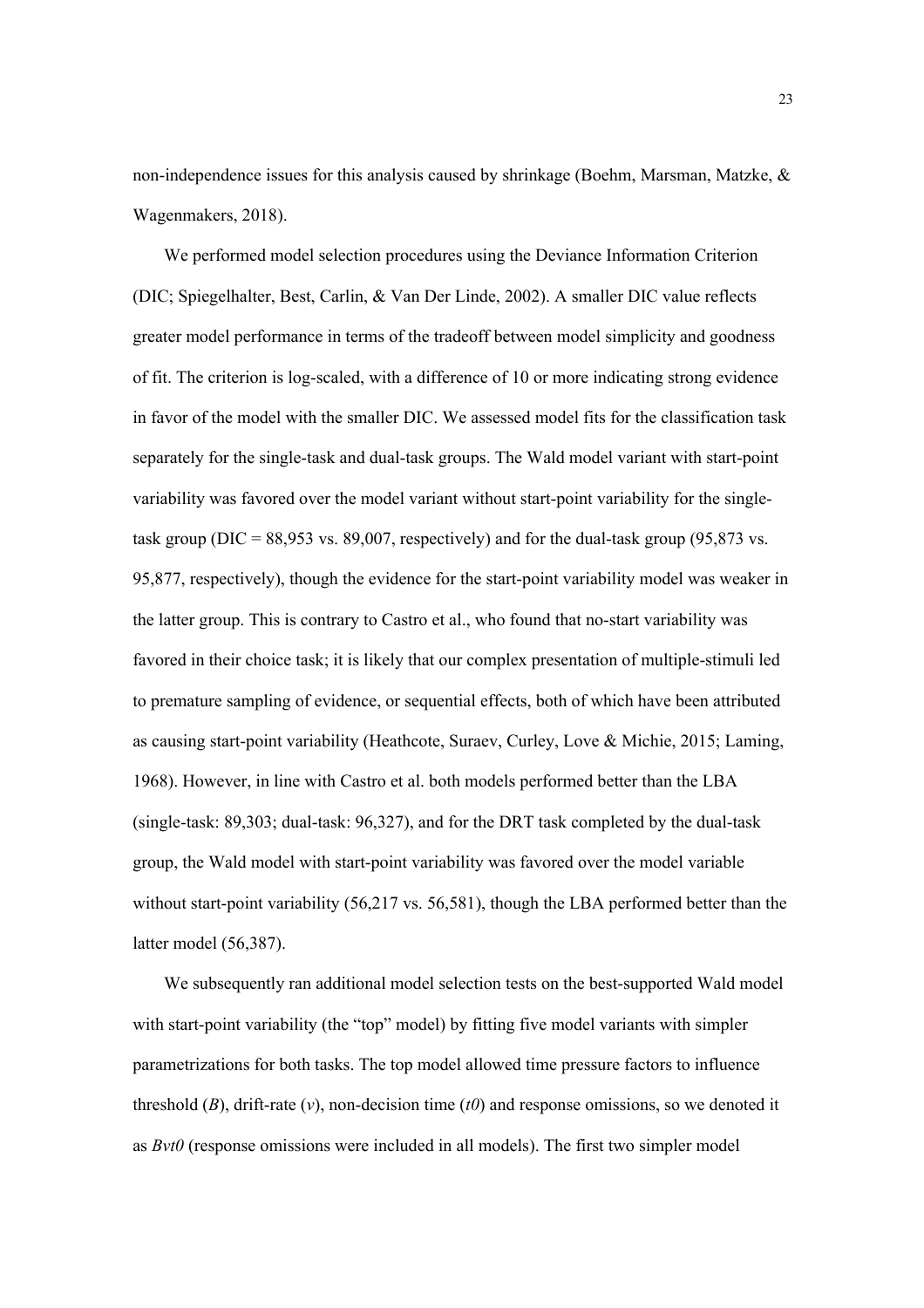non-independence issues for this analysis caused by shrinkage (Boehm, Marsman, Matzke, & Wagenmakers, 2018).

We performed model selection procedures using the Deviance Information Criterion (DIC; Spiegelhalter, Best, Carlin, & Van Der Linde, 2002). A smaller DIC value reflects greater model performance in terms of the tradeoff between model simplicity and goodness of fit. The criterion is log-scaled, with a difference of 10 or more indicating strong evidence in favor of the model with the smaller DIC. We assessed model fits for the classification task separately for the single-task and dual-task groups. The Wald model variant with start-point variability was favored over the model variant without start-point variability for the singletask group ( $DIC = 88,953$  vs. 89,007, respectively) and for the dual-task group (95,873 vs. 95,877, respectively), though the evidence for the start-point variability model was weaker in the latter group. This is contrary to Castro et al., who found that no-start variability was favored in their choice task; it is likely that our complex presentation of multiple-stimuli led to premature sampling of evidence, or sequential effects, both of which have been attributed as causing start-point variability (Heathcote, Suraev, Curley, Love & Michie, 2015; Laming, 1968). However, in line with Castro et al. both models performed better than the LBA (single-task: 89,303; dual-task: 96,327), and for the DRT task completed by the dual-task group, the Wald model with start-point variability was favored over the model variable without start-point variability (56,217 vs. 56,581), though the LBA performed better than the latter model (56,387).

We subsequently ran additional model selection tests on the best-supported Wald model with start-point variability (the "top" model) by fitting five model variants with simpler parametrizations for both tasks. The top model allowed time pressure factors to influence threshold (*B*), drift-rate (*v*), non-decision time (*t0*) and response omissions, so we denoted it as *Bvt0* (response omissions were included in all models). The first two simpler model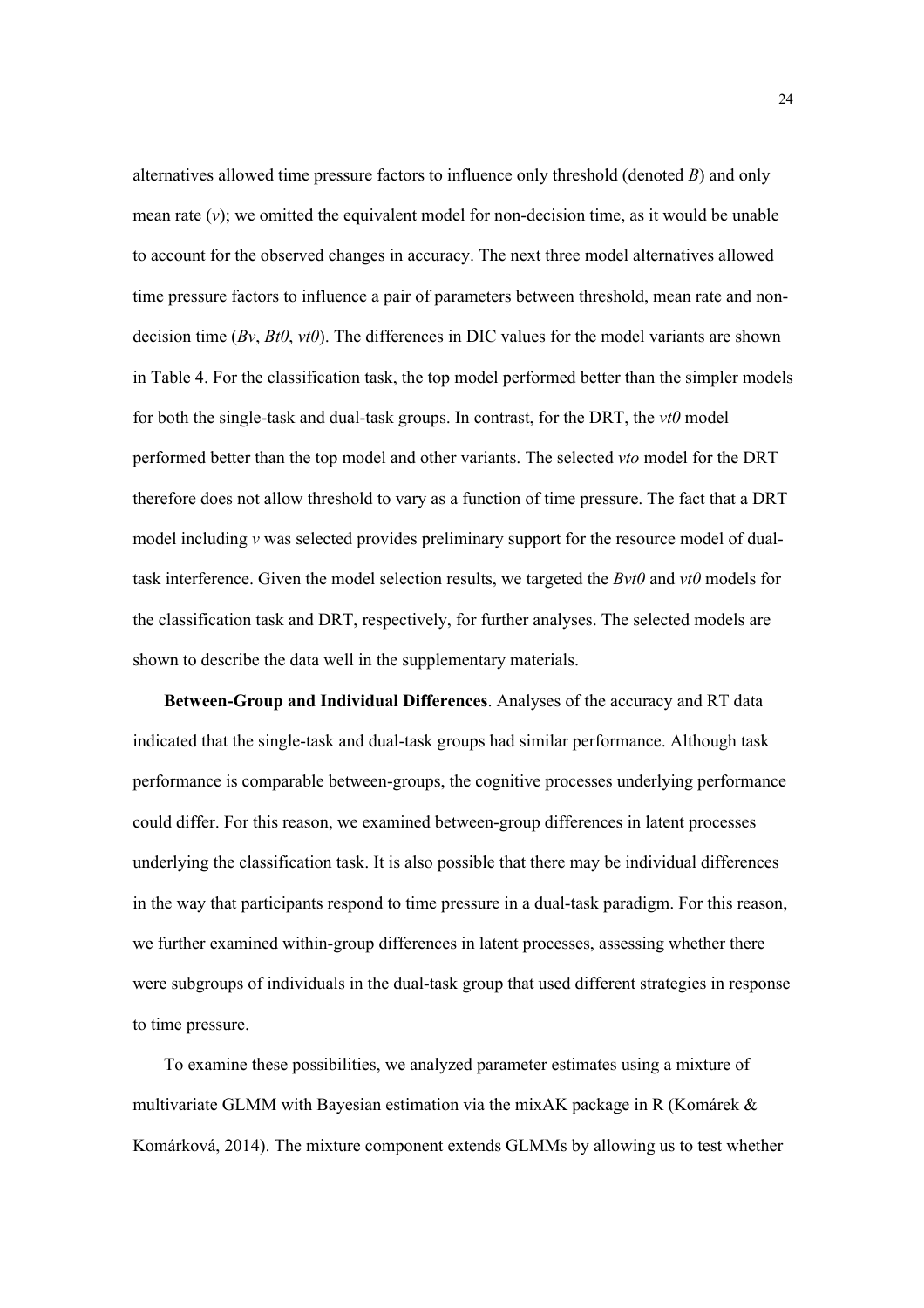alternatives allowed time pressure factors to influence only threshold (denoted *B*) and only mean rate  $(v)$ ; we omitted the equivalent model for non-decision time, as it would be unable to account for the observed changes in accuracy. The next three model alternatives allowed time pressure factors to influence a pair of parameters between threshold, mean rate and nondecision time (*Bv*, *Bt0*, *vt0*). The differences in DIC values for the model variants are shown in Table 4. For the classification task, the top model performed better than the simpler models for both the single-task and dual-task groups. In contrast, for the DRT, the *vt0* model performed better than the top model and other variants. The selected *vto* model for the DRT therefore does not allow threshold to vary as a function of time pressure. The fact that a DRT model including *v* was selected provides preliminary support for the resource model of dualtask interference. Given the model selection results, we targeted the *Bvt0* and *vt0* models for the classification task and DRT, respectively, for further analyses. The selected models are shown to describe the data well in the supplementary materials.

**Between-Group and Individual Differences**. Analyses of the accuracy and RT data indicated that the single-task and dual-task groups had similar performance. Although task performance is comparable between-groups, the cognitive processes underlying performance could differ. For this reason, we examined between-group differences in latent processes underlying the classification task. It is also possible that there may be individual differences in the way that participants respond to time pressure in a dual-task paradigm. For this reason, we further examined within-group differences in latent processes, assessing whether there were subgroups of individuals in the dual-task group that used different strategies in response to time pressure.

To examine these possibilities, we analyzed parameter estimates using a mixture of multivariate GLMM with Bayesian estimation via the mixAK package in R (Komárek & Komárková, 2014). The mixture component extends GLMMs by allowing us to test whether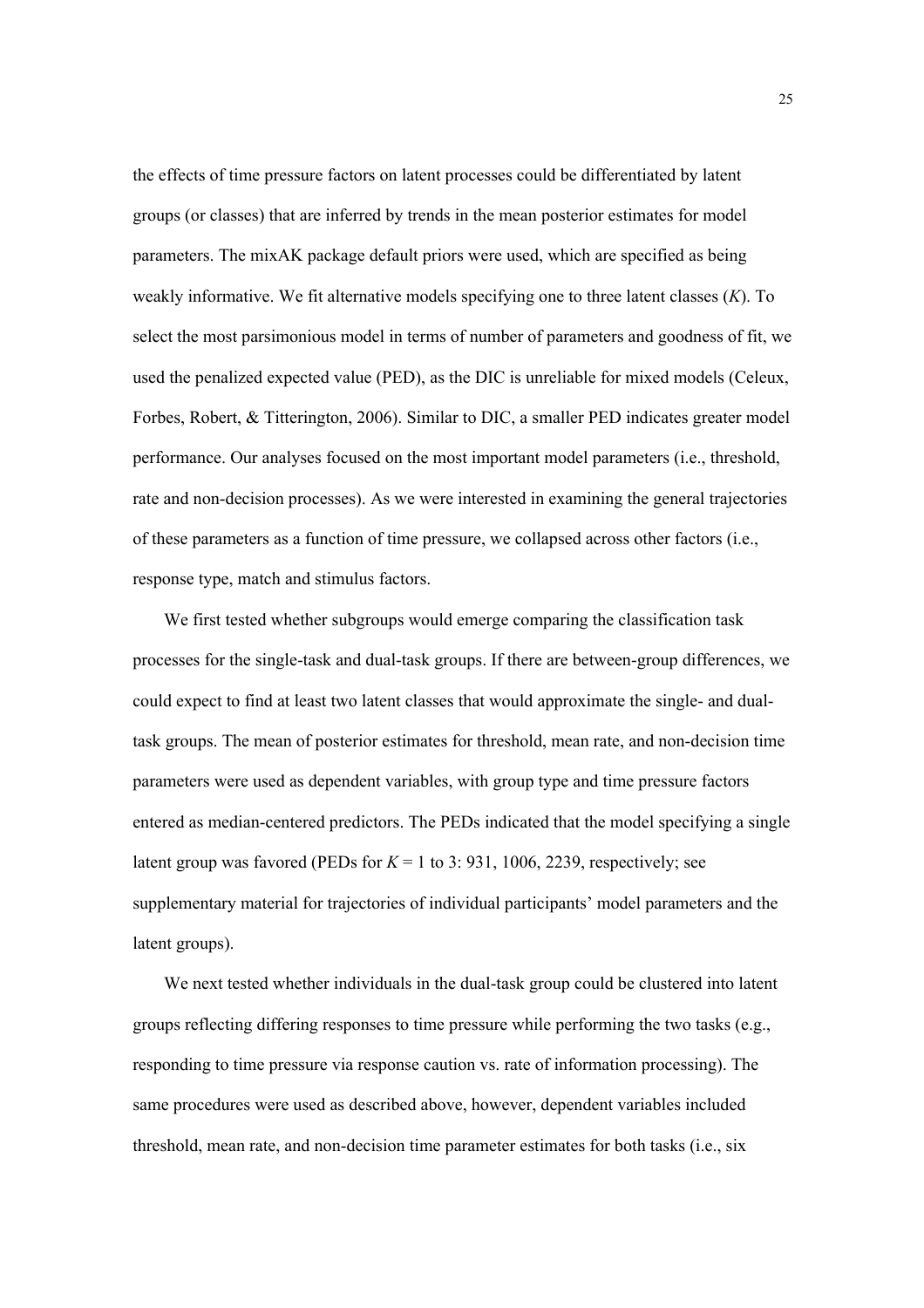the effects of time pressure factors on latent processes could be differentiated by latent groups (or classes) that are inferred by trends in the mean posterior estimates for model parameters. The mixAK package default priors were used, which are specified as being weakly informative. We fit alternative models specifying one to three latent classes (*K*). To select the most parsimonious model in terms of number of parameters and goodness of fit, we used the penalized expected value (PED), as the DIC is unreliable for mixed models (Celeux, Forbes, Robert, & Titterington, 2006). Similar to DIC, a smaller PED indicates greater model performance. Our analyses focused on the most important model parameters (i.e., threshold, rate and non-decision processes). As we were interested in examining the general trajectories of these parameters as a function of time pressure, we collapsed across other factors (i.e., response type, match and stimulus factors.

We first tested whether subgroups would emerge comparing the classification task processes for the single-task and dual-task groups. If there are between-group differences, we could expect to find at least two latent classes that would approximate the single- and dualtask groups. The mean of posterior estimates for threshold, mean rate, and non-decision time parameters were used as dependent variables, with group type and time pressure factors entered as median-centered predictors. The PEDs indicated that the model specifying a single latent group was favored (PEDs for  $K = 1$  to 3: 931, 1006, 2239, respectively; see supplementary material for trajectories of individual participants' model parameters and the latent groups).

We next tested whether individuals in the dual-task group could be clustered into latent groups reflecting differing responses to time pressure while performing the two tasks (e.g., responding to time pressure via response caution vs. rate of information processing). The same procedures were used as described above, however, dependent variables included threshold, mean rate, and non-decision time parameter estimates for both tasks (i.e., six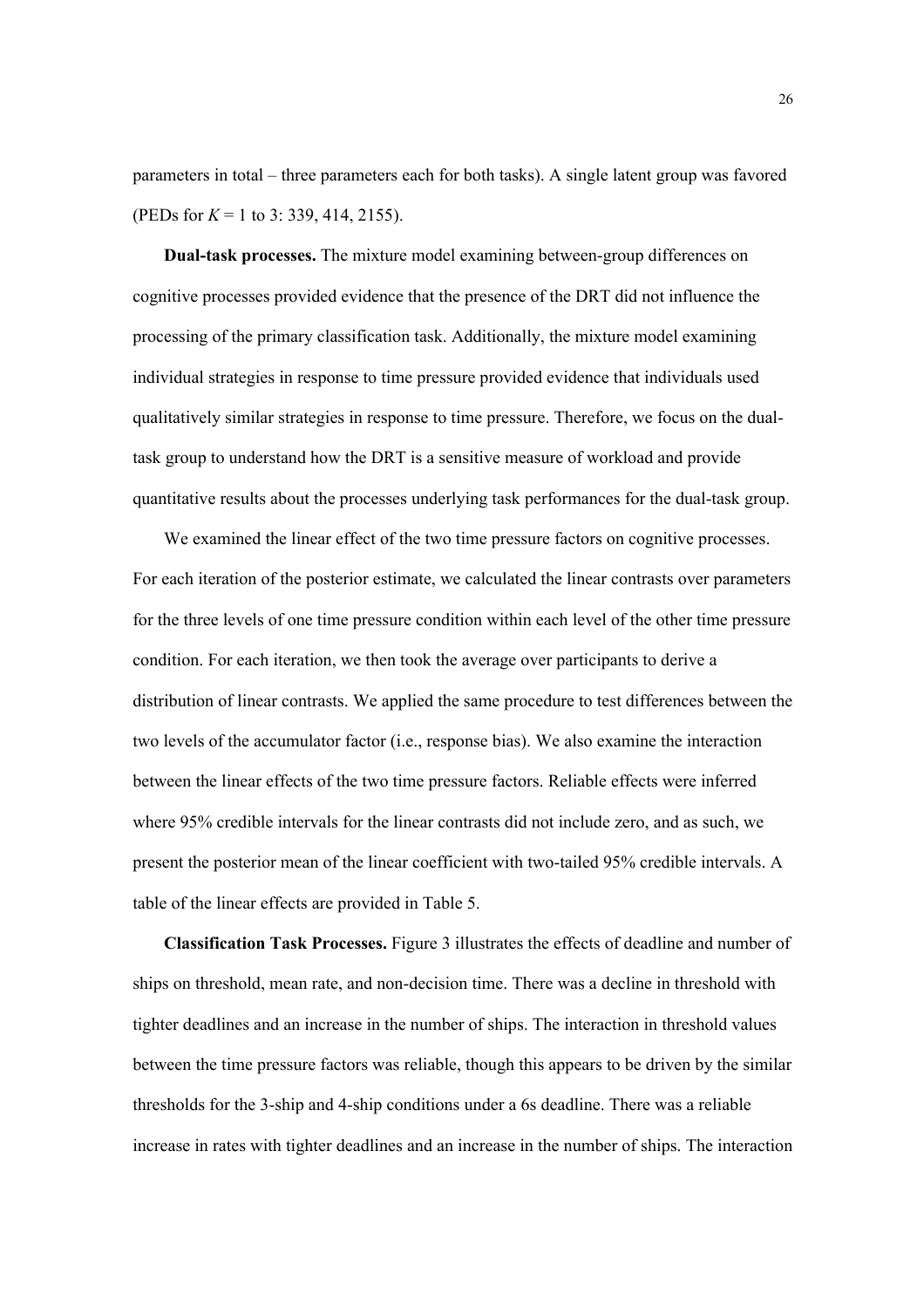parameters in total – three parameters each for both tasks). A single latent group was favored (PEDs for *K* = 1 to 3: 339, 414, 2155).

**Dual-task processes.** The mixture model examining between-group differences on cognitive processes provided evidence that the presence of the DRT did not influence the processing of the primary classification task. Additionally, the mixture model examining individual strategies in response to time pressure provided evidence that individuals used qualitatively similar strategies in response to time pressure. Therefore, we focus on the dualtask group to understand how the DRT is a sensitive measure of workload and provide quantitative results about the processes underlying task performances for the dual-task group.

We examined the linear effect of the two time pressure factors on cognitive processes. For each iteration of the posterior estimate, we calculated the linear contrasts over parameters for the three levels of one time pressure condition within each level of the other time pressure condition. For each iteration, we then took the average over participants to derive a distribution of linear contrasts. We applied the same procedure to test differences between the two levels of the accumulator factor (i.e., response bias). We also examine the interaction between the linear effects of the two time pressure factors. Reliable effects were inferred where 95% credible intervals for the linear contrasts did not include zero, and as such, we present the posterior mean of the linear coefficient with two-tailed 95% credible intervals. A table of the linear effects are provided in Table 5.

**Classification Task Processes.** Figure 3 illustrates the effects of deadline and number of ships on threshold, mean rate, and non-decision time. There was a decline in threshold with tighter deadlines and an increase in the number of ships. The interaction in threshold values between the time pressure factors was reliable, though this appears to be driven by the similar thresholds for the 3-ship and 4-ship conditions under a 6s deadline. There was a reliable increase in rates with tighter deadlines and an increase in the number of ships. The interaction

26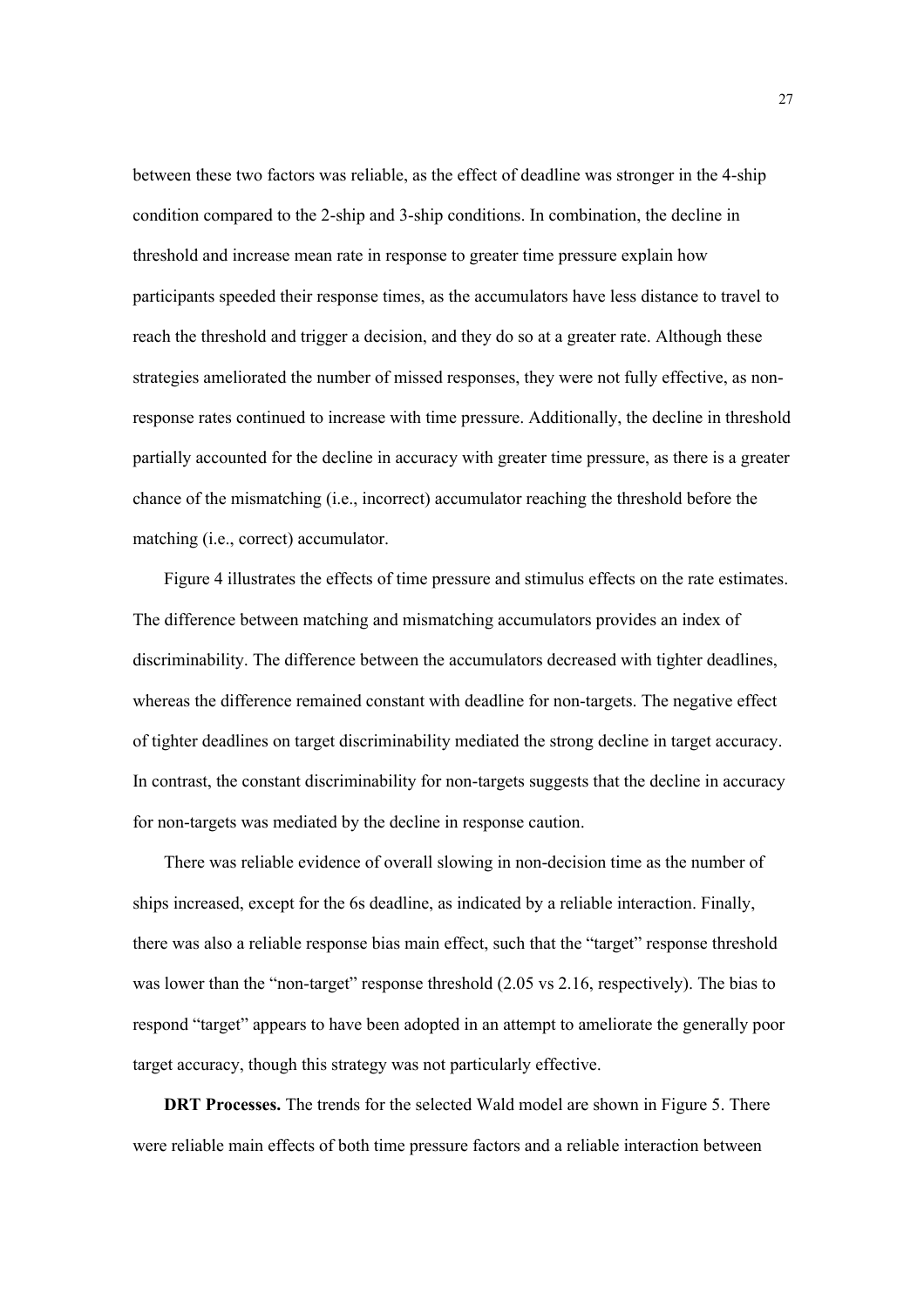between these two factors was reliable, as the effect of deadline was stronger in the 4-ship condition compared to the 2-ship and 3-ship conditions. In combination, the decline in threshold and increase mean rate in response to greater time pressure explain how participants speeded their response times, as the accumulators have less distance to travel to reach the threshold and trigger a decision, and they do so at a greater rate. Although these strategies ameliorated the number of missed responses, they were not fully effective, as nonresponse rates continued to increase with time pressure. Additionally, the decline in threshold partially accounted for the decline in accuracy with greater time pressure, as there is a greater chance of the mismatching (i.e., incorrect) accumulator reaching the threshold before the matching (i.e., correct) accumulator.

Figure 4 illustrates the effects of time pressure and stimulus effects on the rate estimates. The difference between matching and mismatching accumulators provides an index of discriminability. The difference between the accumulators decreased with tighter deadlines, whereas the difference remained constant with deadline for non-targets. The negative effect of tighter deadlines on target discriminability mediated the strong decline in target accuracy. In contrast, the constant discriminability for non-targets suggests that the decline in accuracy for non-targets was mediated by the decline in response caution.

There was reliable evidence of overall slowing in non-decision time as the number of ships increased, except for the 6s deadline, as indicated by a reliable interaction. Finally, there was also a reliable response bias main effect, such that the "target" response threshold was lower than the "non-target" response threshold  $(2.05 \text{ vs } 2.16, \text{ respectively})$ . The bias to respond "target" appears to have been adopted in an attempt to ameliorate the generally poor target accuracy, though this strategy was not particularly effective.

**DRT Processes.** The trends for the selected Wald model are shown in Figure 5. There were reliable main effects of both time pressure factors and a reliable interaction between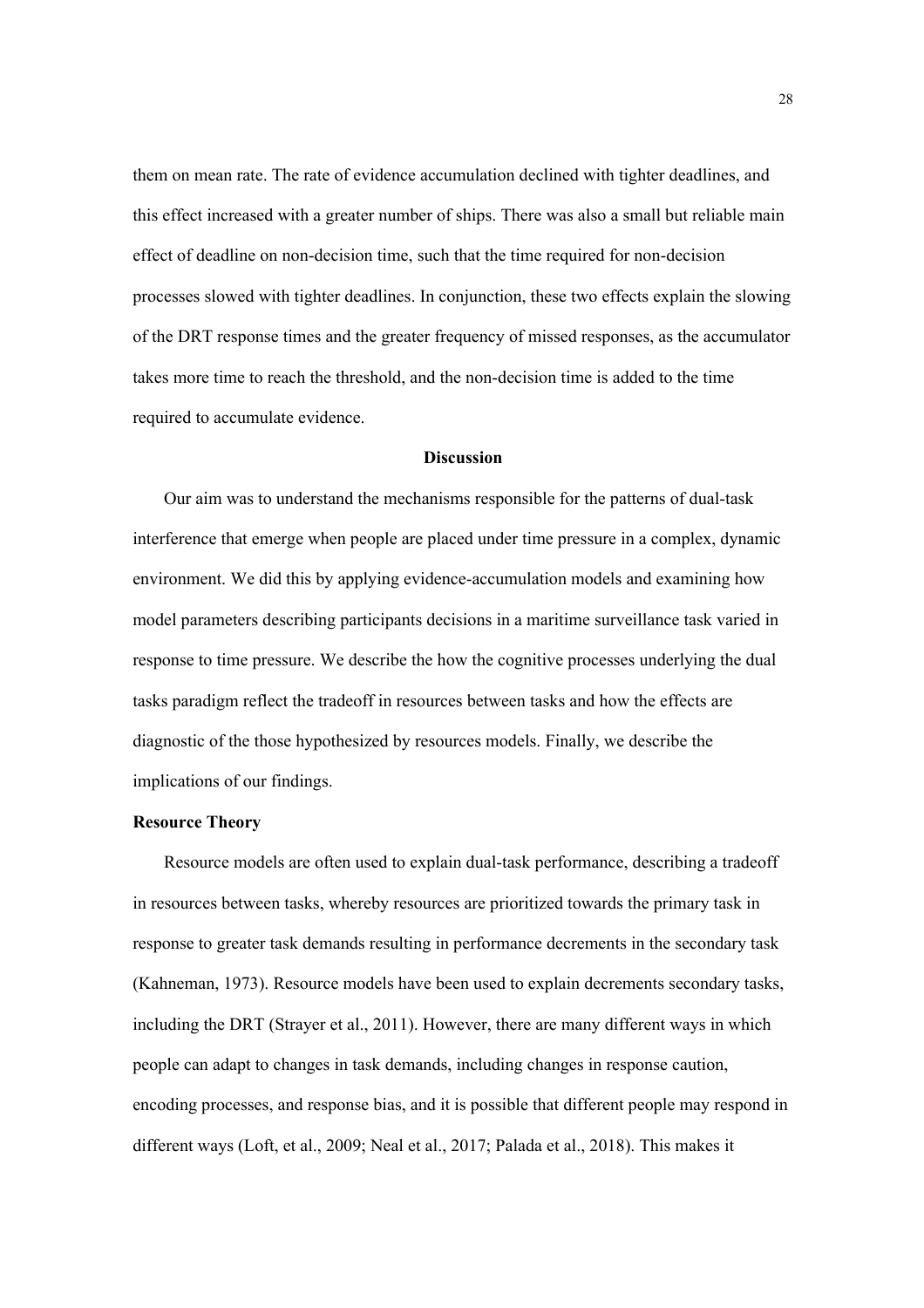them on mean rate. The rate of evidence accumulation declined with tighter deadlines, and this effect increased with a greater number of ships. There was also a small but reliable main effect of deadline on non-decision time, such that the time required for non-decision processes slowed with tighter deadlines. In conjunction, these two effects explain the slowing of the DRT response times and the greater frequency of missed responses, as the accumulator takes more time to reach the threshold, and the non-decision time is added to the time required to accumulate evidence.

#### **Discussion**

Our aim was to understand the mechanisms responsible for the patterns of dual-task interference that emerge when people are placed under time pressure in a complex, dynamic environment. We did this by applying evidence-accumulation models and examining how model parameters describing participants decisions in a maritime surveillance task varied in response to time pressure. We describe the how the cognitive processes underlying the dual tasks paradigm reflect the tradeoff in resources between tasks and how the effects are diagnostic of the those hypothesized by resources models. Finally, we describe the implications of our findings.

## **Resource Theory**

Resource models are often used to explain dual-task performance, describing a tradeoff in resources between tasks, whereby resources are prioritized towards the primary task in response to greater task demands resulting in performance decrements in the secondary task (Kahneman, 1973). Resource models have been used to explain decrements secondary tasks, including the DRT (Strayer et al., 2011). However, there are many different ways in which people can adapt to changes in task demands, including changes in response caution, encoding processes, and response bias, and it is possible that different people may respond in different ways (Loft, et al., 2009; Neal et al., 2017; Palada et al., 2018). This makes it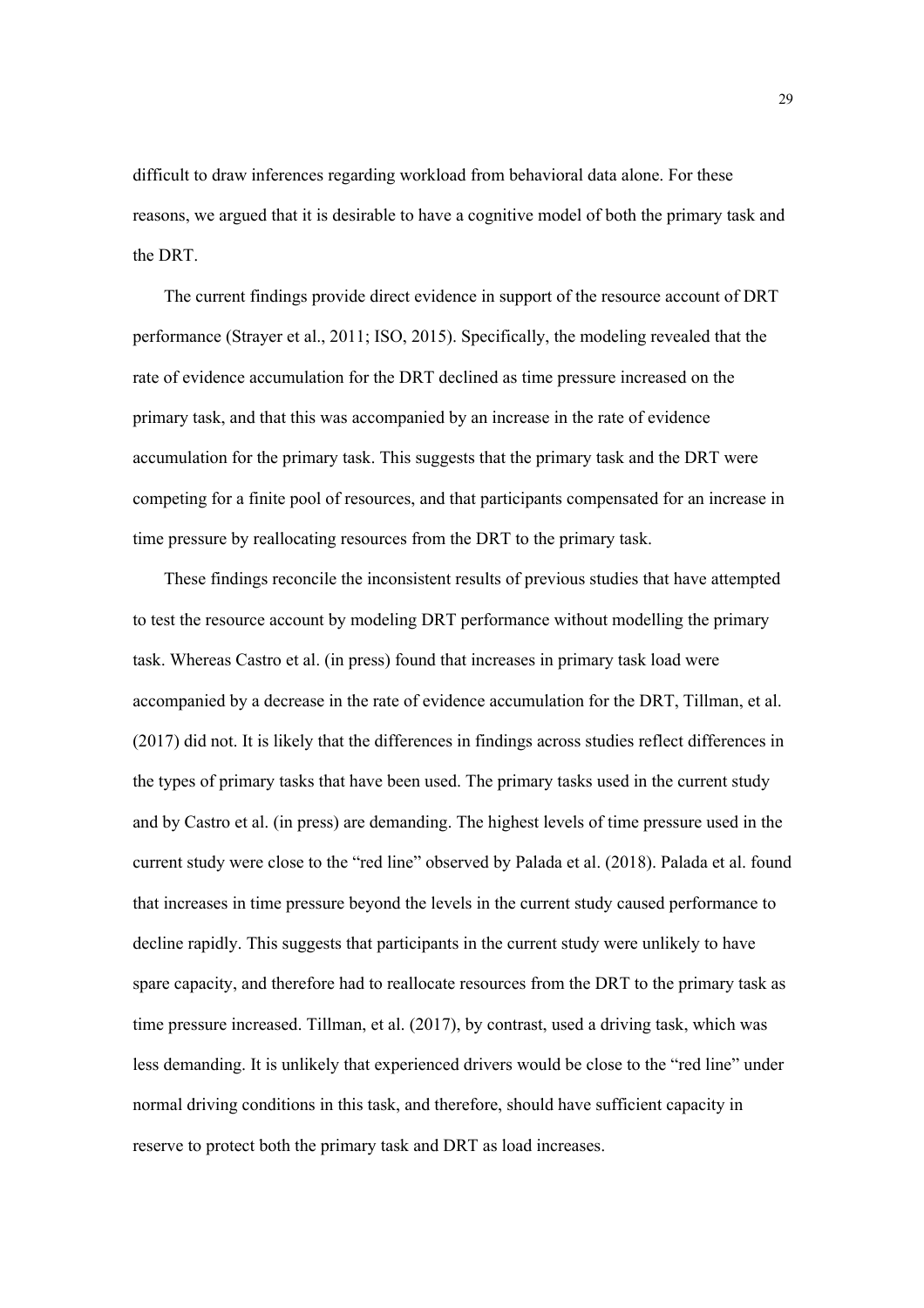difficult to draw inferences regarding workload from behavioral data alone. For these reasons, we argued that it is desirable to have a cognitive model of both the primary task and the DRT.

The current findings provide direct evidence in support of the resource account of DRT performance (Strayer et al., 2011; ISO, 2015). Specifically, the modeling revealed that the rate of evidence accumulation for the DRT declined as time pressure increased on the primary task, and that this was accompanied by an increase in the rate of evidence accumulation for the primary task. This suggests that the primary task and the DRT were competing for a finite pool of resources, and that participants compensated for an increase in time pressure by reallocating resources from the DRT to the primary task.

These findings reconcile the inconsistent results of previous studies that have attempted to test the resource account by modeling DRT performance without modelling the primary task. Whereas Castro et al. (in press) found that increases in primary task load were accompanied by a decrease in the rate of evidence accumulation for the DRT, Tillman, et al. (2017) did not. It is likely that the differences in findings across studies reflect differences in the types of primary tasks that have been used. The primary tasks used in the current study and by Castro et al. (in press) are demanding. The highest levels of time pressure used in the current study were close to the "red line" observed by Palada et al. (2018). Palada et al. found that increases in time pressure beyond the levels in the current study caused performance to decline rapidly. This suggests that participants in the current study were unlikely to have spare capacity, and therefore had to reallocate resources from the DRT to the primary task as time pressure increased. Tillman, et al. (2017), by contrast, used a driving task, which was less demanding. It is unlikely that experienced drivers would be close to the "red line" under normal driving conditions in this task, and therefore, should have sufficient capacity in reserve to protect both the primary task and DRT as load increases.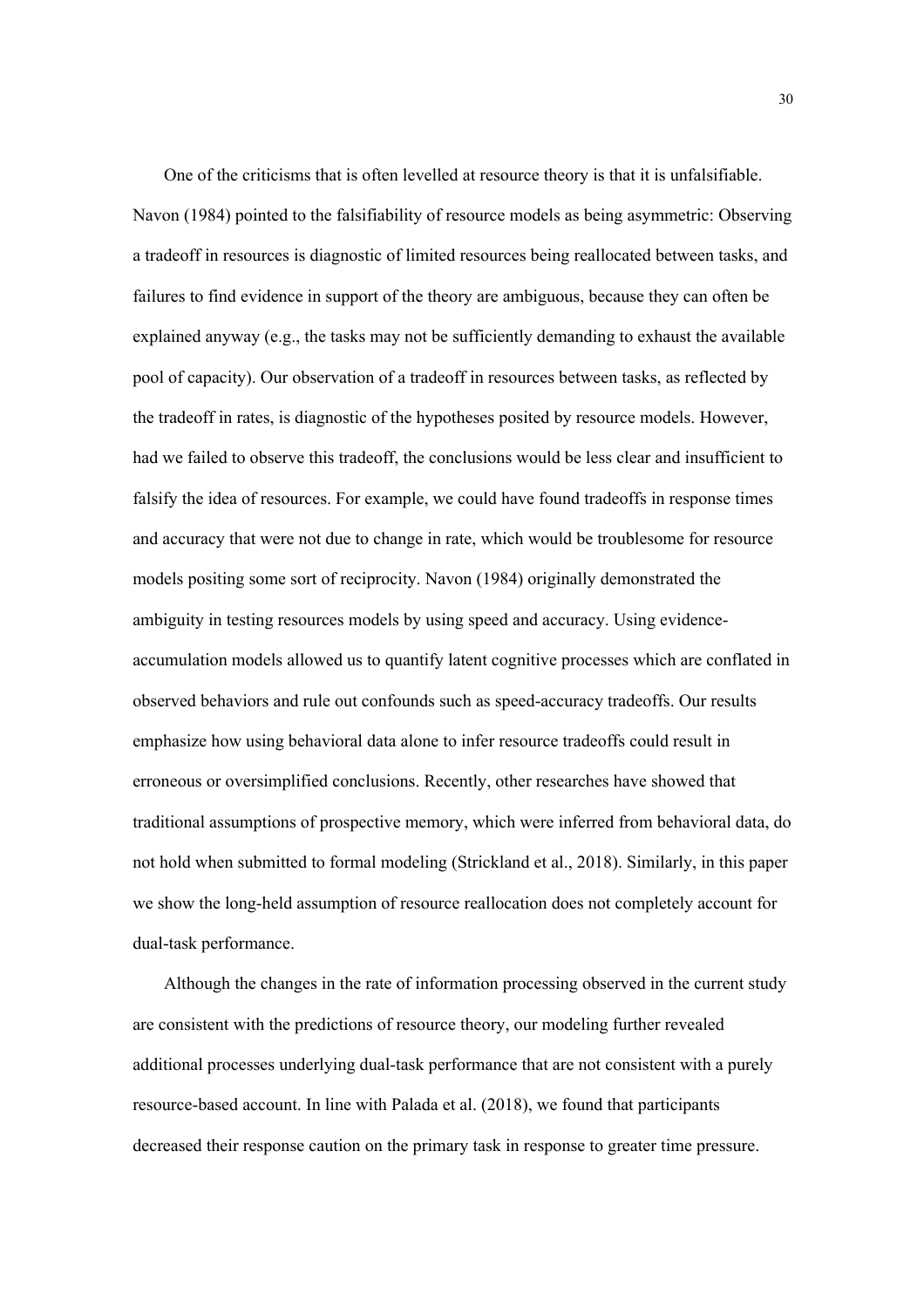One of the criticisms that is often levelled at resource theory is that it is unfalsifiable. Navon (1984) pointed to the falsifiability of resource models as being asymmetric: Observing a tradeoff in resources is diagnostic of limited resources being reallocated between tasks, and failures to find evidence in support of the theory are ambiguous, because they can often be explained anyway (e.g., the tasks may not be sufficiently demanding to exhaust the available pool of capacity). Our observation of a tradeoff in resources between tasks, as reflected by the tradeoff in rates, is diagnostic of the hypotheses posited by resource models. However, had we failed to observe this tradeoff, the conclusions would be less clear and insufficient to falsify the idea of resources. For example, we could have found tradeoffs in response times and accuracy that were not due to change in rate, which would be troublesome for resource models positing some sort of reciprocity. Navon (1984) originally demonstrated the ambiguity in testing resources models by using speed and accuracy. Using evidenceaccumulation models allowed us to quantify latent cognitive processes which are conflated in observed behaviors and rule out confounds such as speed-accuracy tradeoffs. Our results emphasize how using behavioral data alone to infer resource tradeoffs could result in erroneous or oversimplified conclusions. Recently, other researches have showed that traditional assumptions of prospective memory, which were inferred from behavioral data, do not hold when submitted to formal modeling (Strickland et al., 2018). Similarly, in this paper we show the long-held assumption of resource reallocation does not completely account for dual-task performance.

Although the changes in the rate of information processing observed in the current study are consistent with the predictions of resource theory, our modeling further revealed additional processes underlying dual-task performance that are not consistent with a purely resource-based account. In line with Palada et al. (2018), we found that participants decreased their response caution on the primary task in response to greater time pressure.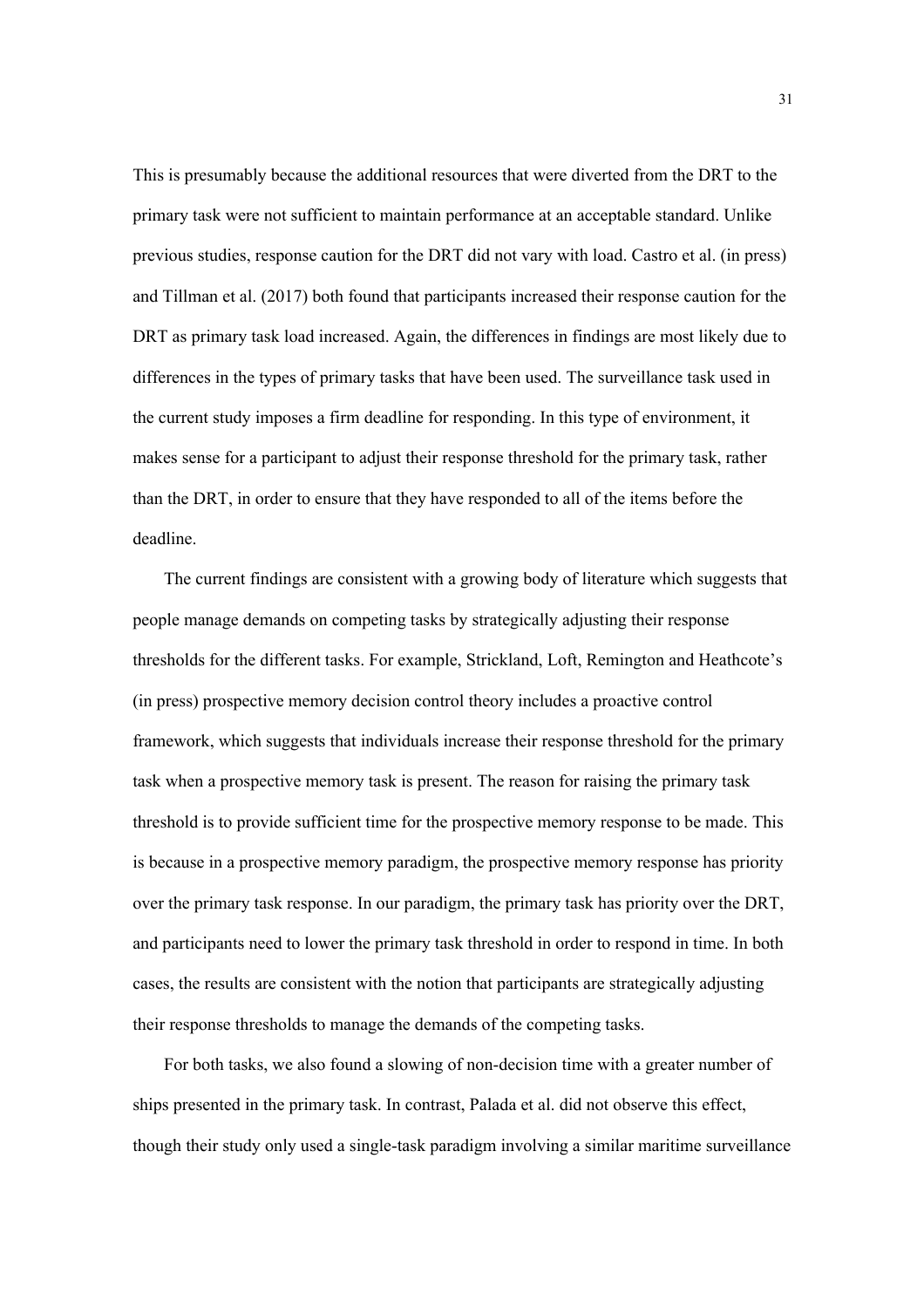This is presumably because the additional resources that were diverted from the DRT to the primary task were not sufficient to maintain performance at an acceptable standard. Unlike previous studies, response caution for the DRT did not vary with load. Castro et al. (in press) and Tillman et al. (2017) both found that participants increased their response caution for the DRT as primary task load increased. Again, the differences in findings are most likely due to differences in the types of primary tasks that have been used. The surveillance task used in the current study imposes a firm deadline for responding. In this type of environment, it makes sense for a participant to adjust their response threshold for the primary task, rather than the DRT, in order to ensure that they have responded to all of the items before the deadline.

The current findings are consistent with a growing body of literature which suggests that people manage demands on competing tasks by strategically adjusting their response thresholds for the different tasks. For example, Strickland, Loft, Remington and Heathcote's (in press) prospective memory decision control theory includes a proactive control framework, which suggests that individuals increase their response threshold for the primary task when a prospective memory task is present. The reason for raising the primary task threshold is to provide sufficient time for the prospective memory response to be made. This is because in a prospective memory paradigm, the prospective memory response has priority over the primary task response. In our paradigm, the primary task has priority over the DRT, and participants need to lower the primary task threshold in order to respond in time. In both cases, the results are consistent with the notion that participants are strategically adjusting their response thresholds to manage the demands of the competing tasks.

For both tasks, we also found a slowing of non-decision time with a greater number of ships presented in the primary task. In contrast, Palada et al. did not observe this effect, though their study only used a single-task paradigm involving a similar maritime surveillance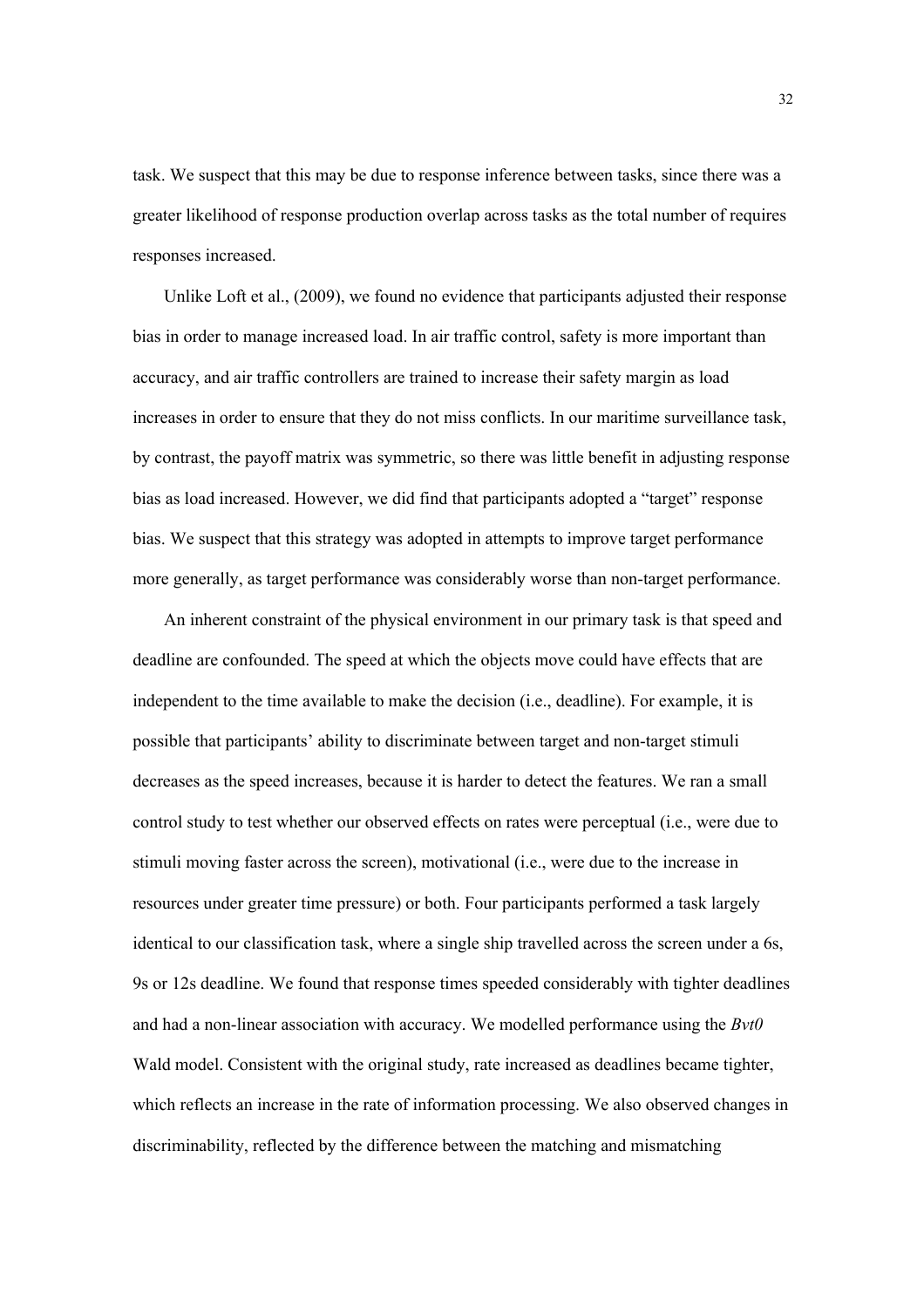task. We suspect that this may be due to response inference between tasks, since there was a greater likelihood of response production overlap across tasks as the total number of requires responses increased.

Unlike Loft et al., (2009), we found no evidence that participants adjusted their response bias in order to manage increased load. In air traffic control, safety is more important than accuracy, and air traffic controllers are trained to increase their safety margin as load increases in order to ensure that they do not miss conflicts. In our maritime surveillance task, by contrast, the payoff matrix was symmetric, so there was little benefit in adjusting response bias as load increased. However, we did find that participants adopted a "target" response bias. We suspect that this strategy was adopted in attempts to improve target performance more generally, as target performance was considerably worse than non-target performance.

An inherent constraint of the physical environment in our primary task is that speed and deadline are confounded. The speed at which the objects move could have effects that are independent to the time available to make the decision (i.e., deadline). For example, it is possible that participants' ability to discriminate between target and non-target stimuli decreases as the speed increases, because it is harder to detect the features. We ran a small control study to test whether our observed effects on rates were perceptual (i.e., were due to stimuli moving faster across the screen), motivational (i.e., were due to the increase in resources under greater time pressure) or both. Four participants performed a task largely identical to our classification task, where a single ship travelled across the screen under a 6s, 9s or 12s deadline. We found that response times speeded considerably with tighter deadlines and had a non-linear association with accuracy. We modelled performance using the *Bvt0* Wald model. Consistent with the original study, rate increased as deadlines became tighter, which reflects an increase in the rate of information processing. We also observed changes in discriminability, reflected by the difference between the matching and mismatching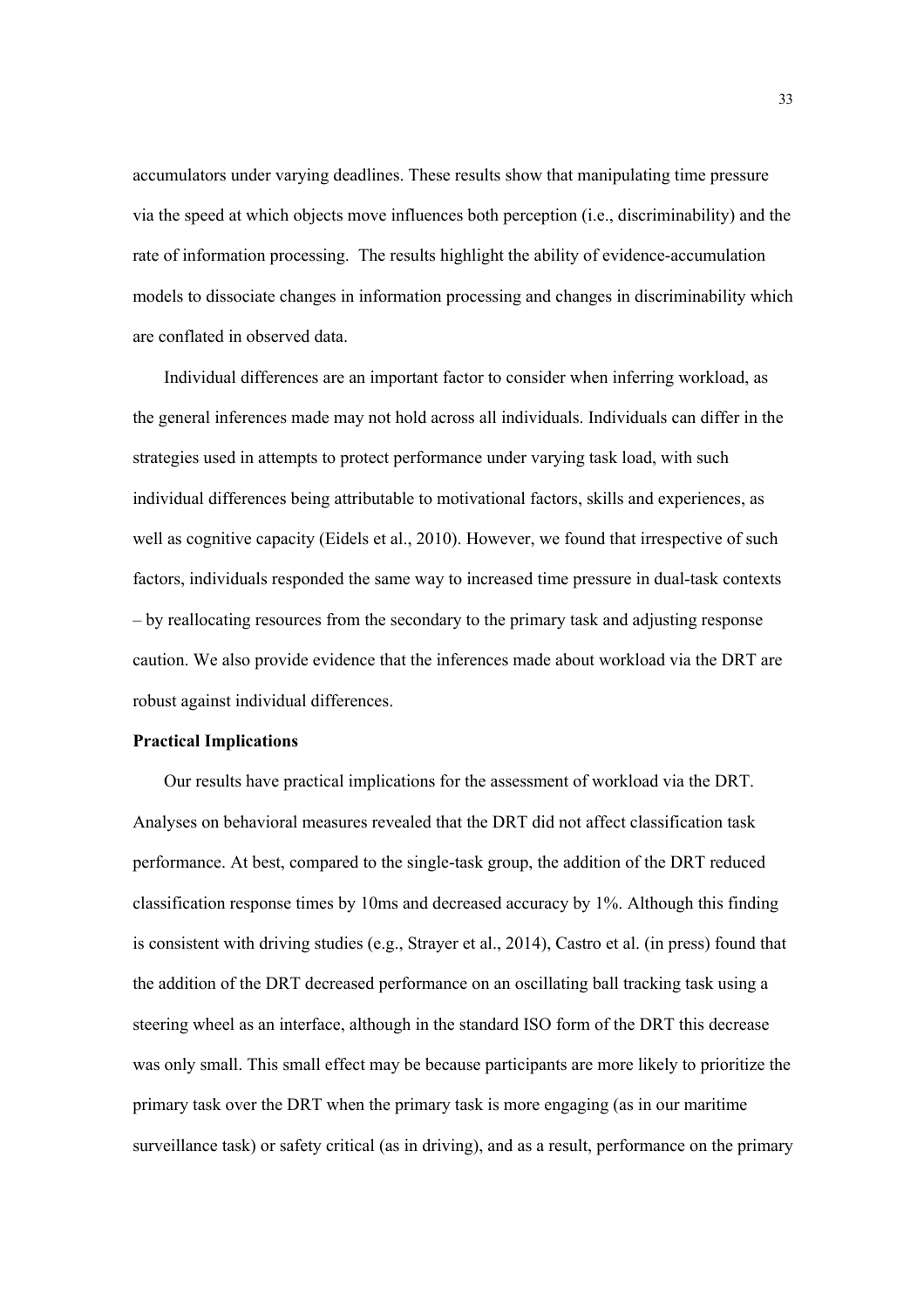accumulators under varying deadlines. These results show that manipulating time pressure via the speed at which objects move influences both perception (i.e., discriminability) and the rate of information processing. The results highlight the ability of evidence-accumulation models to dissociate changes in information processing and changes in discriminability which are conflated in observed data.

Individual differences are an important factor to consider when inferring workload, as the general inferences made may not hold across all individuals. Individuals can differ in the strategies used in attempts to protect performance under varying task load, with such individual differences being attributable to motivational factors, skills and experiences, as well as cognitive capacity (Eidels et al., 2010). However, we found that irrespective of such factors, individuals responded the same way to increased time pressure in dual-task contexts – by reallocating resources from the secondary to the primary task and adjusting response caution. We also provide evidence that the inferences made about workload via the DRT are robust against individual differences.

# **Practical Implications**

Our results have practical implications for the assessment of workload via the DRT. Analyses on behavioral measures revealed that the DRT did not affect classification task performance. At best, compared to the single-task group, the addition of the DRT reduced classification response times by 10ms and decreased accuracy by 1%. Although this finding is consistent with driving studies (e.g., Strayer et al., 2014), Castro et al. (in press) found that the addition of the DRT decreased performance on an oscillating ball tracking task using a steering wheel as an interface, although in the standard ISO form of the DRT this decrease was only small. This small effect may be because participants are more likely to prioritize the primary task over the DRT when the primary task is more engaging (as in our maritime surveillance task) or safety critical (as in driving), and as a result, performance on the primary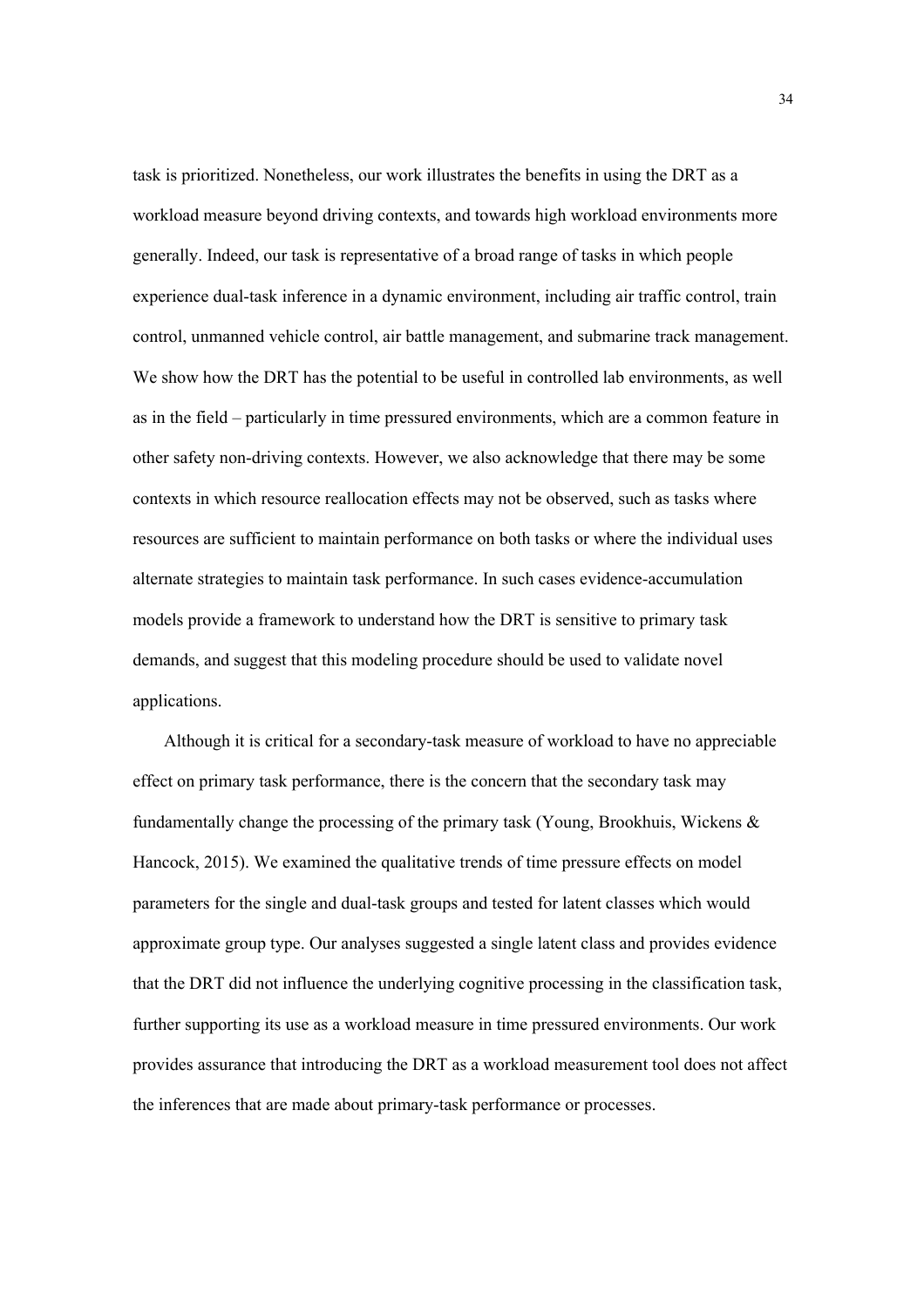task is prioritized. Nonetheless, our work illustrates the benefits in using the DRT as a workload measure beyond driving contexts, and towards high workload environments more generally. Indeed, our task is representative of a broad range of tasks in which people experience dual-task inference in a dynamic environment, including air traffic control, train control, unmanned vehicle control, air battle management, and submarine track management. We show how the DRT has the potential to be useful in controlled lab environments, as well as in the field – particularly in time pressured environments, which are a common feature in other safety non-driving contexts. However, we also acknowledge that there may be some contexts in which resource reallocation effects may not be observed, such as tasks where resources are sufficient to maintain performance on both tasks or where the individual uses alternate strategies to maintain task performance. In such cases evidence-accumulation models provide a framework to understand how the DRT is sensitive to primary task demands, and suggest that this modeling procedure should be used to validate novel applications.

Although it is critical for a secondary-task measure of workload to have no appreciable effect on primary task performance, there is the concern that the secondary task may fundamentally change the processing of the primary task (Young, Brookhuis, Wickens & Hancock, 2015). We examined the qualitative trends of time pressure effects on model parameters for the single and dual-task groups and tested for latent classes which would approximate group type. Our analyses suggested a single latent class and provides evidence that the DRT did not influence the underlying cognitive processing in the classification task, further supporting its use as a workload measure in time pressured environments. Our work provides assurance that introducing the DRT as a workload measurement tool does not affect the inferences that are made about primary-task performance or processes.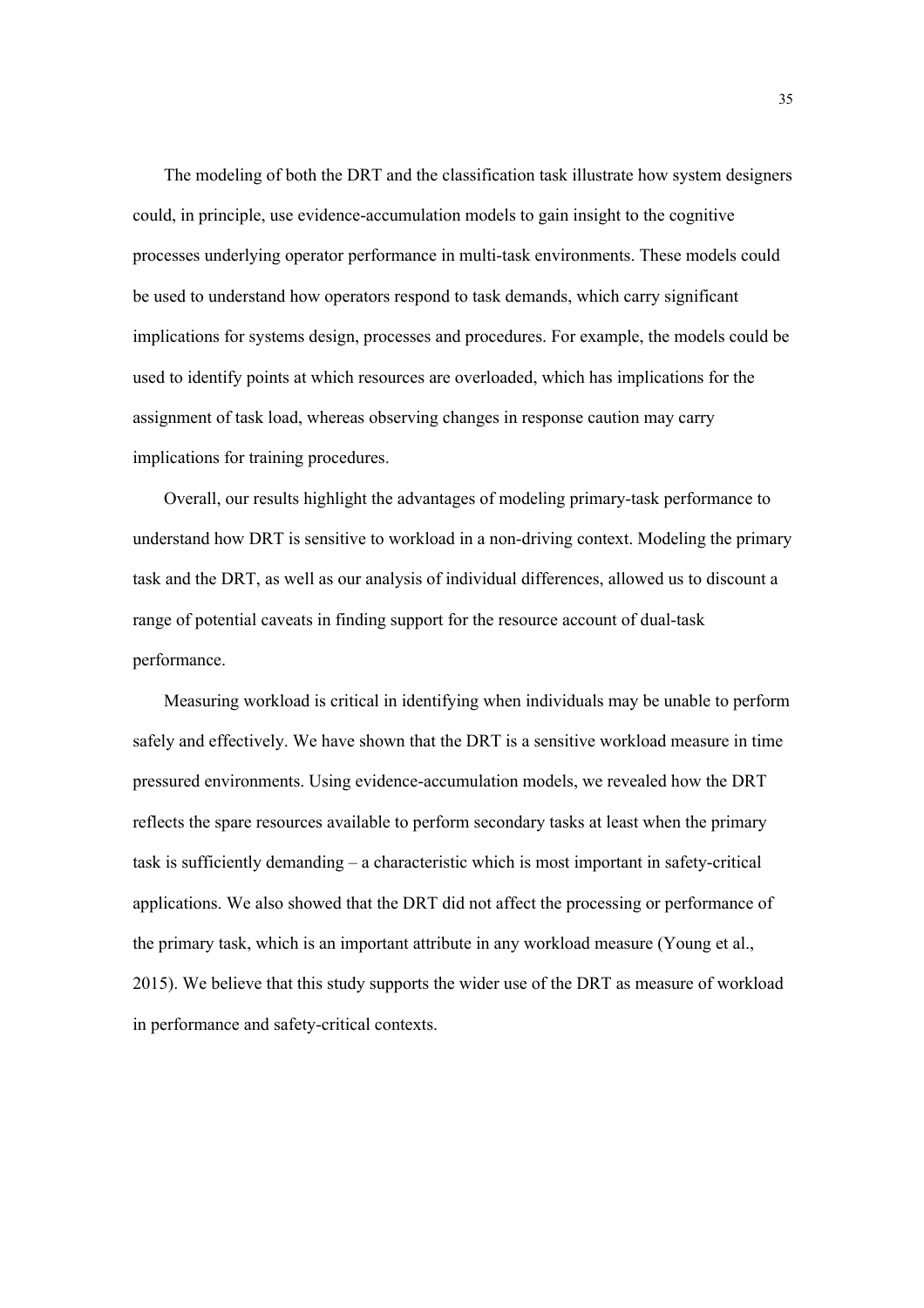The modeling of both the DRT and the classification task illustrate how system designers could, in principle, use evidence-accumulation models to gain insight to the cognitive processes underlying operator performance in multi-task environments. These models could be used to understand how operators respond to task demands, which carry significant implications for systems design, processes and procedures. For example, the models could be used to identify points at which resources are overloaded, which has implications for the assignment of task load, whereas observing changes in response caution may carry implications for training procedures.

Overall, our results highlight the advantages of modeling primary-task performance to understand how DRT is sensitive to workload in a non-driving context. Modeling the primary task and the DRT, as well as our analysis of individual differences, allowed us to discount a range of potential caveats in finding support for the resource account of dual-task performance.

Measuring workload is critical in identifying when individuals may be unable to perform safely and effectively. We have shown that the DRT is a sensitive workload measure in time pressured environments. Using evidence-accumulation models, we revealed how the DRT reflects the spare resources available to perform secondary tasks at least when the primary task is sufficiently demanding – a characteristic which is most important in safety-critical applications. We also showed that the DRT did not affect the processing or performance of the primary task, which is an important attribute in any workload measure (Young et al., 2015). We believe that this study supports the wider use of the DRT as measure of workload in performance and safety-critical contexts.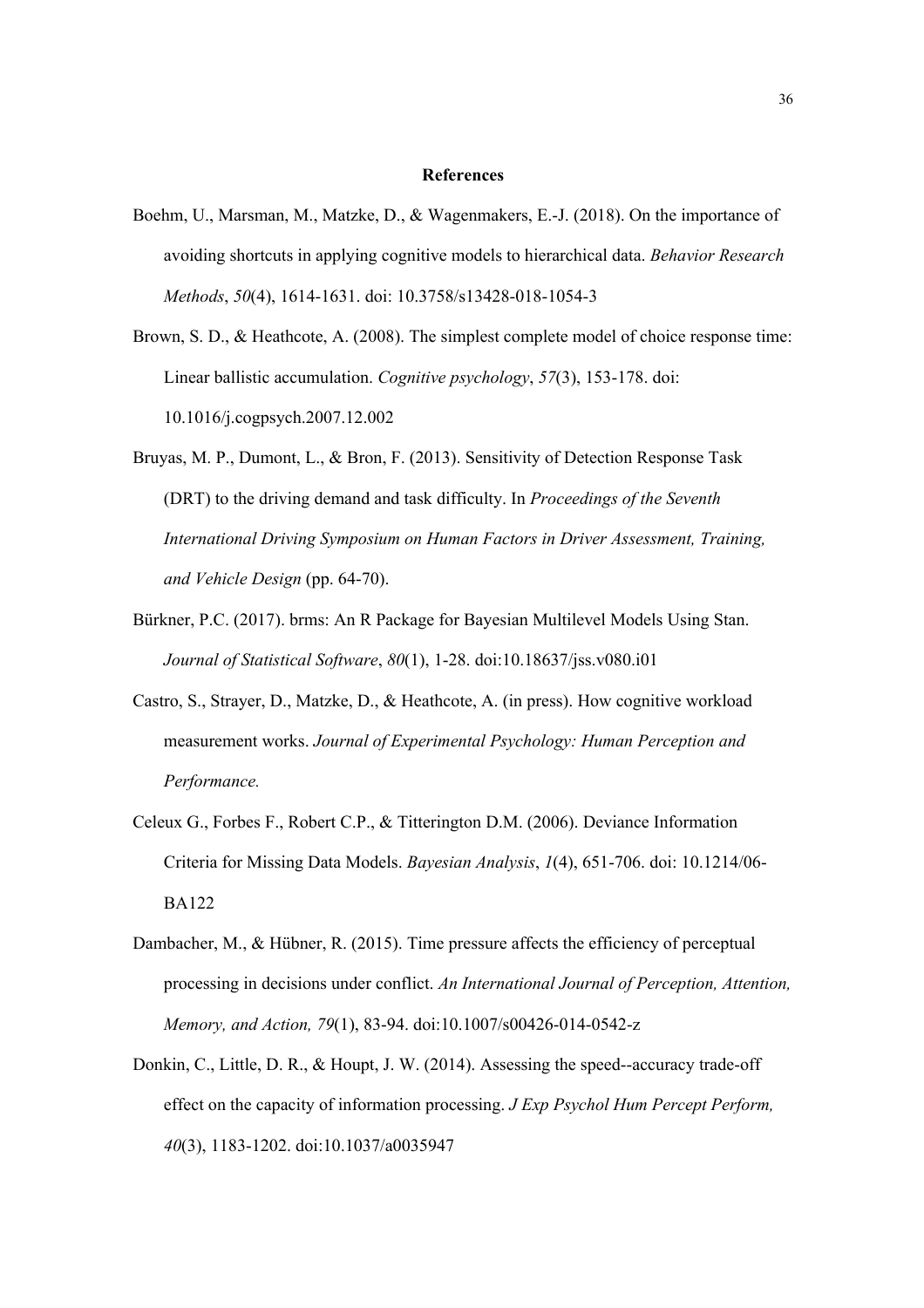### **References**

- Boehm, U., Marsman, M., Matzke, D., & Wagenmakers, E.-J. (2018). On the importance of avoiding shortcuts in applying cognitive models to hierarchical data. *Behavior Research Methods*, *50*(4), 1614-1631. doi: 10.3758/s13428-018-1054-3
- Brown, S. D., & Heathcote, A. (2008). The simplest complete model of choice response time: Linear ballistic accumulation. *Cognitive psychology*, *57*(3), 153-178. doi: 10.1016/j.cogpsych.2007.12.002
- Bruyas, M. P., Dumont, L., & Bron, F. (2013). Sensitivity of Detection Response Task (DRT) to the driving demand and task difficulty. In *Proceedings of the Seventh International Driving Symposium on Human Factors in Driver Assessment, Training, and Vehicle Design* (pp. 64-70).
- Bürkner, P.C. (2017). brms: An R Package for Bayesian Multilevel Models Using Stan. *Journal of Statistical Software*, *80*(1), 1-28. doi:10.18637/jss.v080.i01
- Castro, S., Strayer, D., Matzke, D., & Heathcote, A. (in press). How cognitive workload measurement works. *Journal of Experimental Psychology: Human Perception and Performance.*
- Celeux G., Forbes F., Robert C.P., & Titterington D.M. (2006). Deviance Information Criteria for Missing Data Models. *Bayesian Analysis*, *1*(4), 651-706. doi: 10.1214/06- BA122
- Dambacher, M., & Hübner, R. (2015). Time pressure affects the efficiency of perceptual processing in decisions under conflict. *An International Journal of Perception, Attention, Memory, and Action, 79*(1), 83-94. doi:10.1007/s00426-014-0542-z
- Donkin, C., Little, D. R., & Houpt, J. W. (2014). Assessing the speed--accuracy trade-off effect on the capacity of information processing. *J Exp Psychol Hum Percept Perform, 40*(3), 1183-1202. doi:10.1037/a0035947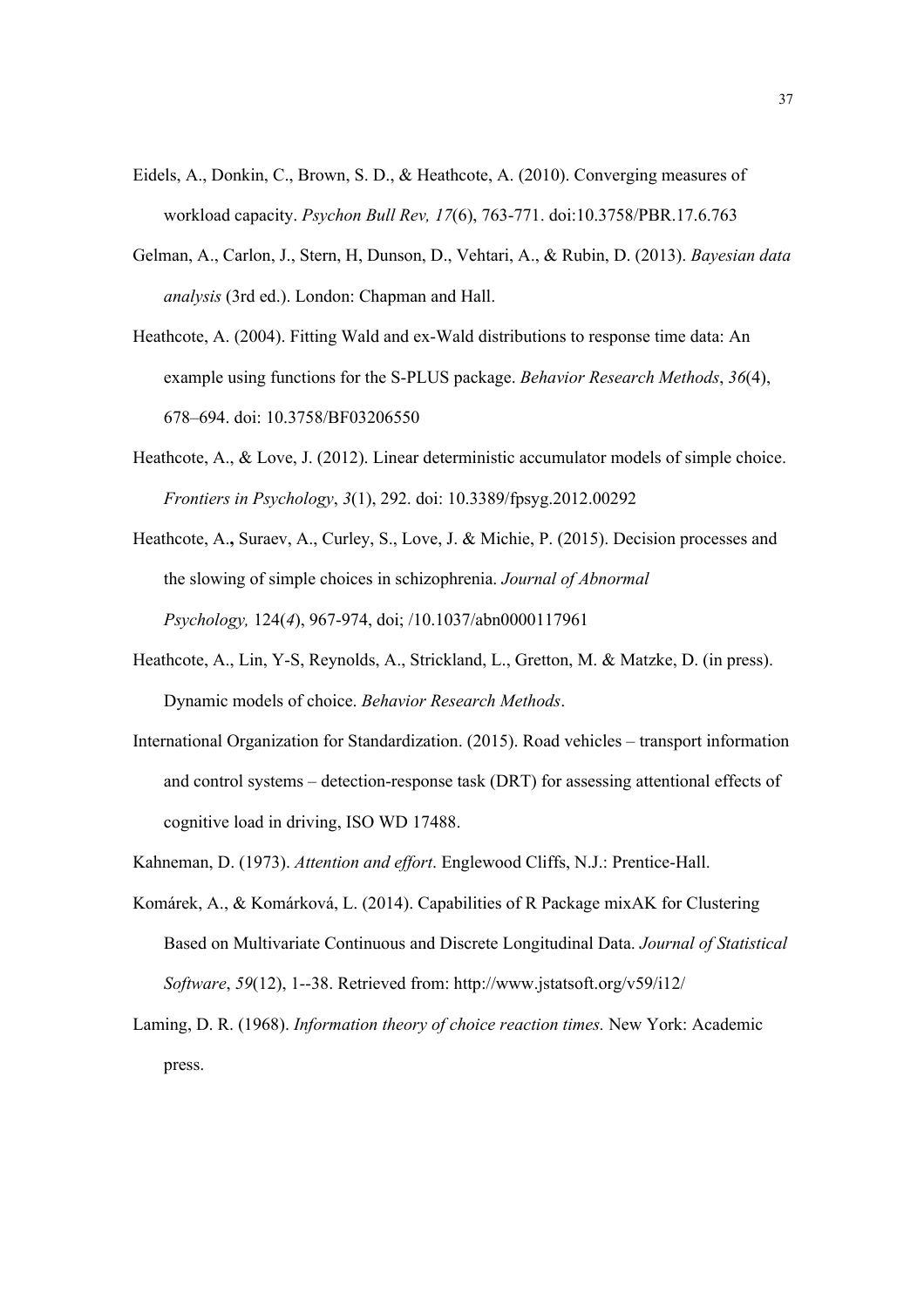- Eidels, A., Donkin, C., Brown, S. D., & Heathcote, A. (2010). Converging measures of workload capacity. *Psychon Bull Rev, 17*(6), 763-771. doi:10.3758/PBR.17.6.763
- Gelman, A., Carlon, J., Stern, H, Dunson, D., Vehtari, A., & Rubin, D. (2013). *Bayesian data analysis* (3rd ed.). London: Chapman and Hall.
- Heathcote, A. (2004). Fitting Wald and ex-Wald distributions to response time data: An example using functions for the S-PLUS package. *Behavior Research Methods*, *36*(4), 678–694. doi: 10.3758/BF03206550
- Heathcote, A., & Love, J. (2012). Linear deterministic accumulator models of simple choice. *Frontiers in Psychology*, *3*(1), 292. doi: 10.3389/fpsyg.2012.00292
- Heathcote, A.**,** Suraev, A., Curley, S., Love, J. & Michie, P. (2015). Decision processes and the slowing of simple choices in schizophrenia. *Journal of Abnormal Psychology,* 124(*4*), 967-974, doi; /10.1037/abn0000117961
- Heathcote, A., Lin, Y-S, Reynolds, A., Strickland, L., Gretton, M. & Matzke, D. (in press). Dynamic models of choice. *Behavior Research Methods*.
- International Organization for Standardization. (2015). Road vehicles transport information and control systems – detection-response task (DRT) for assessing attentional effects of cognitive load in driving, ISO WD 17488.
- Kahneman, D. (1973). *Attention and effort*. Englewood Cliffs, N.J.: Prentice-Hall.
- Komárek, A., & Komárková, L. (2014). Capabilities of R Package mixAK for Clustering Based on Multivariate Continuous and Discrete Longitudinal Data. *Journal of Statistical Software*, *59*(12), 1--38. Retrieved from: http://www.jstatsoft.org/v59/i12/
- Laming, D. R. (1968). *Information theory of choice reaction times.* New York: Academic press.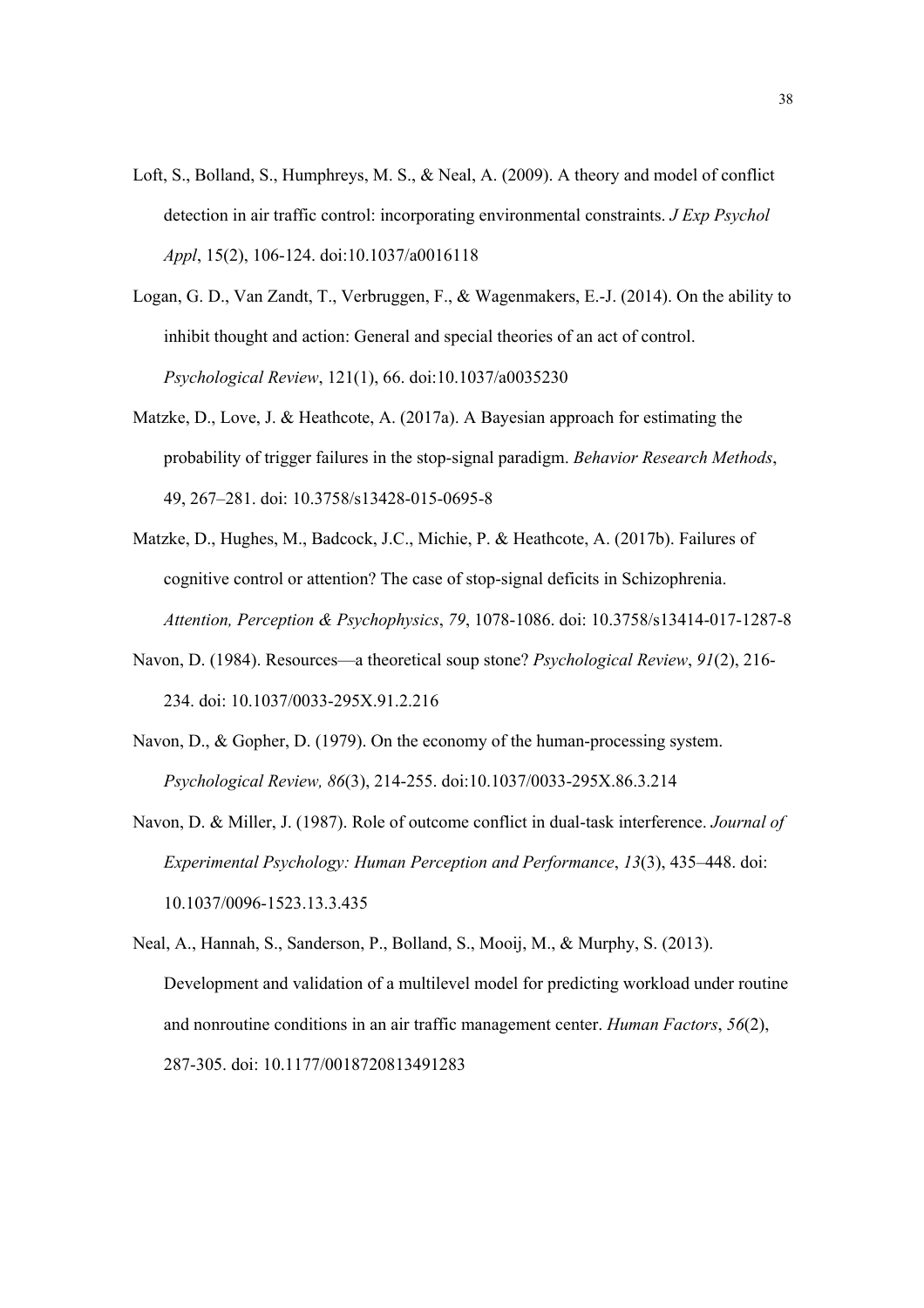- Loft, S., Bolland, S., Humphreys, M. S., & Neal, A. (2009). A theory and model of conflict detection in air traffic control: incorporating environmental constraints. *J Exp Psychol Appl*, 15(2), 106-124. doi:10.1037/a0016118
- Logan, G. D., Van Zandt, T., Verbruggen, F., & Wagenmakers, E.-J. (2014). On the ability to inhibit thought and action: General and special theories of an act of control. *Psychological Review*, 121(1), 66. doi:10.1037/a0035230
- Matzke, D., Love, J. & Heathcote, A. (2017a). A Bayesian approach for estimating the probability of trigger failures in the stop-signal paradigm. *Behavior Research Methods*, 49, 267–281. doi: 10.3758/s13428-015-0695-8
- Matzke, D., Hughes, M., Badcock, J.C., Michie, P. & Heathcote, A. (2017b). Failures of cognitive control or attention? The case of stop-signal deficits in Schizophrenia. *Attention, Perception & Psychophysics*, *79*, 1078-1086. doi: 10.3758/s13414-017-1287-8
- Navon, D. (1984). Resources—a theoretical soup stone? *Psychological Review*, *91*(2), 216- 234. doi: 10.1037/0033-295X.91.2.216
- Navon, D., & Gopher, D. (1979). On the economy of the human-processing system. *Psychological Review, 86*(3), 214-255. doi:10.1037/0033-295X.86.3.214
- Navon, D. & Miller, J. (1987). Role of outcome conflict in dual-task interference. *Journal of Experimental Psychology: Human Perception and Performance*, *13*(3), 435–448. doi: 10.1037/0096-1523.13.3.435
- Neal, A., Hannah, S., Sanderson, P., Bolland, S., Mooij, M., & Murphy, S. (2013). Development and validation of a multilevel model for predicting workload under routine and nonroutine conditions in an air traffic management center. *Human Factors*, *56*(2), 287-305. doi: 10.1177/0018720813491283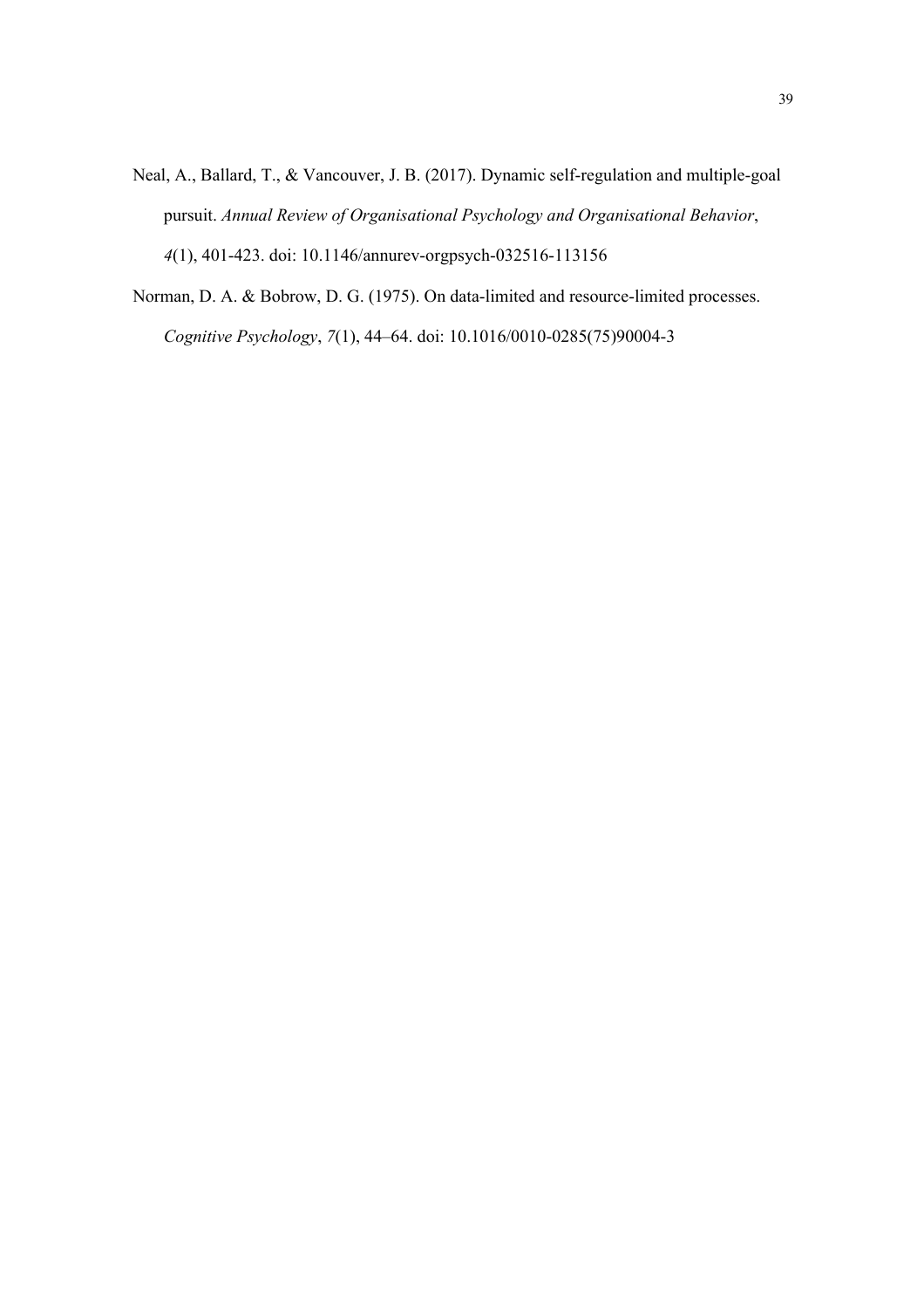- Neal, A., Ballard, T., & Vancouver, J. B. (2017). Dynamic self-regulation and multiple-goal pursuit. *Annual Review of Organisational Psychology and Organisational Behavior*, *4*(1), 401-423. doi: 10.1146/annurev-orgpsych-032516-113156
- Norman, D. A. & Bobrow, D. G. (1975). On data-limited and resource-limited processes. *Cognitive Psychology*, *7*(1), 44–64. doi: 10.1016/0010-0285(75)90004-3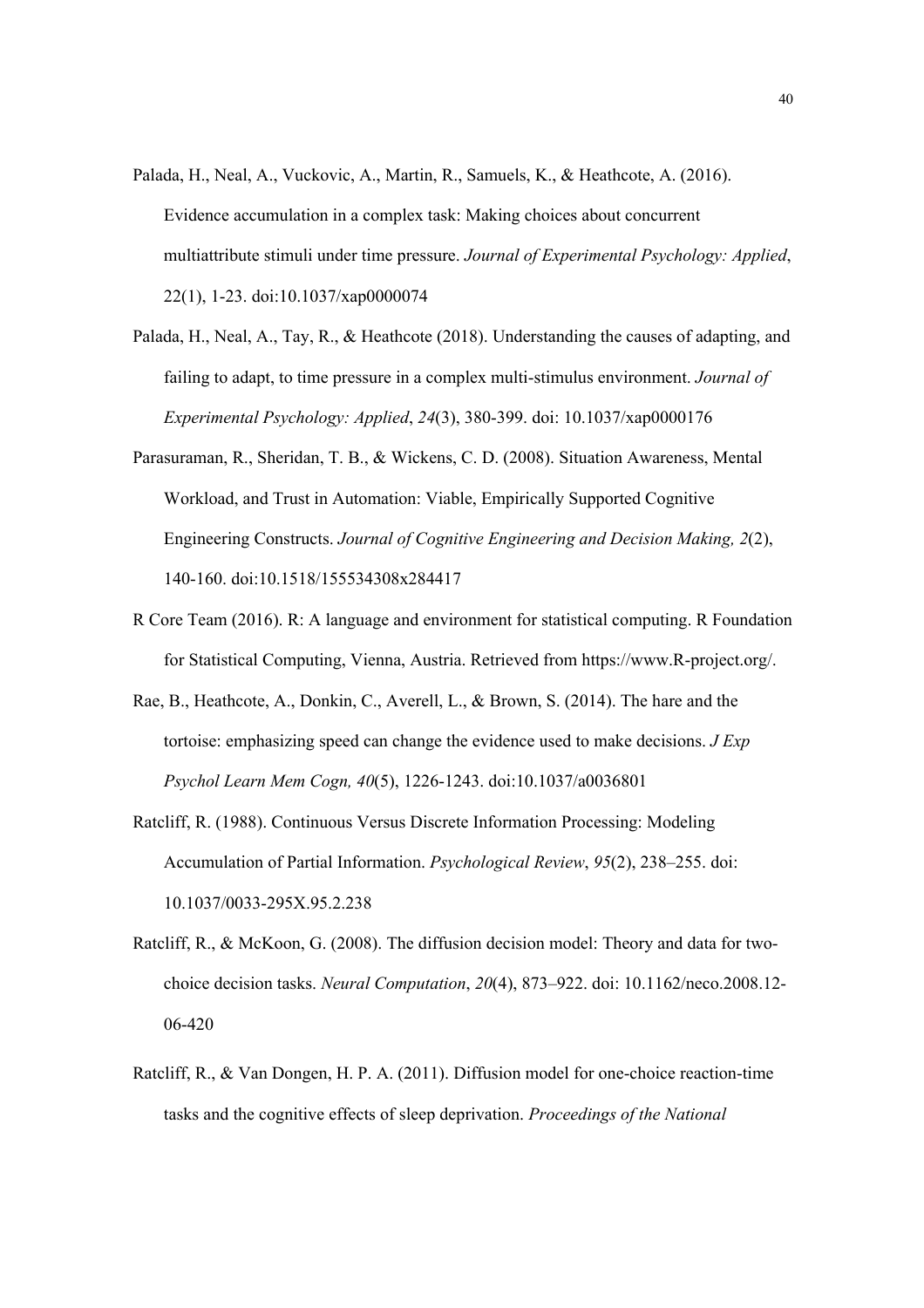- Palada, H., Neal, A., Vuckovic, A., Martin, R., Samuels, K., & Heathcote, A. (2016). Evidence accumulation in a complex task: Making choices about concurrent multiattribute stimuli under time pressure. *Journal of Experimental Psychology: Applied*, 22(1), 1-23. doi:10.1037/xap0000074
- Palada, H., Neal, A., Tay, R., & Heathcote (2018). Understanding the causes of adapting, and failing to adapt, to time pressure in a complex multi-stimulus environment. *Journal of Experimental Psychology: Applied*, *24*(3), 380-399. doi: 10.1037/xap0000176
- Parasuraman, R., Sheridan, T. B., & Wickens, C. D. (2008). Situation Awareness, Mental Workload, and Trust in Automation: Viable, Empirically Supported Cognitive Engineering Constructs. *Journal of Cognitive Engineering and Decision Making, 2*(2), 140-160. doi:10.1518/155534308x284417
- R Core Team (2016). R: A language and environment for statistical computing. R Foundation for Statistical Computing, Vienna, Austria. Retrieved from https://www.R-project.org/.
- Rae, B., Heathcote, A., Donkin, C., Averell, L., & Brown, S. (2014). The hare and the tortoise: emphasizing speed can change the evidence used to make decisions. *J Exp Psychol Learn Mem Cogn, 40*(5), 1226-1243. doi:10.1037/a0036801
- Ratcliff, R. (1988). Continuous Versus Discrete Information Processing: Modeling Accumulation of Partial Information. *Psychological Review*, *95*(2), 238–255. doi: 10.1037/0033-295X.95.2.238
- Ratcliff, R., & McKoon, G. (2008). The diffusion decision model: Theory and data for twochoice decision tasks. *Neural Computation*, *20*(4), 873–922. doi: 10.1162/neco.2008.12- 06-420
- Ratcliff, R., & Van Dongen, H. P. A. (2011). Diffusion model for one-choice reaction-time tasks and the cognitive effects of sleep deprivation. *Proceedings of the National*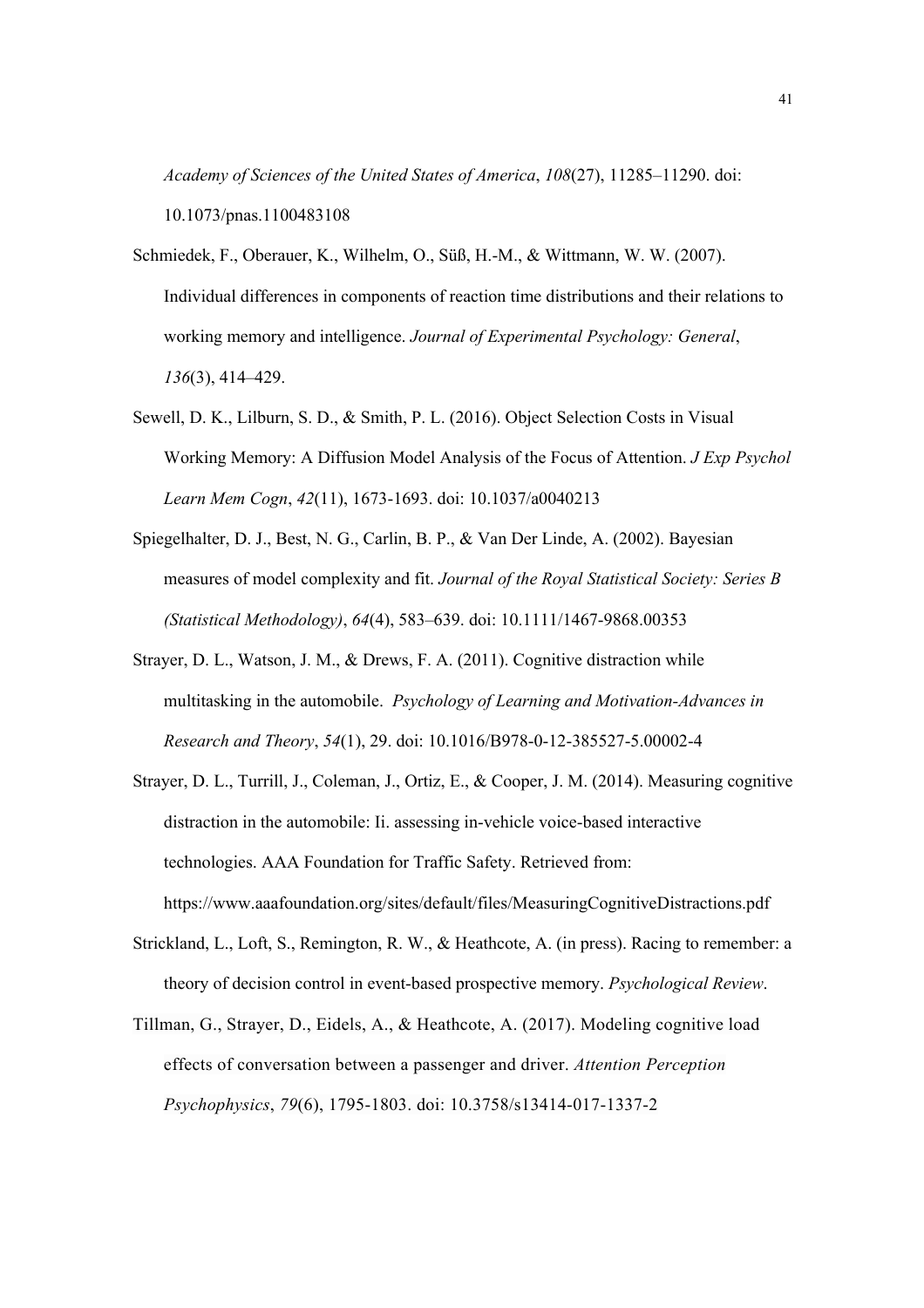*Academy of Sciences of the United States of America*, *108*(27), 11285–11290. doi: 10.1073/pnas.1100483108

- Schmiedek, F., Oberauer, K., Wilhelm, O., Süß, H.-M., & Wittmann, W. W. (2007). Individual differences in components of reaction time distributions and their relations to working memory and intelligence. *Journal of Experimental Psychology: General*, *136*(3), 414–429.
- Sewell, D. K., Lilburn, S. D., & Smith, P. L. (2016). Object Selection Costs in Visual Working Memory: A Diffusion Model Analysis of the Focus of Attention. *J Exp Psychol Learn Mem Cogn*, *42*(11), 1673-1693. doi: 10.1037/a0040213
- Spiegelhalter, D. J., Best, N. G., Carlin, B. P., & Van Der Linde, A. (2002). Bayesian measures of model complexity and fit. *Journal of the Royal Statistical Society: Series B (Statistical Methodology)*, *64*(4), 583–639. doi: 10.1111/1467-9868.00353
- Strayer, D. L., Watson, J. M., & Drews, F. A. (2011). Cognitive distraction while multitasking in the automobile. *Psychology of Learning and Motivation-Advances in Research and Theory*, *54*(1), 29. doi: 10.1016/B978-0-12-385527-5.00002-4
- Strayer, D. L., Turrill, J., Coleman, J., Ortiz, E., & Cooper, J. M. (2014). Measuring cognitive distraction in the automobile: Ii. assessing in-vehicle voice-based interactive technologies. AAA Foundation for Traffic Safety. Retrieved from: https://www.aaafoundation.org/sites/default/files/MeasuringCognitiveDistractions.pdf
- Strickland, L., Loft, S., Remington, R. W., & Heathcote, A. (in press). Racing to remember: a theory of decision control in event-based prospective memory. *Psychological Review*.
- Tillman, G., Strayer, D., Eidels, A., & Heathcote, A. (2017). Modeling cognitive load effects of conversation between a passenger and driver. *Attention Perception Psychophysics*, *79*(6), 1795-1803. doi: 10.3758/s13414-017-1337-2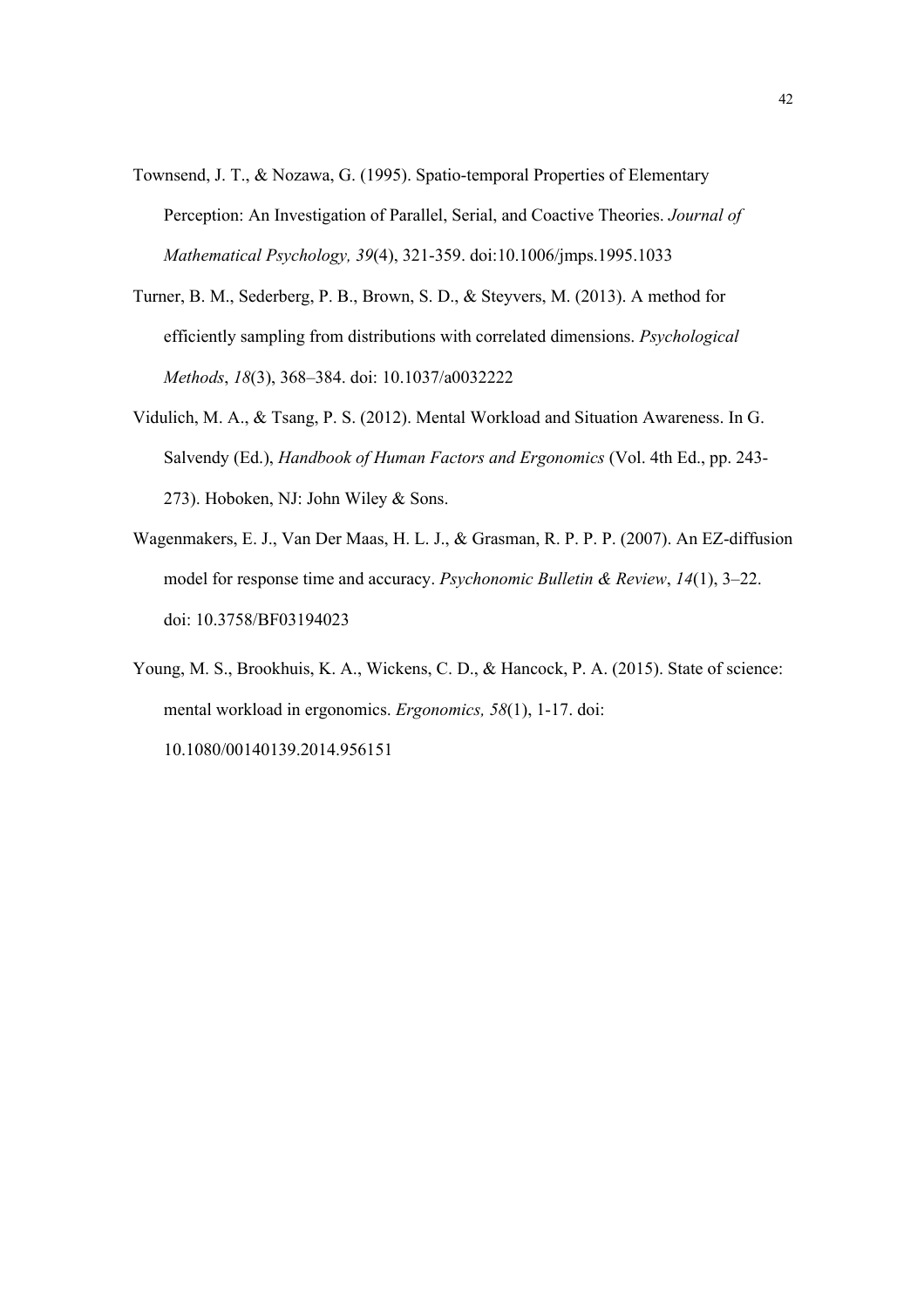- Townsend, J. T., & Nozawa, G. (1995). Spatio-temporal Properties of Elementary Perception: An Investigation of Parallel, Serial, and Coactive Theories. *Journal of Mathematical Psychology, 39*(4), 321-359. doi:10.1006/jmps.1995.1033
- Turner, B. M., Sederberg, P. B., Brown, S. D., & Steyvers, M. (2013). A method for efficiently sampling from distributions with correlated dimensions. *Psychological Methods*, *18*(3), 368–384. doi: 10.1037/a0032222
- Vidulich, M. A., & Tsang, P. S. (2012). Mental Workload and Situation Awareness. In G. Salvendy (Ed.), *Handbook of Human Factors and Ergonomics* (Vol. 4th Ed., pp. 243- 273). Hoboken, NJ: John Wiley & Sons.
- Wagenmakers, E. J., Van Der Maas, H. L. J., & Grasman, R. P. P. P. (2007). An EZ-diffusion model for response time and accuracy. *Psychonomic Bulletin & Review*, *14*(1), 3–22. doi: 10.3758/BF03194023

Young, M. S., Brookhuis, K. A., Wickens, C. D., & Hancock, P. A. (2015). State of science: mental workload in ergonomics. *Ergonomics, 58*(1), 1-17. doi: 10.1080/00140139.2014.956151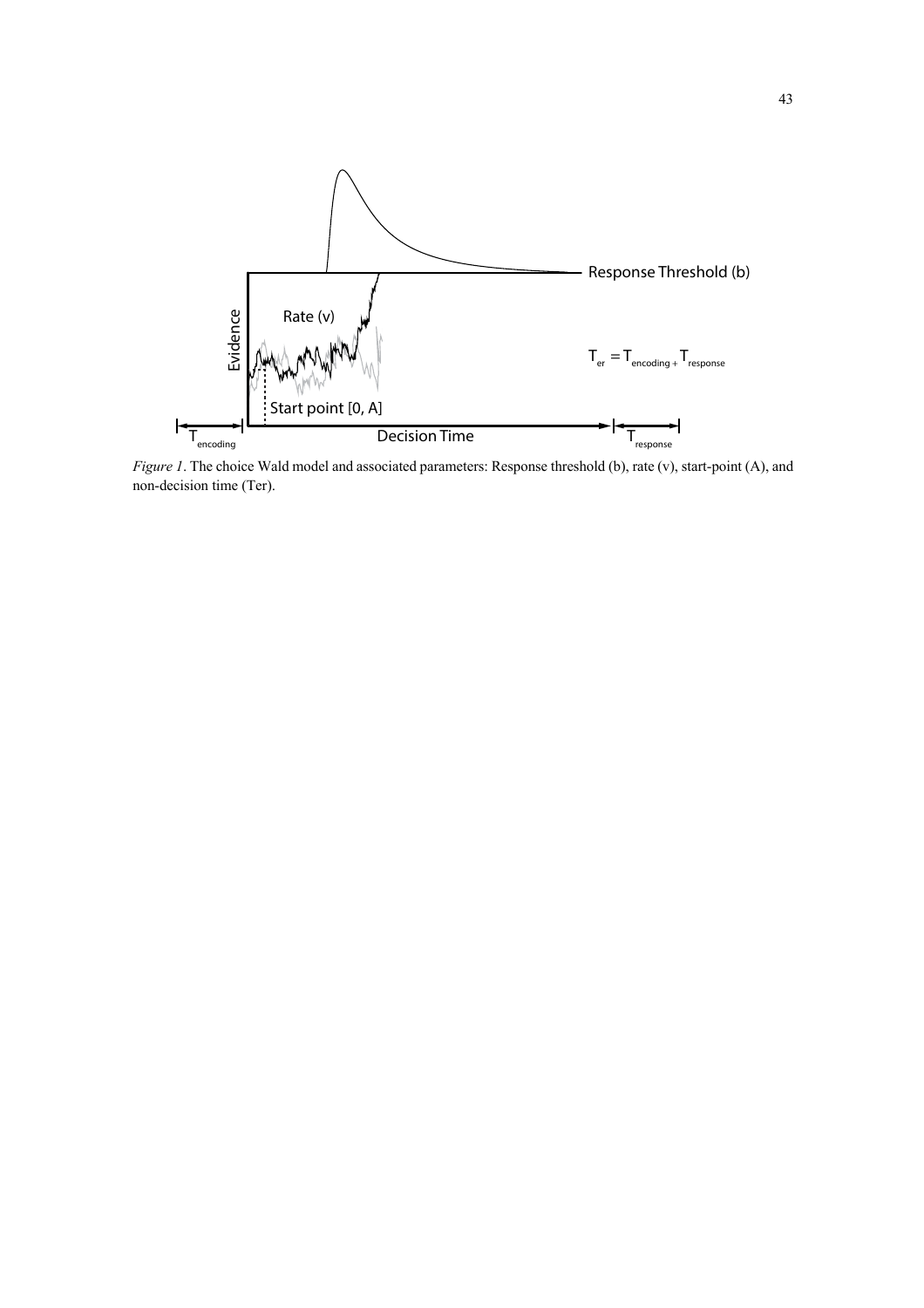

*Figure 1*. The choice Wald model and associated parameters: Response threshold (b), rate (v), start-point (A), and non-decision time (Ter).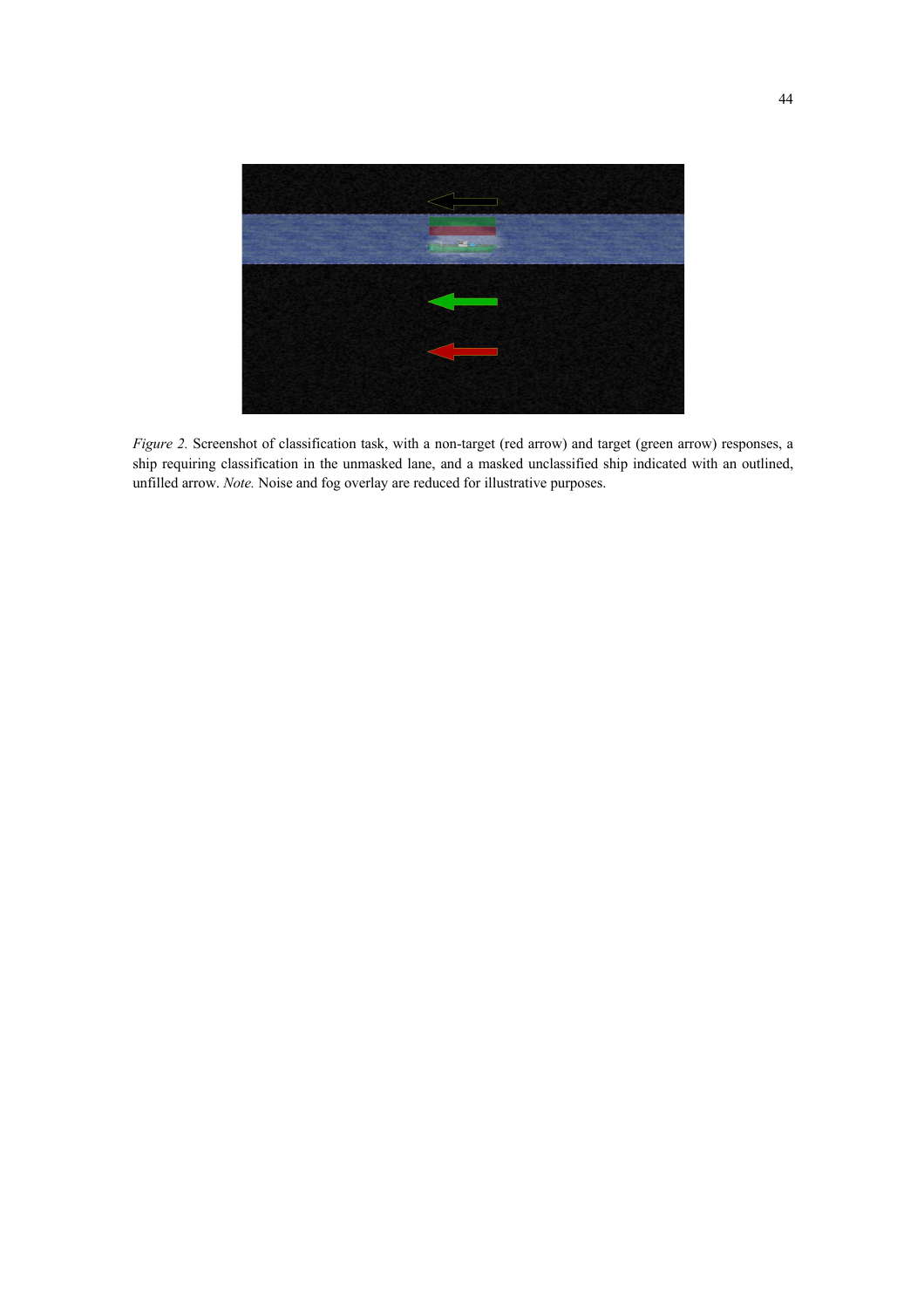

*Figure 2.* Screenshot of classification task, with a non-target (red arrow) and target (green arrow) responses, a ship requiring classification in the unmasked lane, and a masked unclassified ship indicated with an outlined, unfilled arrow. *Note.* Noise and fog overlay are reduced for illustrative purposes.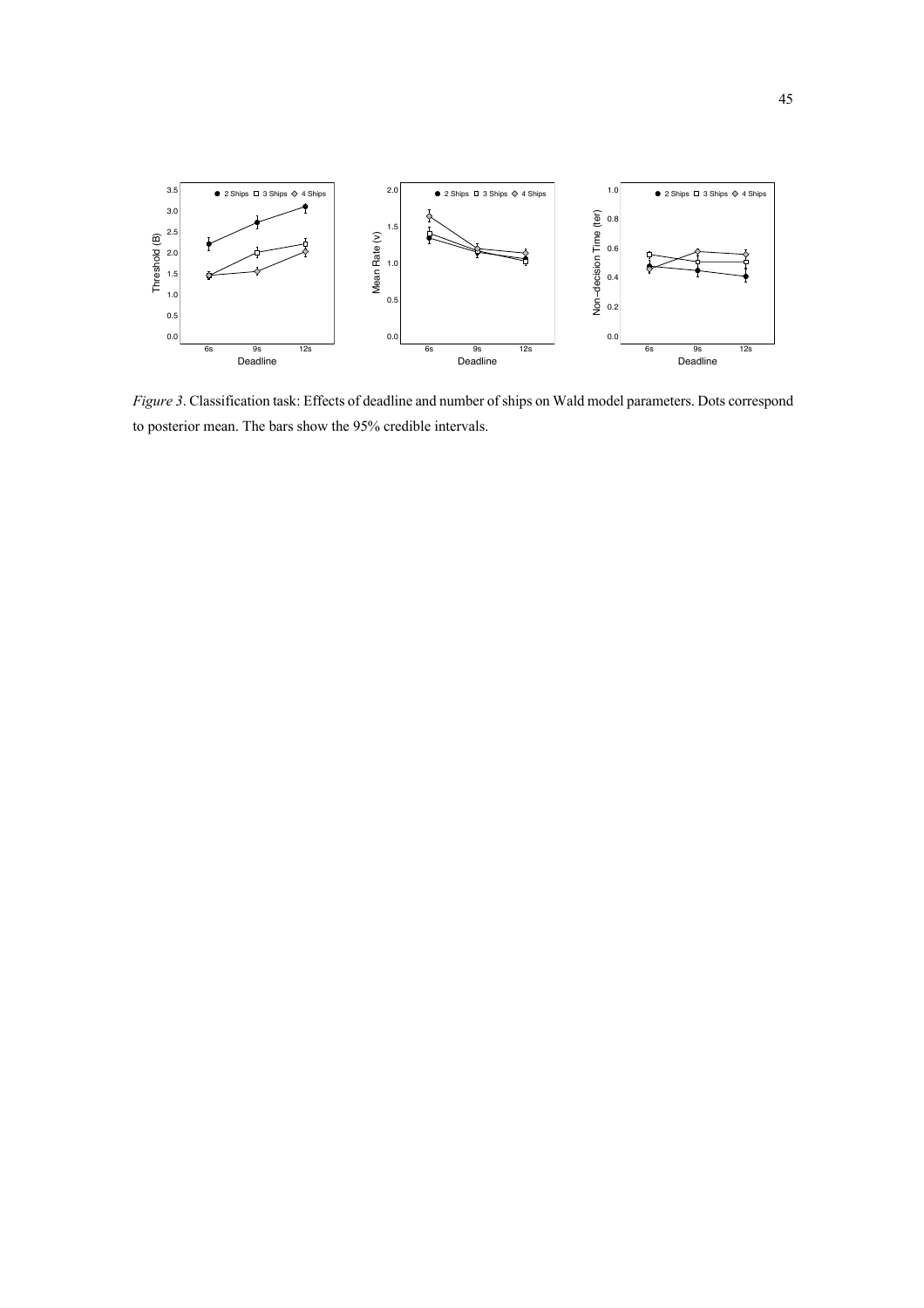

*Figure 3*. Classification task: Effects of deadline and number of ships on Wald model parameters. Dots correspond to posterior mean. The bars show the 95% credible intervals.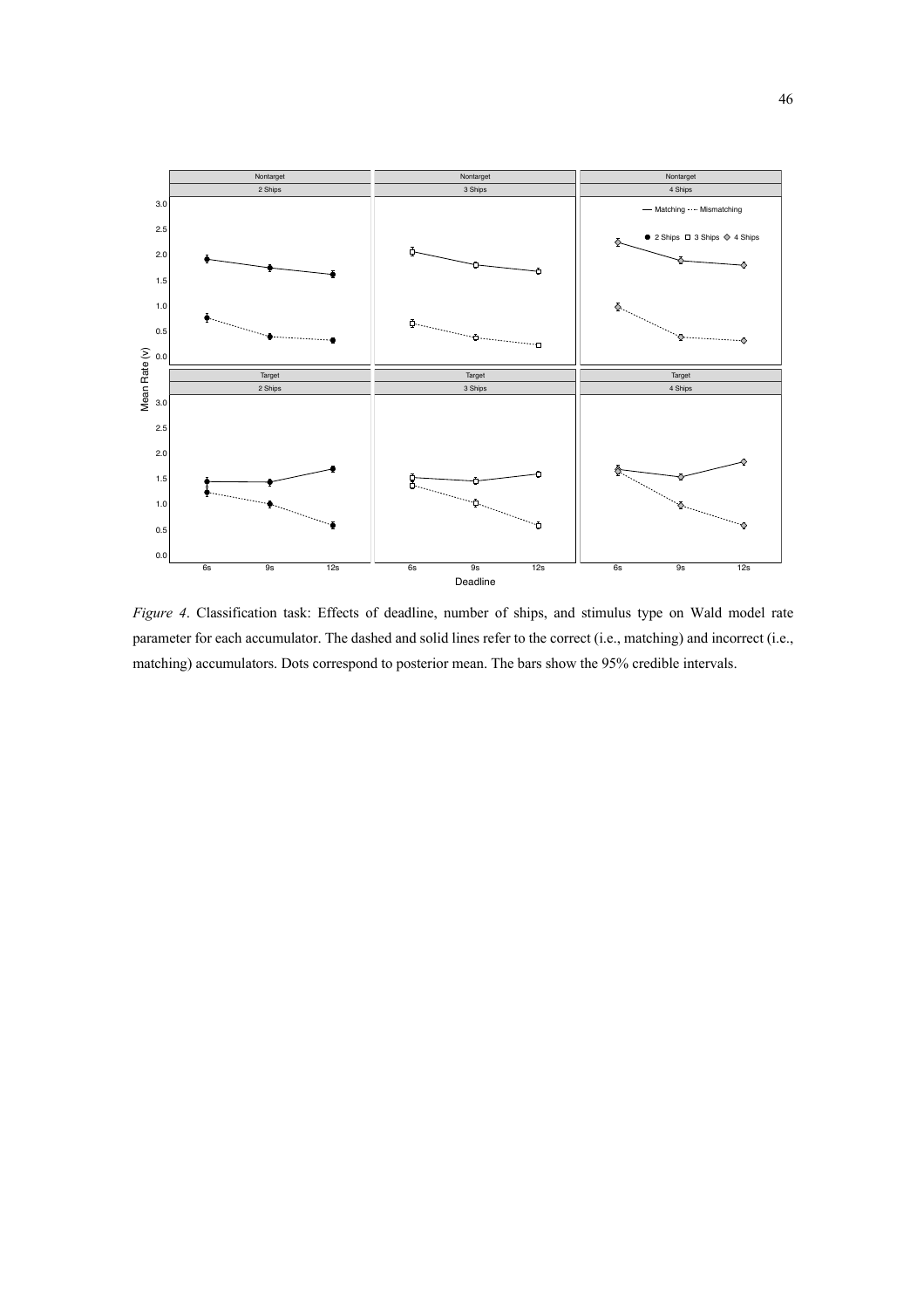

*Figure 4*. Classification task: Effects of deadline, number of ships, and stimulus type on Wald model rate parameter for each accumulator. The dashed and solid lines refer to the correct (i.e., matching) and incorrect (i.e., matching) accumulators. Dots correspond to posterior mean. The bars show the 95% credible intervals.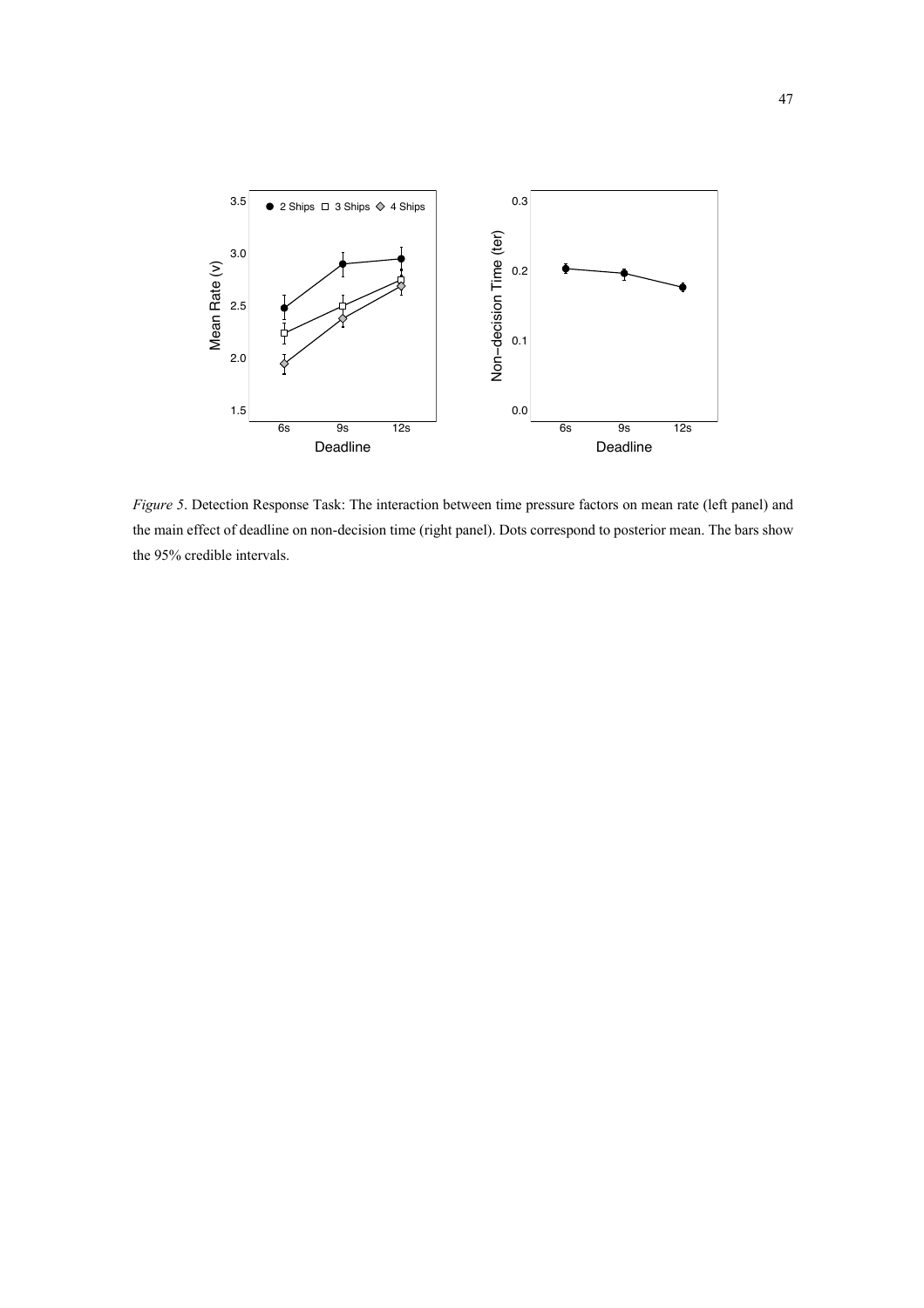

*Figure 5*. Detection Response Task: The interaction between time pressure factors on mean rate (left panel) and the main effect of deadline on non-decision time (right panel). Dots correspond to posterior mean. The bars show the 95% credible intervals.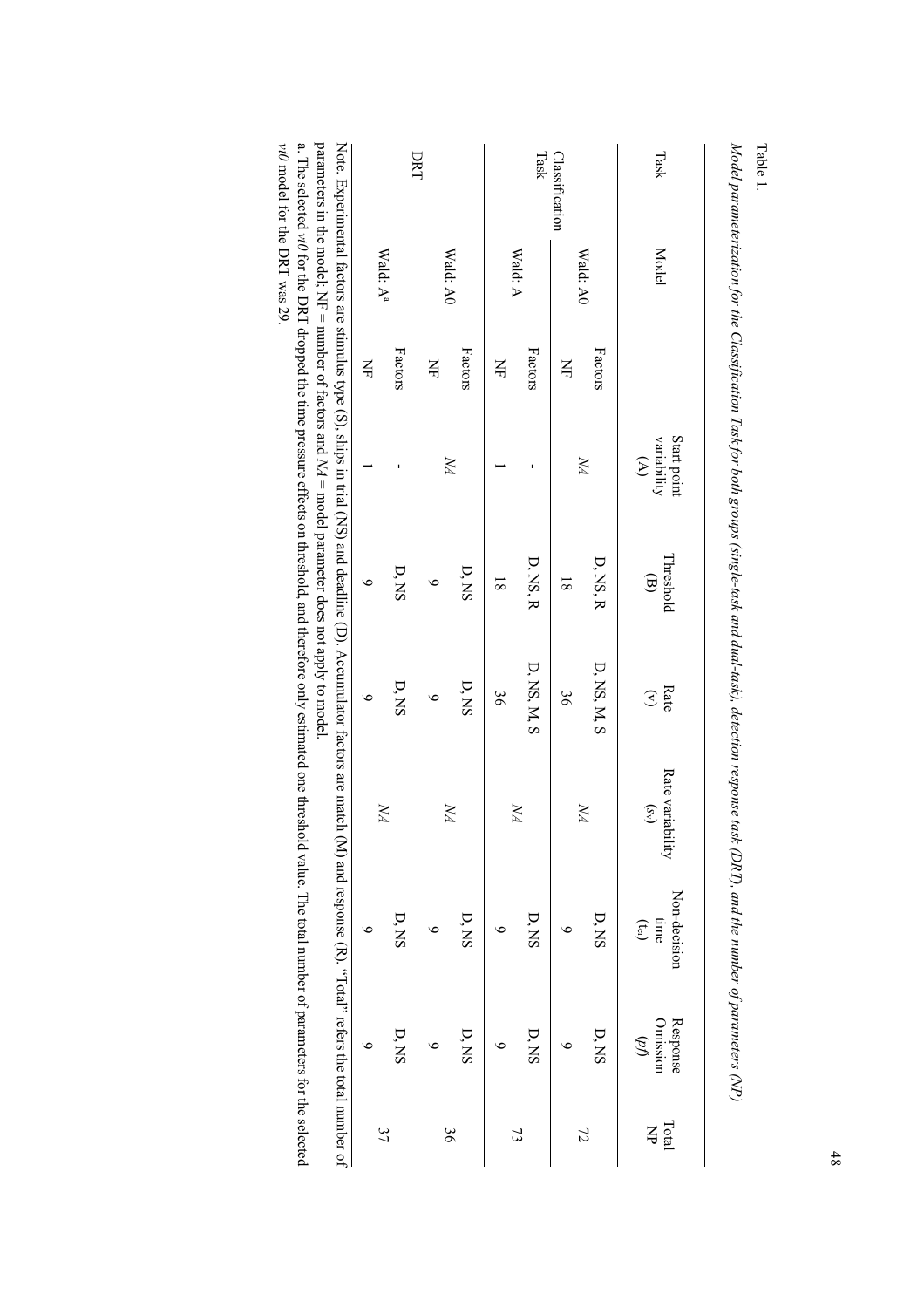| parameters in the model; NF = number of factors and NA = model parameter does not apply to model.                        | DRT                             |         |               |              |                | Task           | Classification |                | Task                                                            |
|--------------------------------------------------------------------------------------------------------------------------|---------------------------------|---------|---------------|--------------|----------------|----------------|----------------|----------------|-----------------------------------------------------------------|
|                                                                                                                          | Wald: $\mathbf{A}^{\mathrm{a}}$ |         |               | Wald: A0     |                | Wald: A        |                | Wald: A0       | <b>Model</b>                                                    |
|                                                                                                                          | $\breve{\Xi}$                   | Factors | $\breve{\Xi}$ | Factors      | $\breve{\Xi}$  | Factors        | $\Xi$          | Factors        |                                                                 |
|                                                                                                                          |                                 |         |               | УN           |                |                |                | УN             | Start point<br>variability<br>$\mathfrak{D}$                    |
|                                                                                                                          | $\bullet$                       | D, NS   | ৩             | D, NS        | $\overline{8}$ | $D$ , NS, R    | $\overline{8}$ | $D$ , NS, R    | Threshold<br>$\bigoplus$                                        |
| Note. Experimental factors are stimulies type (S), sirips in trial (NS) and deadline (D). Accumuliator factors are match | $\circ$                         | $D, NS$ | ७             | ${\bf D}$ NS | 36             | $D$ , NS, M, S | 36             | $D$ NS, M, $S$ | Rate<br>$\mathfrak{S}$                                          |
|                                                                                                                          | УA                              |         |               | УA           |                | УA             |                | УA             | Rate variability<br>$(S_V)$                                     |
| (M) and response (R). "Total" refers the total number of                                                                 | ৩                               | D, NS   | ७             | $D, NS$      | $\circ$        | D, NS          | ७              | D, NS          | Non-decision<br>$time$<br>$\left(\mathbf{t}_{\text{cr}}\right)$ |
|                                                                                                                          | ७                               | $D, NS$ | ७             | D, NS        | ७              | D, NS          | ७              | D, NS          | Response<br>Omission<br>$\mathscr{B}$                           |
|                                                                                                                          | 37                              |         |               | 36           |                | $\mathfrak{Z}$ |                | 72             | Total<br>$\breve{\mathbf{r}}$                                   |

*Model parameterization for the Classification Task for both groups (single-task and dual-task), detection response task (DRT), and the number of parameters (NP) odel parameterization for the Classification Task for both groups (single-task and dual-task), detection response task (DRT), and the number of parameters (NP)*

Table 1.

parameters in the model; NF = number of factors and *NA* = model parameter does not apply to model.

a. The selected *vt0* for the DRT dropped the time pressure effects on threshold, and therefore only estimated one threshold value. The total number of parameters for the selected *v*.<br>The selected *vt0 for t*he DRT dropped the time pressure effects on threshold, and therefore only estimated one threshold value. The total number of parameters for the selected<br>*vt0* model for the DRT was 29.<br>*vt0* mo model for the DRT was 29.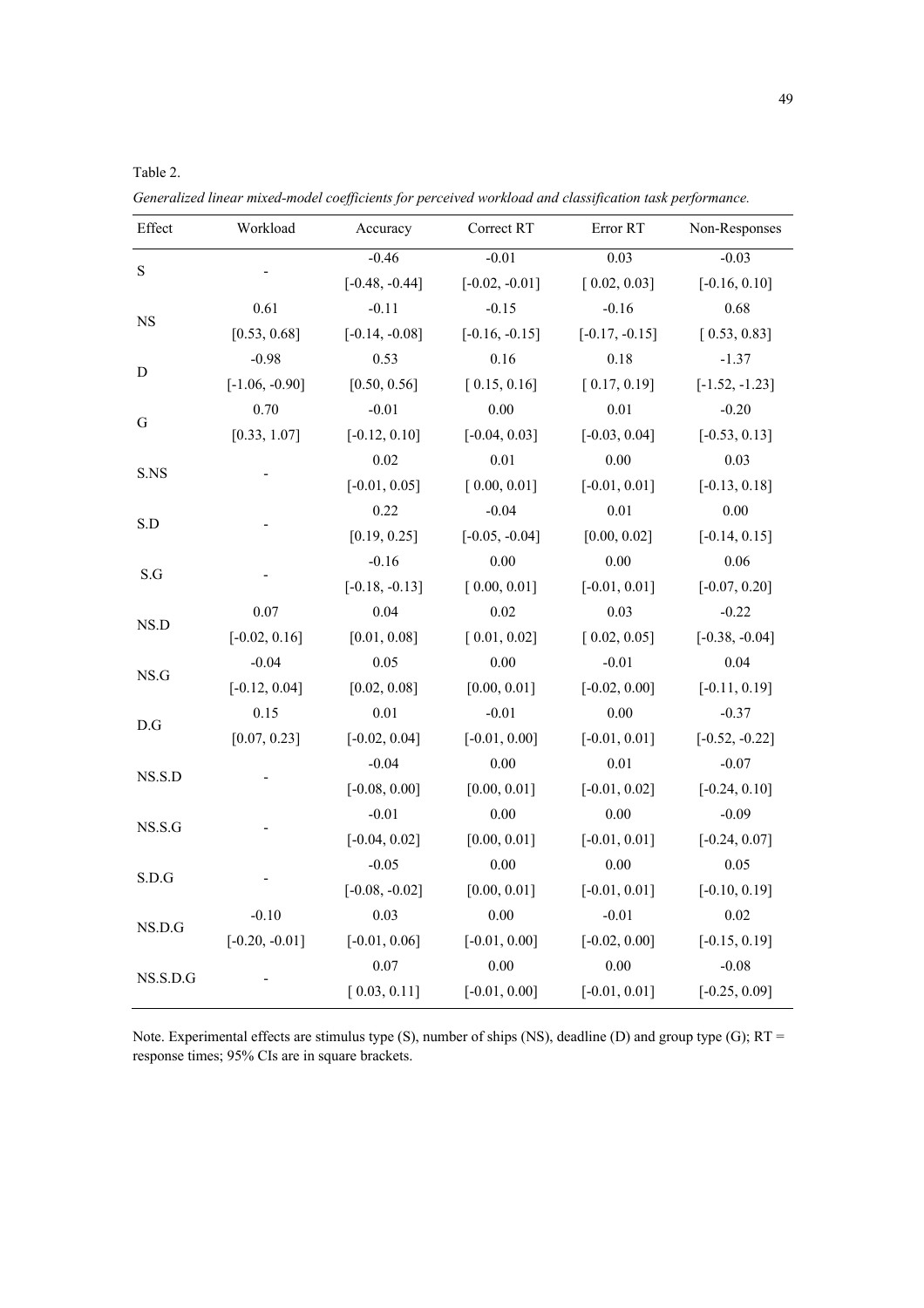| Effect                  | Workload         | Accuracy         | Correct RT                                                                                                                                                                                                                                                                                                                                                                                                                                                                                                                                                                                                                                                       | Error RT                                                                                                                                                                                           | Non-Responses    |
|-------------------------|------------------|------------------|------------------------------------------------------------------------------------------------------------------------------------------------------------------------------------------------------------------------------------------------------------------------------------------------------------------------------------------------------------------------------------------------------------------------------------------------------------------------------------------------------------------------------------------------------------------------------------------------------------------------------------------------------------------|----------------------------------------------------------------------------------------------------------------------------------------------------------------------------------------------------|------------------|
|                         |                  | $-0.46$          | $-0.01$                                                                                                                                                                                                                                                                                                                                                                                                                                                                                                                                                                                                                                                          | 0.03                                                                                                                                                                                               | $-0.03$          |
| $\mathbf S$             |                  | $[-0.48, -0.44]$ | $[-0.02, -0.01]$                                                                                                                                                                                                                                                                                                                                                                                                                                                                                                                                                                                                                                                 | [0.02, 0.03]                                                                                                                                                                                       | $[-0.16, 0.10]$  |
|                         | 0.61             | $-0.11$          | $-0.15$                                                                                                                                                                                                                                                                                                                                                                                                                                                                                                                                                                                                                                                          | $-0.16$                                                                                                                                                                                            | 0.68             |
| $_{\rm NS}$             | [0.53, 0.68]     | $[-0.14, -0.08]$ | $[-0.16, -0.15]$                                                                                                                                                                                                                                                                                                                                                                                                                                                                                                                                                                                                                                                 | $[-0.17, -0.15]$                                                                                                                                                                                   | [0.53, 0.83]     |
|                         | $-0.98$          | 0.53             | 0.16                                                                                                                                                                                                                                                                                                                                                                                                                                                                                                                                                                                                                                                             | 0.18                                                                                                                                                                                               | $-1.37$          |
| D                       | $[-1.06, -0.90]$ | [0.50, 0.56]     | [0.15, 0.16]<br>[0.17, 0.19]<br>0.00<br>$0.01\,$<br>$[-0.03, 0.04]$<br>$[-0.04, 0.03]$<br>0.01<br>$0.00\,$<br>[0.00, 0.01]<br>$[-0.01, 0.01]$<br>0.01<br>$-0.04$<br>[0.00, 0.02]<br>$[-0.05, -0.04]$<br>0.00<br>0.00<br>[0.00, 0.01]<br>$[-0.01, 0.01]$<br>0.02<br>0.03<br>[0.02, 0.05]<br>[0.01, 0.02]<br>0.00<br>$-0.01$<br>[0.00, 0.01]<br>$[-0.02, 0.00]$<br>$-0.01$<br>0.00<br>$[-0.01, 0.00]$<br>$[-0.01, 0.01]$<br>0.00<br>$0.01\,$<br>[0.00, 0.01]<br>$[-0.01, 0.02]$<br>0.00<br>0.00<br>[0.00, 0.01]<br>$[-0.01, 0.01]$<br>0.00<br>0.00<br>$[-0.01, 0.01]$<br>[0.00, 0.01]<br>0.00<br>$-0.01$<br>$[-0.01, 0.00]$<br>$[-0.02, 0.00]$<br>$0.00\,$<br>0.00 | $[-1.52, -1.23]$                                                                                                                                                                                   |                  |
|                         | 0.70             | $-0.01$          |                                                                                                                                                                                                                                                                                                                                                                                                                                                                                                                                                                                                                                                                  |                                                                                                                                                                                                    | $-0.20$          |
| ${\bf G}$               | [0.33, 1.07]     | $[-0.12, 0.10]$  |                                                                                                                                                                                                                                                                                                                                                                                                                                                                                                                                                                                                                                                                  | $[-0.53, 0.13]$                                                                                                                                                                                    |                  |
|                         |                  | 0.02             |                                                                                                                                                                                                                                                                                                                                                                                                                                                                                                                                                                                                                                                                  |                                                                                                                                                                                                    | 0.03             |
| S.NS                    |                  | $[-0.01, 0.05]$  |                                                                                                                                                                                                                                                                                                                                                                                                                                                                                                                                                                                                                                                                  |                                                                                                                                                                                                    |                  |
|                         |                  | 0.22             |                                                                                                                                                                                                                                                                                                                                                                                                                                                                                                                                                                                                                                                                  |                                                                                                                                                                                                    | 0.00             |
| S.D                     |                  | [0.19, 0.25]     |                                                                                                                                                                                                                                                                                                                                                                                                                                                                                                                                                                                                                                                                  |                                                                                                                                                                                                    | $[-0.14, 0.15]$  |
|                         |                  | $-0.16$          |                                                                                                                                                                                                                                                                                                                                                                                                                                                                                                                                                                                                                                                                  |                                                                                                                                                                                                    | 0.06             |
| S.G                     |                  | $[-0.18, -0.13]$ |                                                                                                                                                                                                                                                                                                                                                                                                                                                                                                                                                                                                                                                                  |                                                                                                                                                                                                    | $[-0.07, 0.20]$  |
|                         | $0.07\,$         | 0.04             |                                                                                                                                                                                                                                                                                                                                                                                                                                                                                                                                                                                                                                                                  |                                                                                                                                                                                                    | $-0.22$          |
| NS.D                    | $[-0.02, 0.16]$  | [0.01, 0.08]     |                                                                                                                                                                                                                                                                                                                                                                                                                                                                                                                                                                                                                                                                  |                                                                                                                                                                                                    | $[-0.38, -0.04]$ |
|                         | $-0.04$          | 0.05             |                                                                                                                                                                                                                                                                                                                                                                                                                                                                                                                                                                                                                                                                  |                                                                                                                                                                                                    | 0.04             |
| $_{\rm NS.G}$           | $[-0.12, 0.04]$  | [0.02, 0.08]     |                                                                                                                                                                                                                                                                                                                                                                                                                                                                                                                                                                                                                                                                  | $[-0.01, 0.01]$                                                                                                                                                                                    | $[-0.11, 0.19]$  |
|                         | 0.15             | 0.01             |                                                                                                                                                                                                                                                                                                                                                                                                                                                                                                                                                                                                                                                                  | $[-0.13, 0.18]$<br>$-0.37$<br>$[-0.52, -0.22]$<br>$-0.07$<br>$[-0.24, 0.10]$<br>$-0.09$<br>$[-0.24, 0.07]$<br>0.05<br>$[-0.10, 0.19]$<br>$0.02\,$<br>$[-0.15, 0.19]$<br>$-0.08$<br>$[-0.25, 0.09]$ |                  |
| $\mathbf{D}.\mathbf{G}$ | [0.07, 0.23]     | $[-0.02, 0.04]$  | $[-0.01, 0.00]$                                                                                                                                                                                                                                                                                                                                                                                                                                                                                                                                                                                                                                                  |                                                                                                                                                                                                    |                  |
|                         |                  | $-0.04$          |                                                                                                                                                                                                                                                                                                                                                                                                                                                                                                                                                                                                                                                                  |                                                                                                                                                                                                    |                  |
| NS.S.D                  |                  | $[-0.08, 0.00]$  |                                                                                                                                                                                                                                                                                                                                                                                                                                                                                                                                                                                                                                                                  |                                                                                                                                                                                                    |                  |
|                         |                  | $-0.01$          |                                                                                                                                                                                                                                                                                                                                                                                                                                                                                                                                                                                                                                                                  |                                                                                                                                                                                                    |                  |
| NS.S.G                  |                  | $[-0.04, 0.02]$  |                                                                                                                                                                                                                                                                                                                                                                                                                                                                                                                                                                                                                                                                  |                                                                                                                                                                                                    |                  |
|                         |                  | $-0.05$          |                                                                                                                                                                                                                                                                                                                                                                                                                                                                                                                                                                                                                                                                  |                                                                                                                                                                                                    |                  |
| S.D.G                   |                  | $[-0.08, -0.02]$ |                                                                                                                                                                                                                                                                                                                                                                                                                                                                                                                                                                                                                                                                  |                                                                                                                                                                                                    |                  |
|                         | $-0.10$          | 0.03             |                                                                                                                                                                                                                                                                                                                                                                                                                                                                                                                                                                                                                                                                  |                                                                                                                                                                                                    |                  |
| NS.D.G                  | $[-0.20, -0.01]$ | $[-0.01, 0.06]$  |                                                                                                                                                                                                                                                                                                                                                                                                                                                                                                                                                                                                                                                                  |                                                                                                                                                                                                    |                  |
|                         |                  | $0.07\,$         |                                                                                                                                                                                                                                                                                                                                                                                                                                                                                                                                                                                                                                                                  |                                                                                                                                                                                                    |                  |
| NS.S.D.G                |                  | [0.03, 0.11]     |                                                                                                                                                                                                                                                                                                                                                                                                                                                                                                                                                                                                                                                                  |                                                                                                                                                                                                    |                  |

*Generalized linear mixed-model coefficients for perceived workload and classification task performance.* 

Table 2.

Note. Experimental effects are stimulus type (S), number of ships (NS), deadline (D) and group type (G); RT = response times; 95% CIs are in square brackets.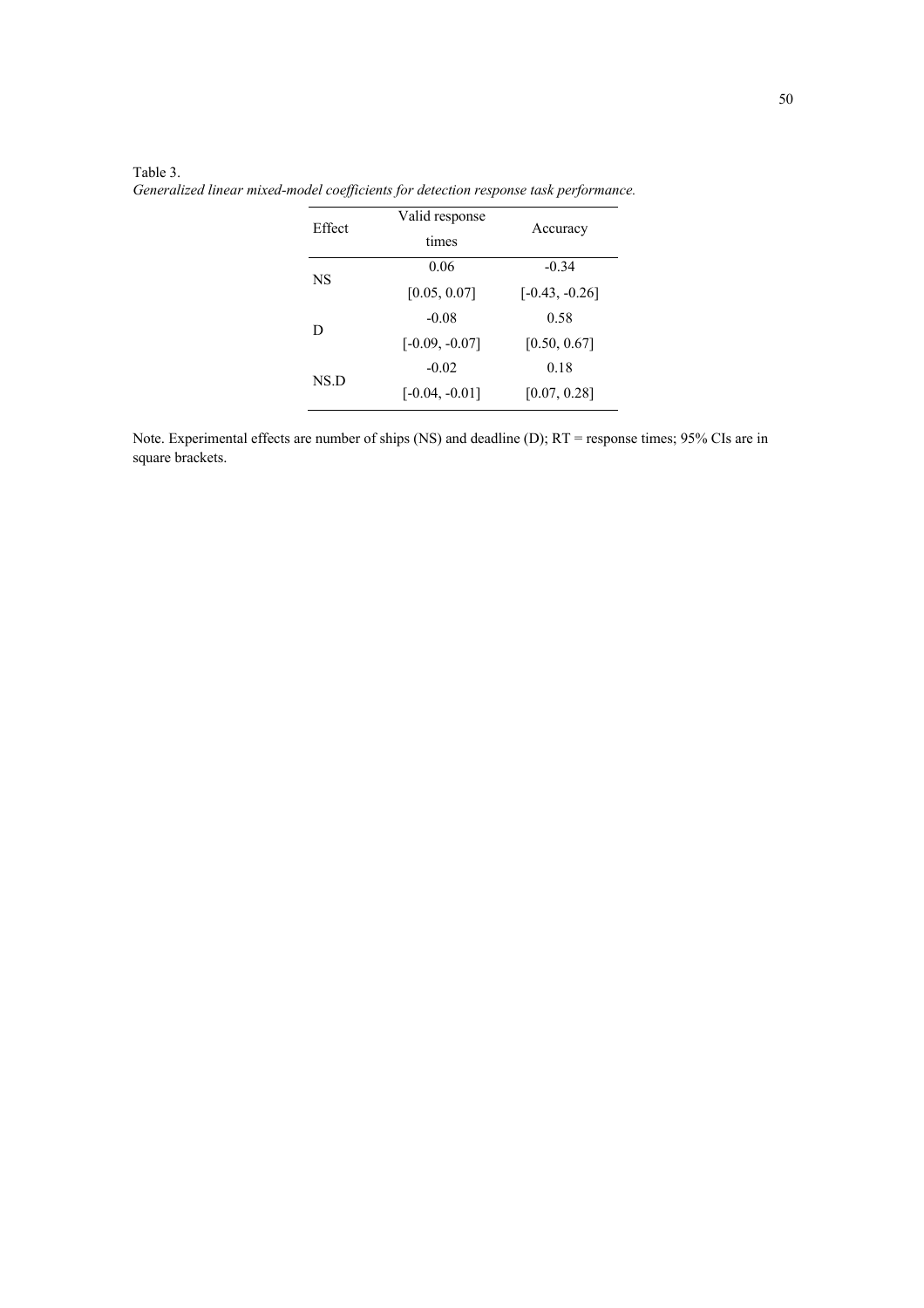# Table 3.

*Generalized linear mixed-model coefficients for detection response task performance.* 

| Effect | Valid response<br>times | Accuracy         |  |
|--------|-------------------------|------------------|--|
| NS     | 0.06                    | $-0.34$          |  |
|        | [0.05, 0.07]            | $[-0.43, -0.26]$ |  |
|        | $-0.08$                 | 0.58             |  |
| D      | $[-0.09, -0.07]$        | [0.50, 0.67]     |  |
|        | $-0.02$                 | 0.18             |  |
| NS.D   | $[-0.04, -0.01]$        | [0.07, 0.28]     |  |

Note. Experimental effects are number of ships (NS) and deadline (D); RT = response times; 95% CIs are in square brackets.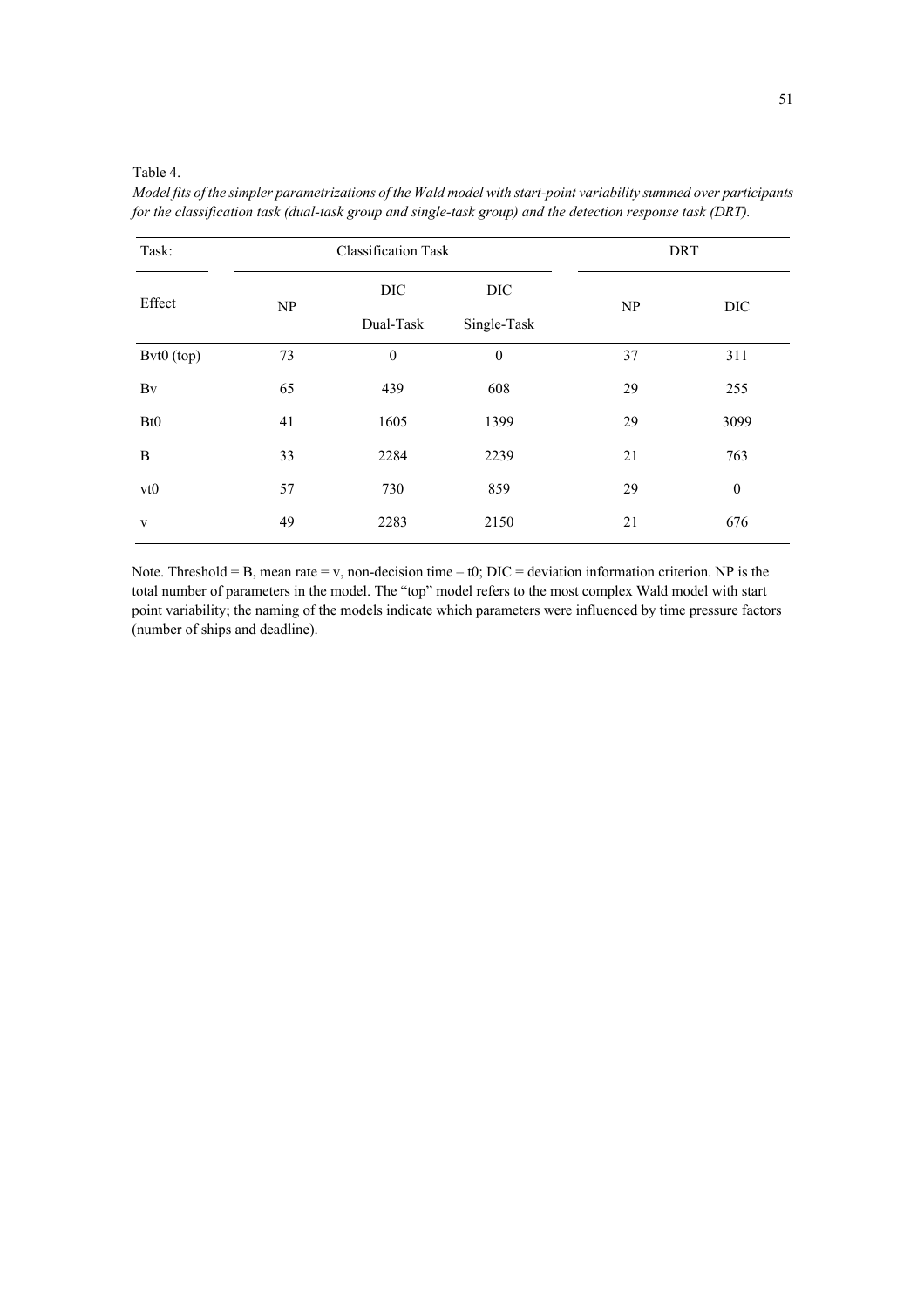#### Table 4.

*Model fits of the simpler parametrizations of the Wald model with start-point variability summed over participants for the classification task (dual-task group and single-task group) and the detection response task (DRT).*

| Task:           | <b>Classification Task</b>      |              |             | <b>DRT</b> |                  |  |
|-----------------|---------------------------------|--------------|-------------|------------|------------------|--|
| Effect          |                                 | DIC          | DIC         |            |                  |  |
|                 | $\ensuremath{\text{NP}}\xspace$ | Dual-Task    | Single-Task | NP         | DIC              |  |
| Bvt0 (top)      | 73                              | $\mathbf{0}$ | $\theta$    | 37         | 311              |  |
| Bv              | 65                              | 439          | 608         | 29         | 255              |  |
| Bt <sub>0</sub> | 41                              | 1605         | 1399        | 29         | 3099             |  |
| B               | 33                              | 2284         | 2239        | 21         | 763              |  |
| vt0             | 57                              | 730          | 859         | 29         | $\boldsymbol{0}$ |  |
| $\mathbf{V}$    | 49                              | 2283         | 2150        | 21         | 676              |  |

Note. Threshold = B, mean rate = v, non-decision time – t0;  $DIC = deviation$  information criterion. NP is the total number of parameters in the model. The "top" model refers to the most complex Wald model with start point variability; the naming of the models indicate which parameters were influenced by time pressure factors (number of ships and deadline).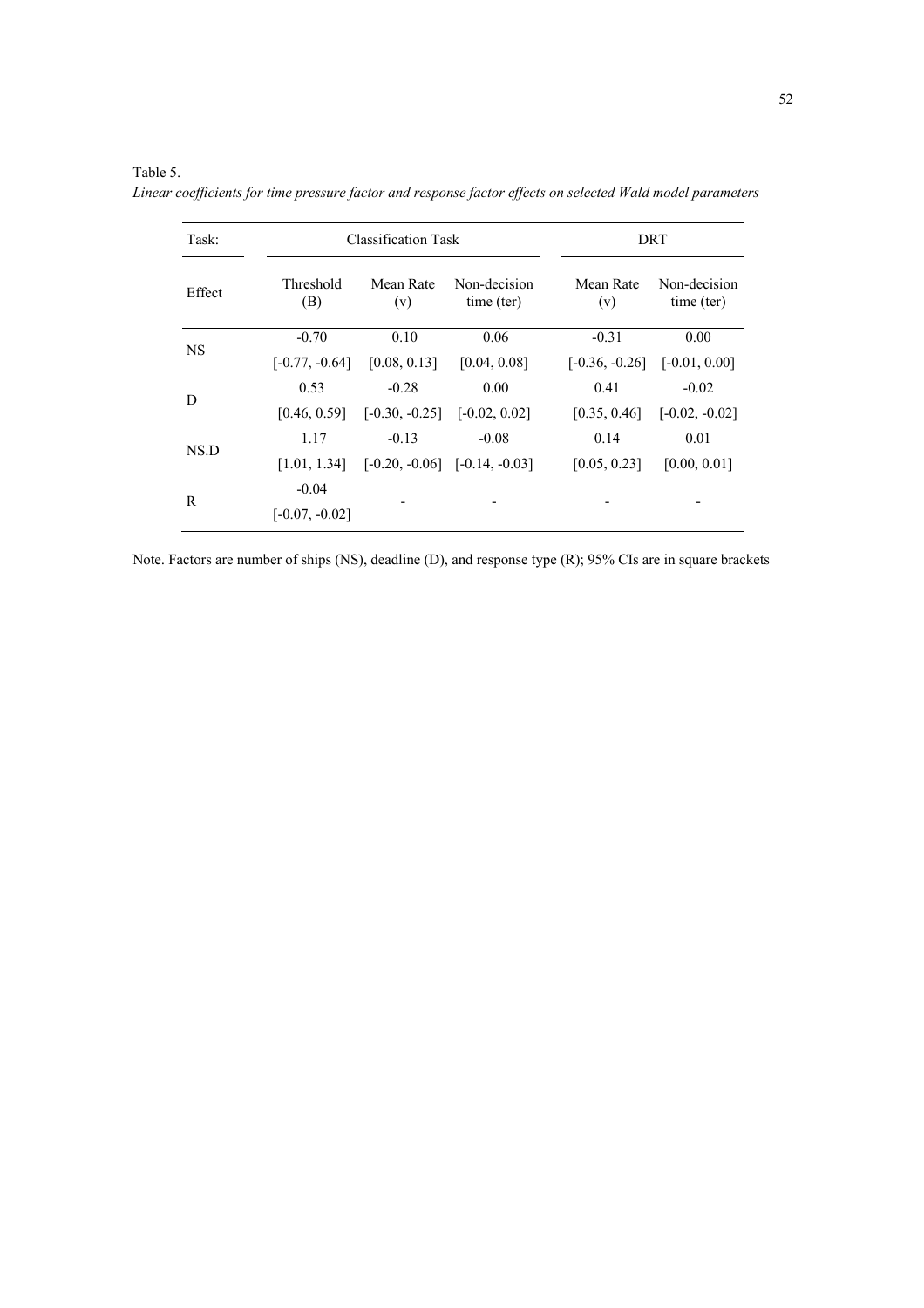| Task:     |                             | <b>Classification Task</b>       |                                   | DRT                              |                            |  |
|-----------|-----------------------------|----------------------------------|-----------------------------------|----------------------------------|----------------------------|--|
| Effect    | Threshold<br>(B)            | Mean Rate<br>(v)                 | Non-decision<br>time (ter)        | Mean Rate<br>(v)                 | Non-decision<br>time (ter) |  |
|           | $-0.70$                     | 0.10                             | 0.06                              | $-0.31$                          | 0.00                       |  |
| <b>NS</b> | $[-0.77, -0.64]$            | [0.08, 0.13]                     | [0.04, 0.08]                      | $[-0.36, -0.26]$ $[-0.01, 0.00]$ |                            |  |
|           | 0.53                        | $-0.28$                          | 0.00                              | 0.41                             | $-0.02$                    |  |
| D         | [0.46, 0.59]                | $[-0.30, -0.25]$ $[-0.02, 0.02]$ |                                   | [0.35, 0.46]                     | $[-0.02, -0.02]$           |  |
| NS.D      | 1.17                        | $-0.13$                          | $-0.08$                           | 0.14                             | 0.01                       |  |
|           | [1.01, 1.34]                |                                  | $[-0.20, -0.06]$ $[-0.14, -0.03]$ | [0.05, 0.23]                     | [0.00, 0.01]               |  |
| R         | $-0.04$<br>$[-0.07, -0.02]$ |                                  |                                   |                                  |                            |  |

*Linear coefficients for time pressure factor and response factor effects on selected Wald model parameters* 

Table 5.

Note. Factors are number of ships (NS), deadline (D), and response type (R); 95% CIs are in square brackets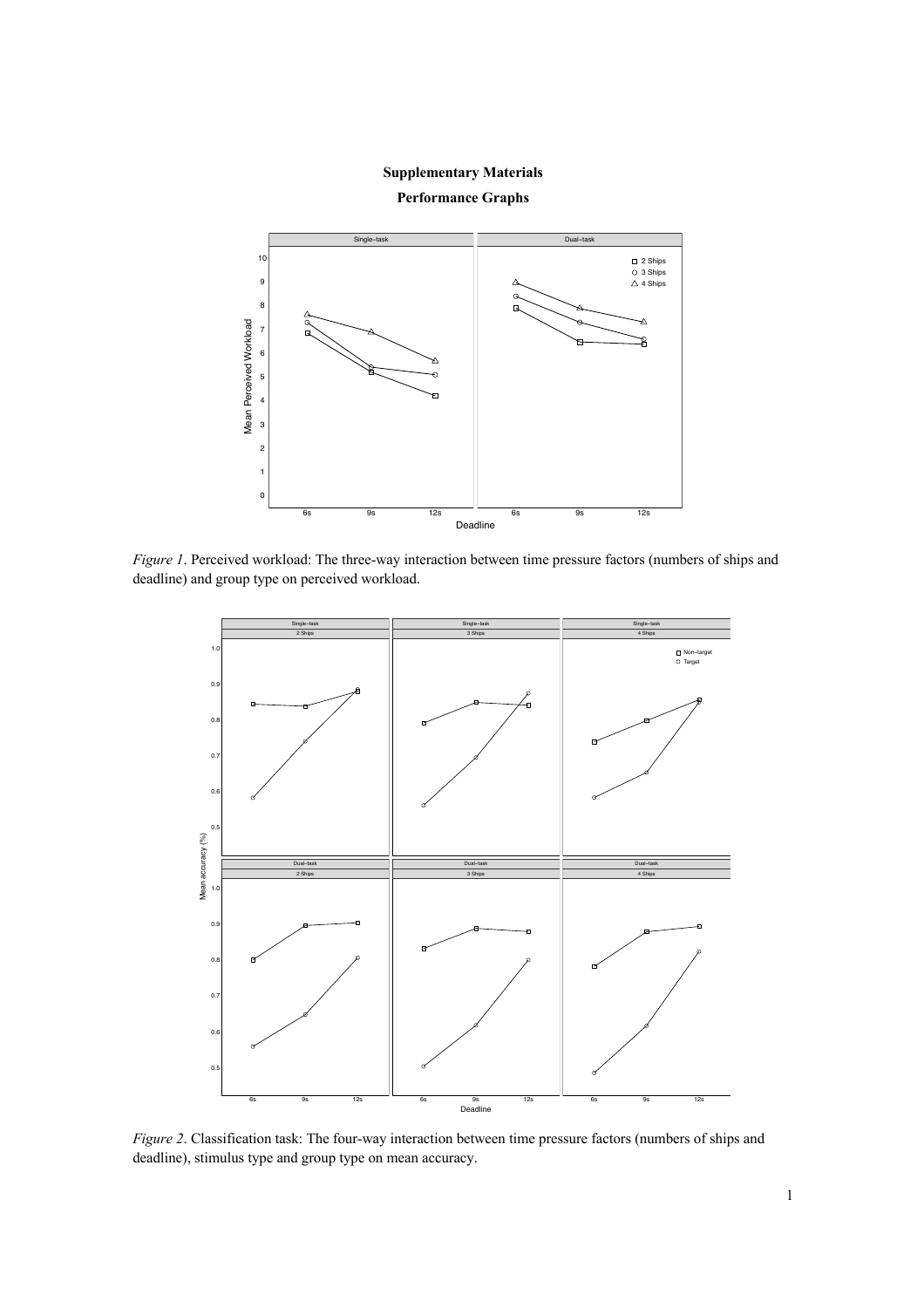

*Figure 1*. Perceived workload: The three-way interaction between time pressure factors (numbers of ships and deadline) and group type on perceived workload.



*Figure 2*. Classification task: The four-way interaction between time pressure factors (numbers of ships and deadline), stimulus type and group type on mean accuracy.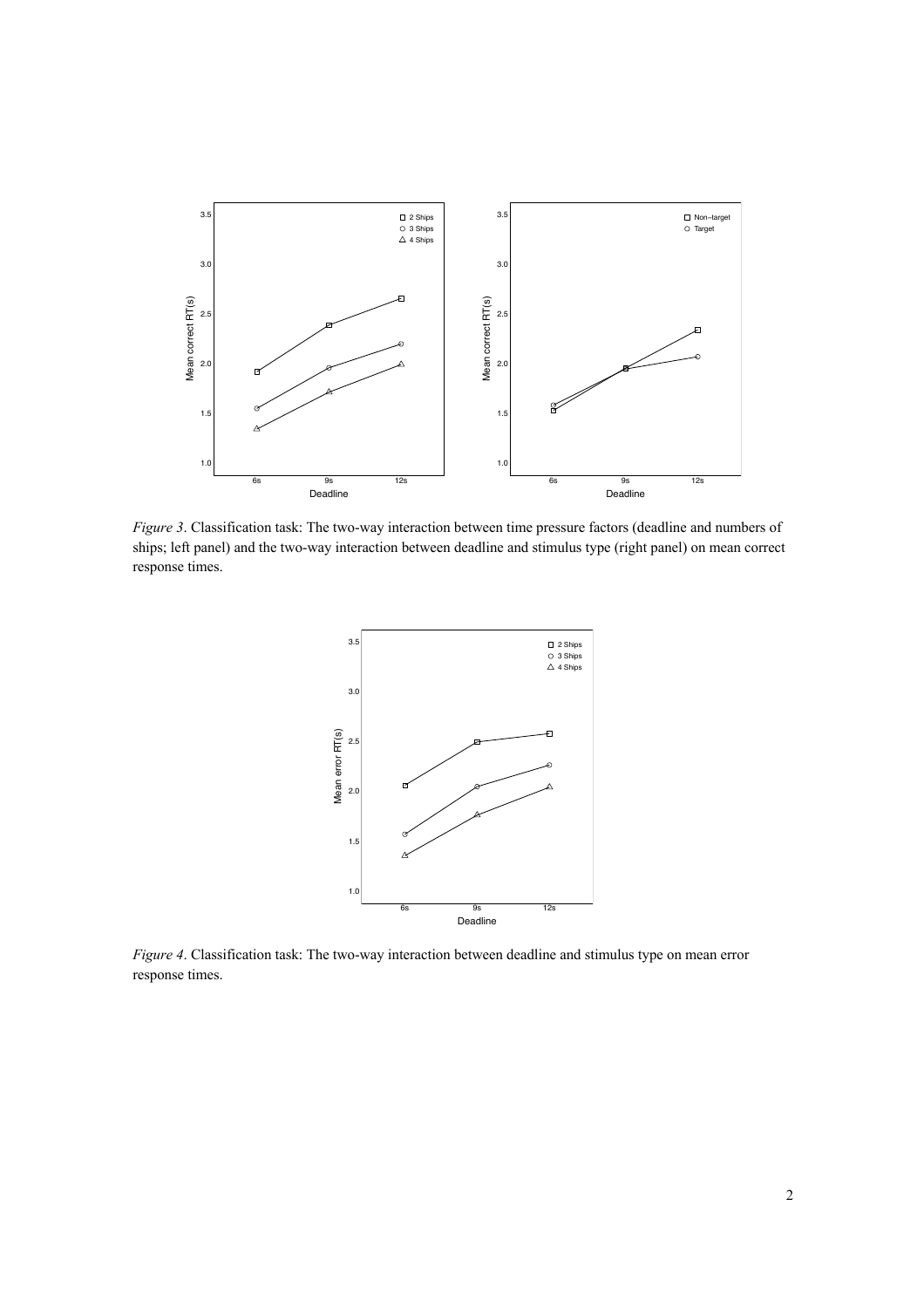

*Figure 3*. Classification task: The two-way interaction between time pressure factors (deadline and numbers of ships; left panel) and the two-way interaction between deadline and stimulus type (right panel) on mean correct response times.



*Figure 4*. Classification task: The two-way interaction between deadline and stimulus type on mean error response times.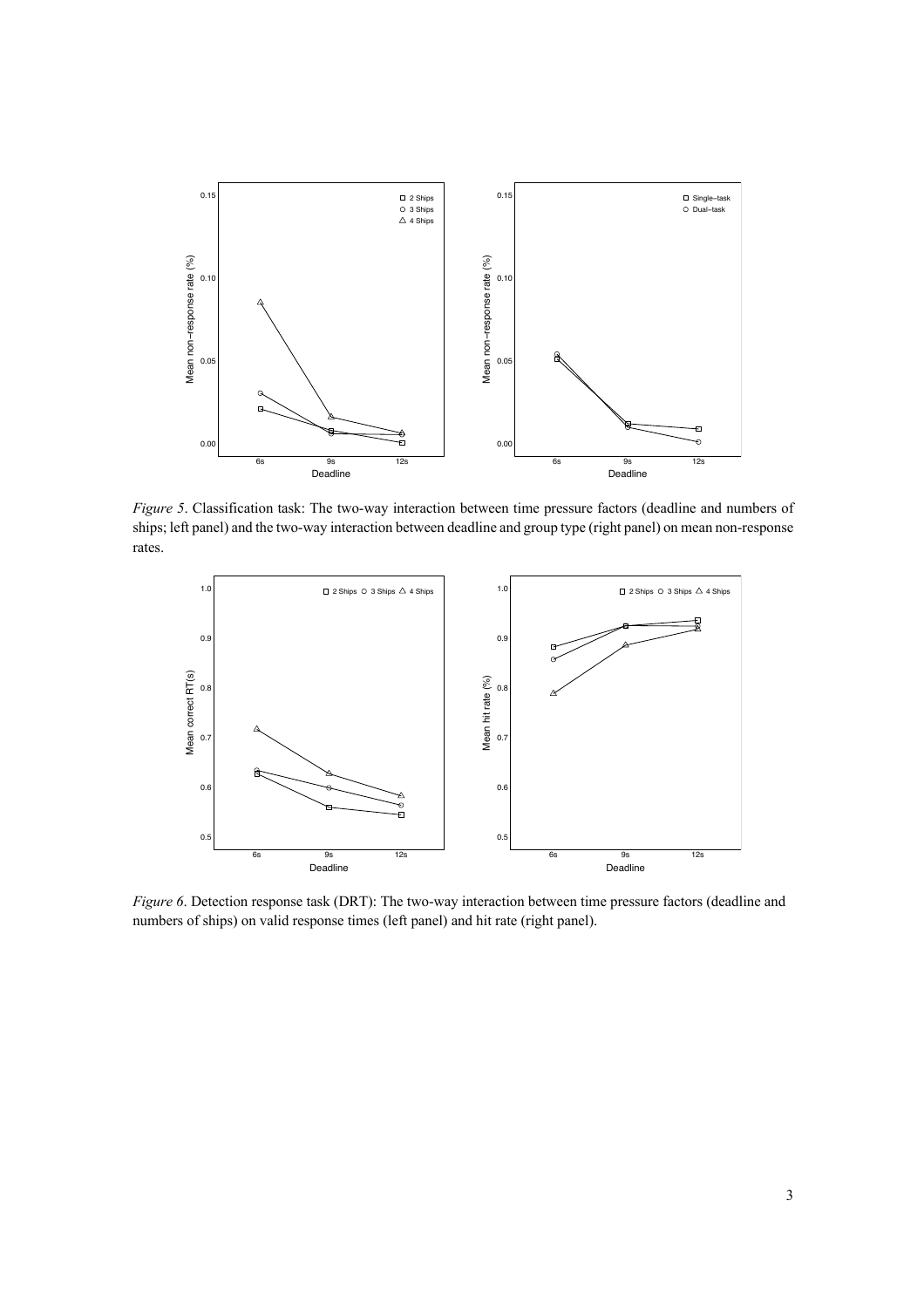

*Figure 5*. Classification task: The two-way interaction between time pressure factors (deadline and numbers of ships; left panel) and the two-way interaction between deadline and group type (right panel) on mean non-response rates.



*Figure 6*. Detection response task (DRT): The two-way interaction between time pressure factors (deadline and numbers of ships) on valid response times (left panel) and hit rate (right panel).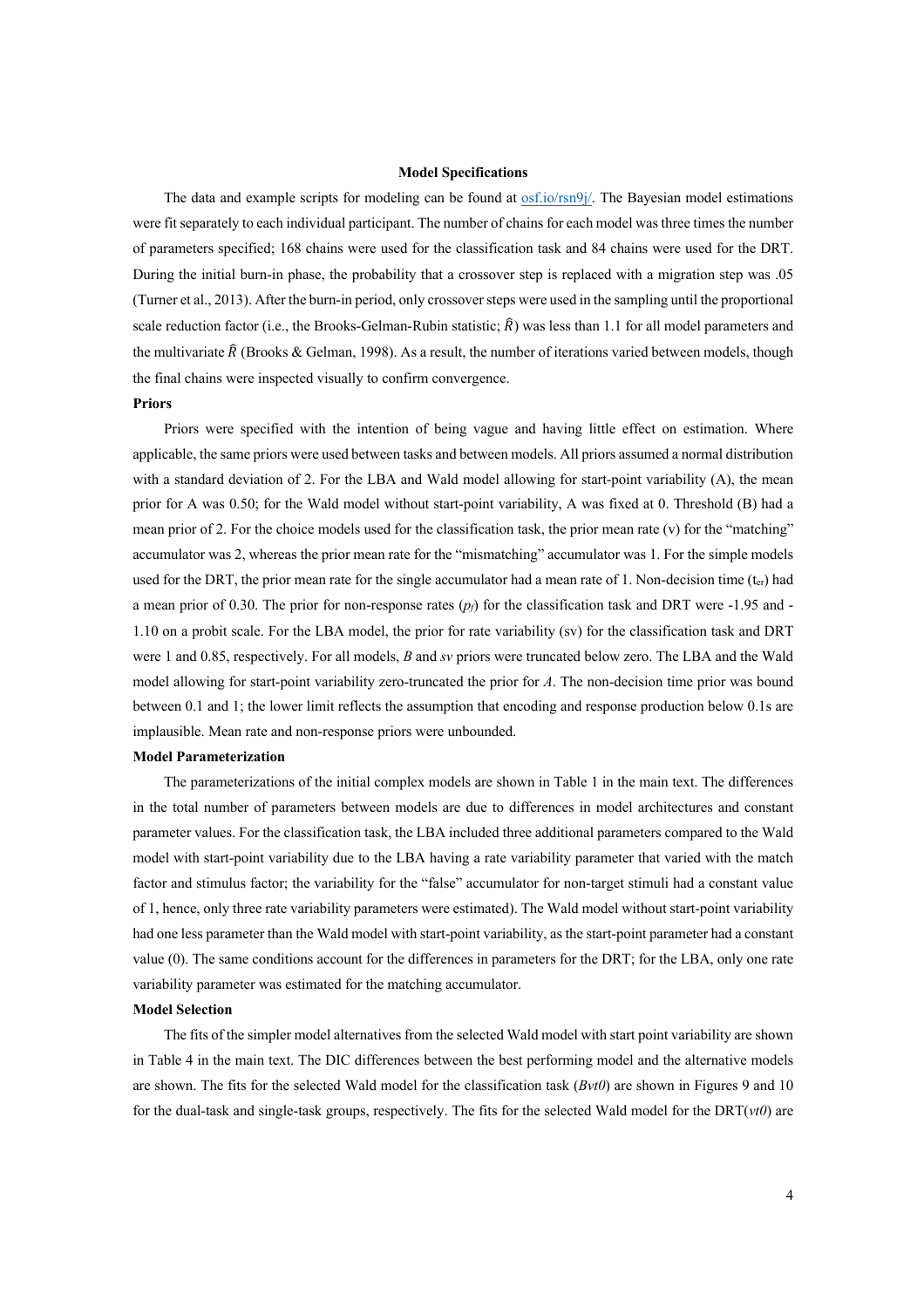#### **Model Specifications**

The data and example scripts for modeling can be found at osf.io/rsn9j/. The Bayesian model estimations were fit separately to each individual participant. The number of chains for each model was three times the number of parameters specified; 168 chains were used for the classification task and 84 chains were used for the DRT. During the initial burn-in phase, the probability that a crossover step is replaced with a migration step was .05 (Turner et al., 2013). After the burn-in period, only crossover steps were used in the sampling until the proportional scale reduction factor (i.e., the Brooks-Gelman-Rubin statistic;  $\hat{R}$ ) was less than 1.1 for all model parameters and the multivariate  $\hat{R}$  (Brooks & Gelman, 1998). As a result, the number of iterations varied between models, though the final chains were inspected visually to confirm convergence.

#### **Priors**

Priors were specified with the intention of being vague and having little effect on estimation. Where applicable, the same priors were used between tasks and between models. All priors assumed a normal distribution with a standard deviation of 2. For the LBA and Wald model allowing for start-point variability (A), the mean prior for A was 0.50; for the Wald model without start-point variability, A was fixed at 0. Threshold (B) had a mean prior of 2. For the choice models used for the classification task, the prior mean rate (v) for the "matching" accumulator was 2, whereas the prior mean rate for the "mismatching" accumulator was 1. For the simple models used for the DRT, the prior mean rate for the single accumulator had a mean rate of 1. Non-decision time  $(t_{cr})$  had a mean prior of 0.30. The prior for non-response rates  $(p_f)$  for the classification task and DRT were -1.95 and -1.10 on a probit scale. For the LBA model, the prior for rate variability (sv) for the classification task and DRT were 1 and 0.85, respectively. For all models, *B* and *sv* priors were truncated below zero. The LBA and the Wald model allowing for start-point variability zero-truncated the prior for *A*. The non-decision time prior was bound between 0.1 and 1; the lower limit reflects the assumption that encoding and response production below 0.1s are implausible. Mean rate and non-response priors were unbounded.

#### **Model Parameterization**

The parameterizations of the initial complex models are shown in Table 1 in the main text. The differences in the total number of parameters between models are due to differences in model architectures and constant parameter values. For the classification task, the LBA included three additional parameters compared to the Wald model with start-point variability due to the LBA having a rate variability parameter that varied with the match factor and stimulus factor; the variability for the "false" accumulator for non-target stimuli had a constant value of 1, hence, only three rate variability parameters were estimated). The Wald model without start-point variability had one less parameter than the Wald model with start-point variability, as the start-point parameter had a constant value (0). The same conditions account for the differences in parameters for the DRT; for the LBA, only one rate variability parameter was estimated for the matching accumulator.

#### **Model Selection**

The fits of the simpler model alternatives from the selected Wald model with start point variability are shown in Table 4 in the main text. The DIC differences between the best performing model and the alternative models are shown. The fits for the selected Wald model for the classification task (*Bvt0*) are shown in Figures 9 and 10 for the dual-task and single-task groups, respectively. The fits for the selected Wald model for the DRT(*vt0*) are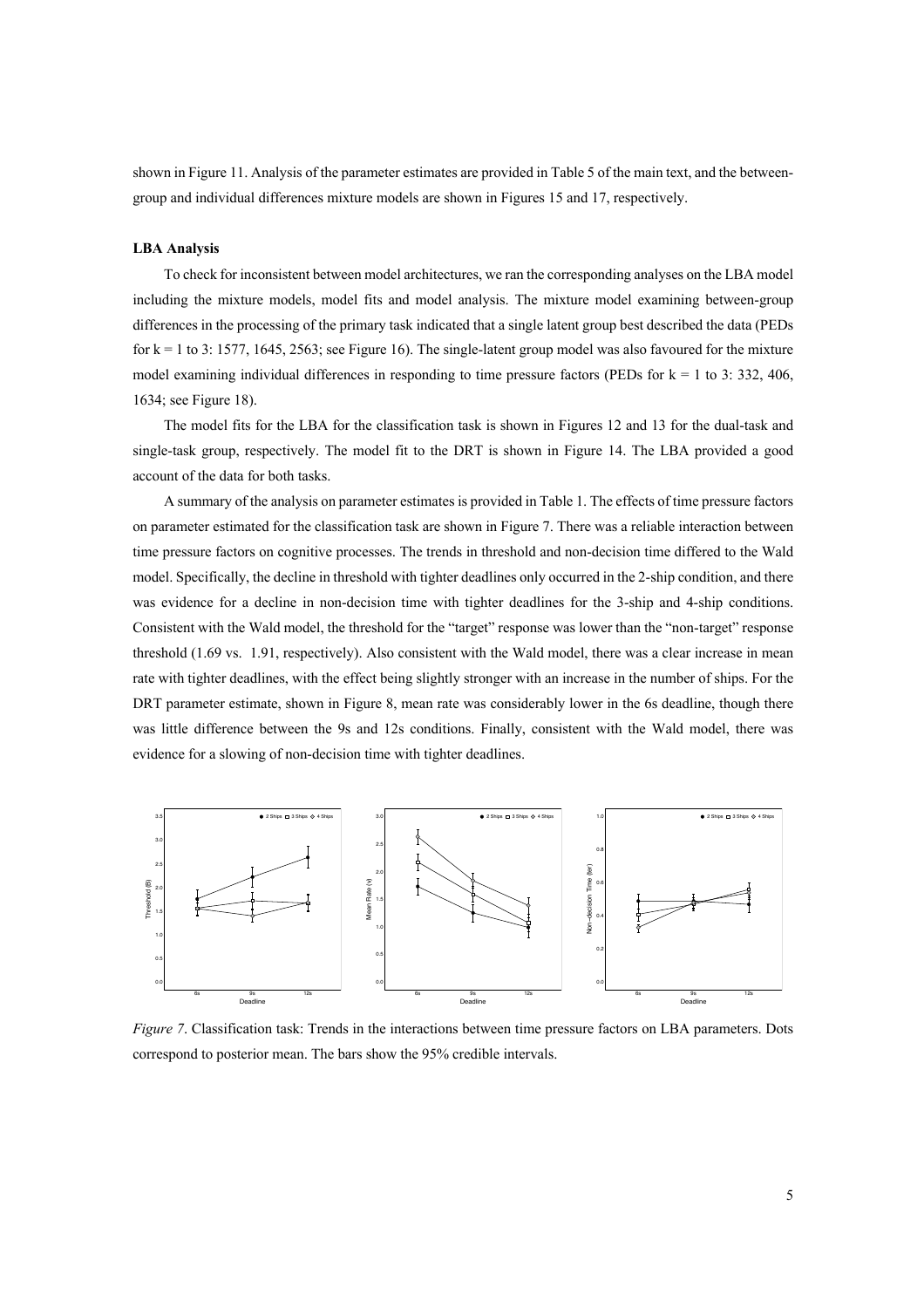shown in Figure 11. Analysis of the parameter estimates are provided in Table 5 of the main text, and the betweengroup and individual differences mixture models are shown in Figures 15 and 17, respectively.

#### **LBA Analysis**

To check for inconsistent between model architectures, we ran the corresponding analyses on the LBA model including the mixture models, model fits and model analysis. The mixture model examining between-group differences in the processing of the primary task indicated that a single latent group best described the data (PEDs for  $k = 1$  to 3: 1577, 1645, 2563; see Figure 16). The single-latent group model was also favoured for the mixture model examining individual differences in responding to time pressure factors (PEDs for  $k = 1$  to 3: 332, 406, 1634; see Figure 18).

The model fits for the LBA for the classification task is shown in Figures 12 and 13 for the dual-task and single-task group, respectively. The model fit to the DRT is shown in Figure 14. The LBA provided a good account of the data for both tasks.

A summary of the analysis on parameter estimates is provided in Table 1. The effects of time pressure factors on parameter estimated for the classification task are shown in Figure 7. There was a reliable interaction between time pressure factors on cognitive processes. The trends in threshold and non-decision time differed to the Wald model. Specifically, the decline in threshold with tighter deadlines only occurred in the 2-ship condition, and there was evidence for a decline in non-decision time with tighter deadlines for the 3-ship and 4-ship conditions. Consistent with the Wald model, the threshold for the "target" response was lower than the "non-target" response threshold (1.69 vs. 1.91, respectively). Also consistent with the Wald model, there was a clear increase in mean rate with tighter deadlines, with the effect being slightly stronger with an increase in the number of ships. For the DRT parameter estimate, shown in Figure 8, mean rate was considerably lower in the 6s deadline, though there was little difference between the 9s and 12s conditions. Finally, consistent with the Wald model, there was evidence for a slowing of non-decision time with tighter deadlines.



*Figure 7*. Classification task: Trends in the interactions between time pressure factors on LBA parameters. Dots correspond to posterior mean. The bars show the 95% credible intervals.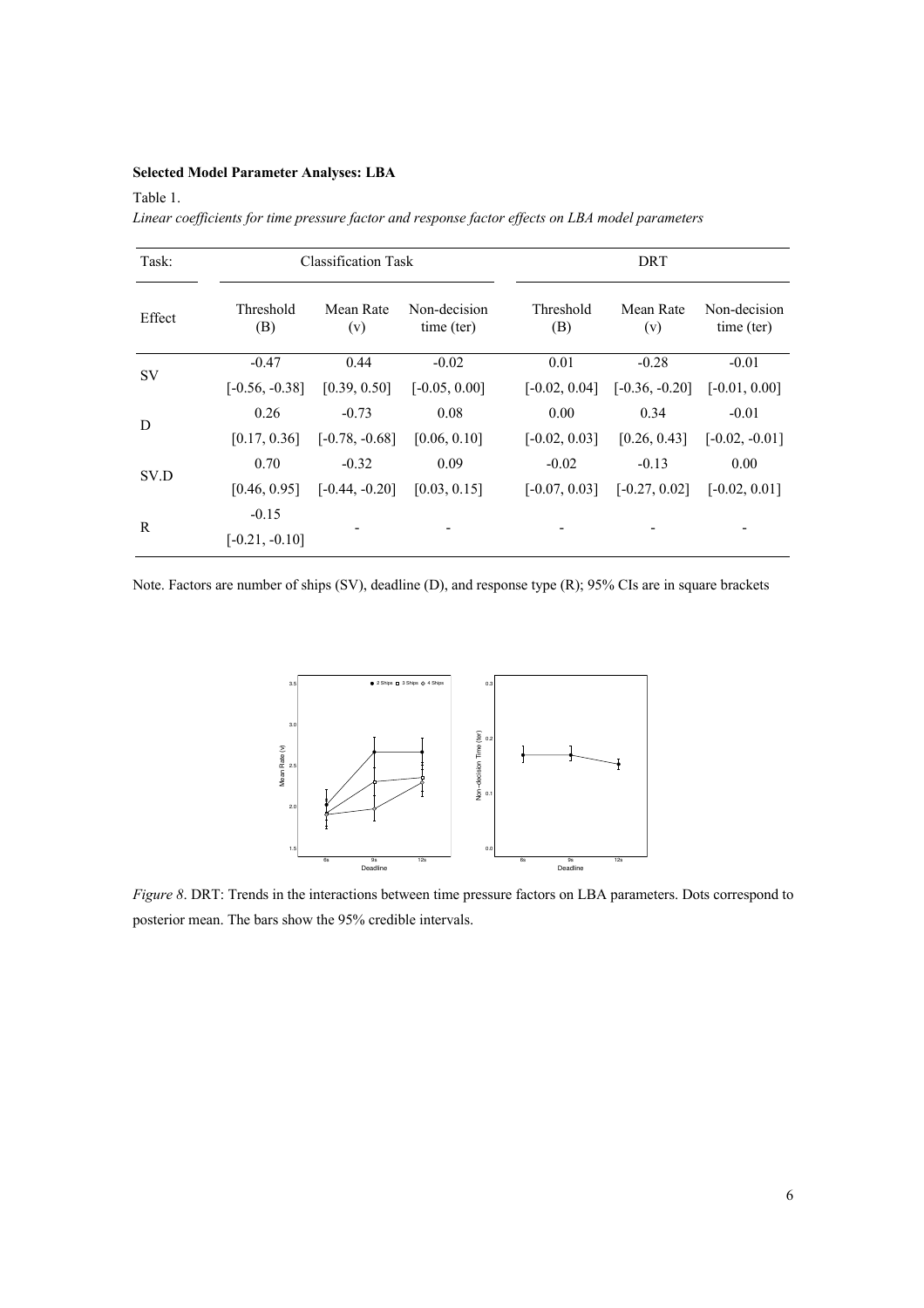## **Selected Model Parameter Analyses: LBA**

## Table 1.

*Linear coefficients for time pressure factor and response factor effects on LBA model parameters* 

| Task:     |                  | Classification Task |                 | DRT              |                                 |                            |  |
|-----------|------------------|---------------------|-----------------|------------------|---------------------------------|----------------------------|--|
| Effect    | Threshold<br>(B) | Mean Rate<br>(v)    |                 | Threshold<br>(B) | Mean Rate<br>(v)                | Non-decision<br>time (ter) |  |
| <b>SV</b> | $-0.47$          | 0.44                | $-0.02$         | 0.01             | $-0.28$                         | $-0.01$                    |  |
|           | $[-0.56, -0.38]$ | [0.39, 0.50]        | $[-0.05, 0.00]$ | $[-0.02, 0.04]$  | $[-0.36, -0.20]$                | $[-0.01, 0.00]$            |  |
|           | 0.26             | $-0.73$             | 0.08            | 0.00             | 0.34                            | $-0.01$                    |  |
| D         | [0.17, 0.36]     | $[-0.78, -0.68]$    | [0.06, 0.10]    | $[-0.02, 0.03]$  | [0.26, 0.43]                    | $[-0.02, -0.01]$           |  |
|           | 0.70             | $-0.32$             | 0.09            | $-0.02$          | $-0.13$                         | 0.00                       |  |
| SV.D      | [0.46, 0.95]     | $[-0.44, -0.20]$    | [0.03, 0.15]    |                  | $[-0.07, 0.03]$ $[-0.27, 0.02]$ | $[-0.02, 0.01]$            |  |
|           | $-0.15$          |                     |                 |                  |                                 |                            |  |
| R         | $[-0.21, -0.10]$ |                     |                 |                  |                                 |                            |  |

Note. Factors are number of ships (SV), deadline (D), and response type (R); 95% CIs are in square brackets



*Figure 8*. DRT: Trends in the interactions between time pressure factors on LBA parameters. Dots correspond to posterior mean. The bars show the 95% credible intervals.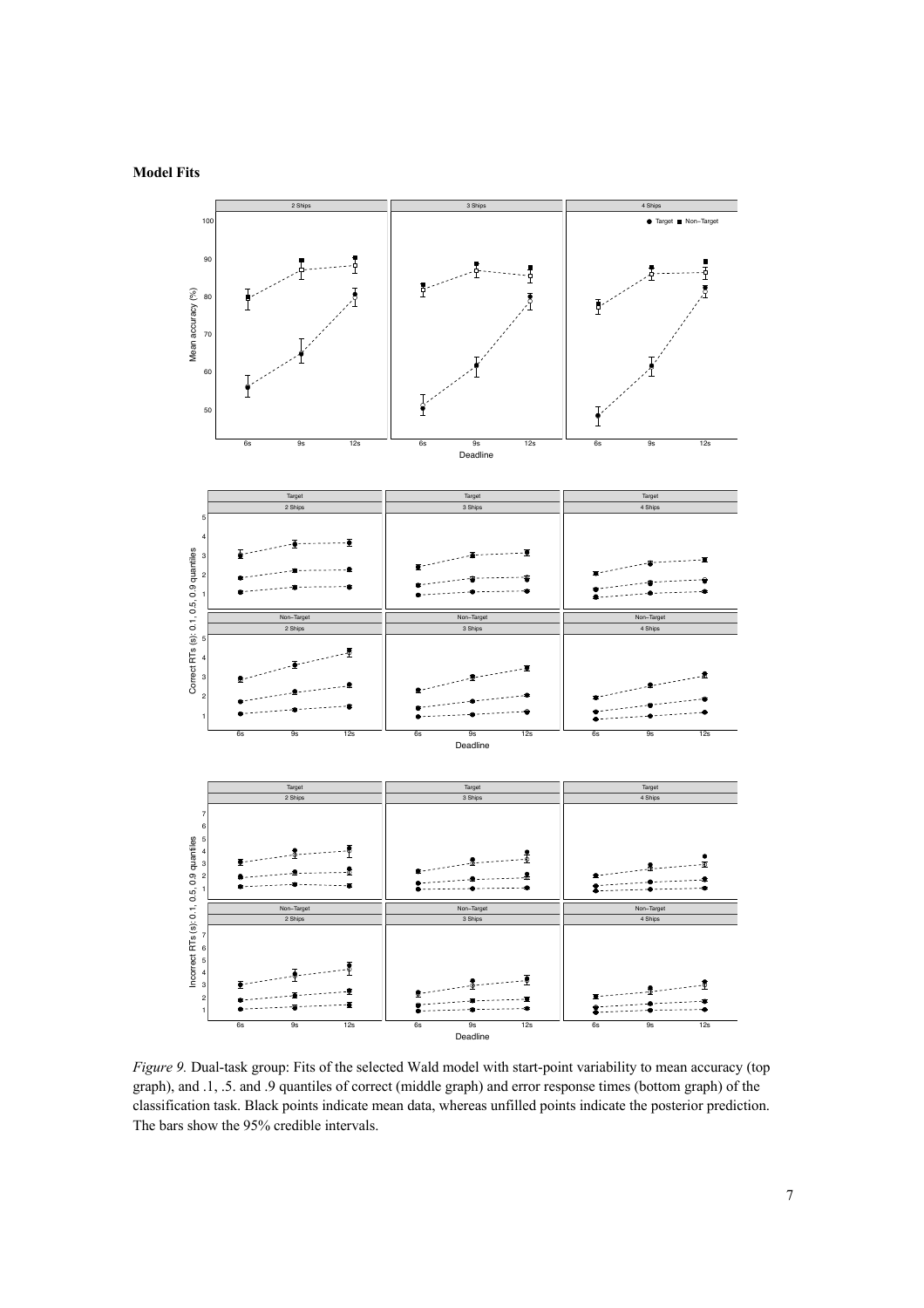

*Figure 9.* Dual-task group: Fits of the selected Wald model with start-point variability to mean accuracy (top graph), and .1, .5. and .9 quantiles of correct (middle graph) and error response times (bottom graph) of the classification task. Black points indicate mean data, whereas unfilled points indicate the posterior prediction. The bars show the 95% credible intervals.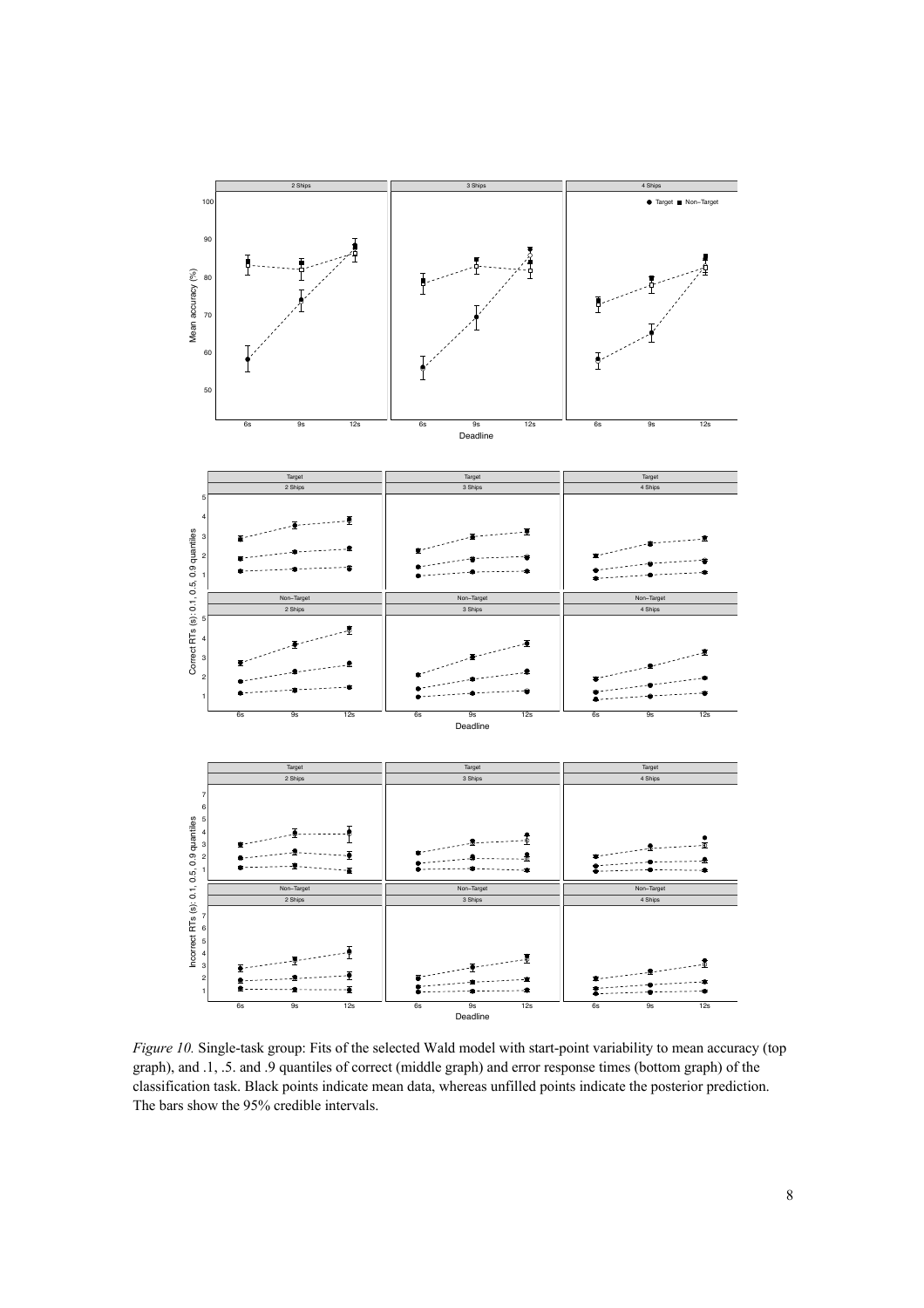

*Figure 10.* Single-task group: Fits of the selected Wald model with start-point variability to mean accuracy (top graph), and .1, .5. and .9 quantiles of correct (middle graph) and error response times (bottom graph) of the classification task. Black points indicate mean data, whereas unfilled points indicate the posterior prediction. The bars show the 95% credible intervals.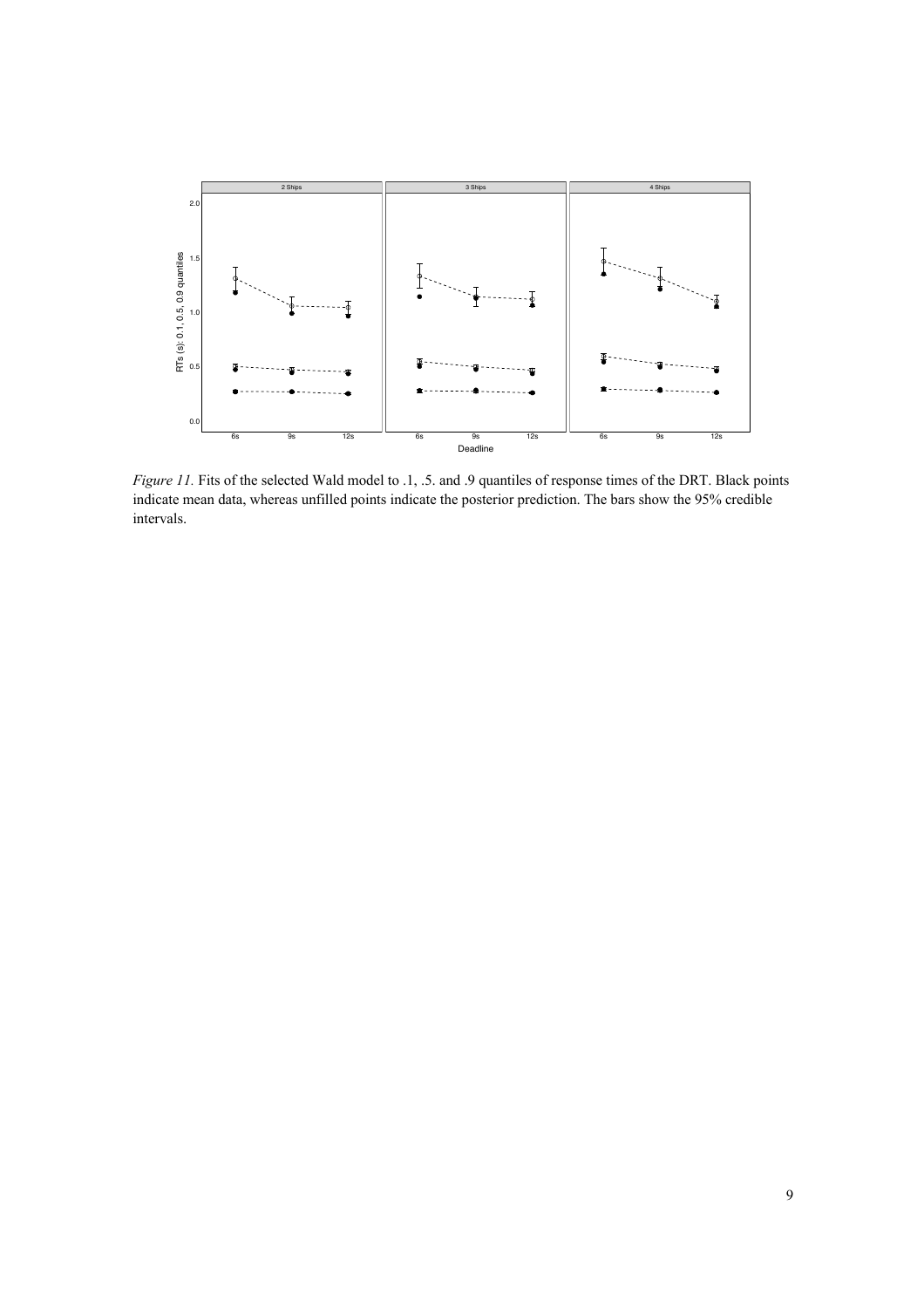

*Figure 11.* Fits of the selected Wald model to .1, .5. and .9 quantiles of response times of the DRT. Black points indicate mean data, whereas unfilled points indicate the posterior prediction. The bars show the 95% credible intervals.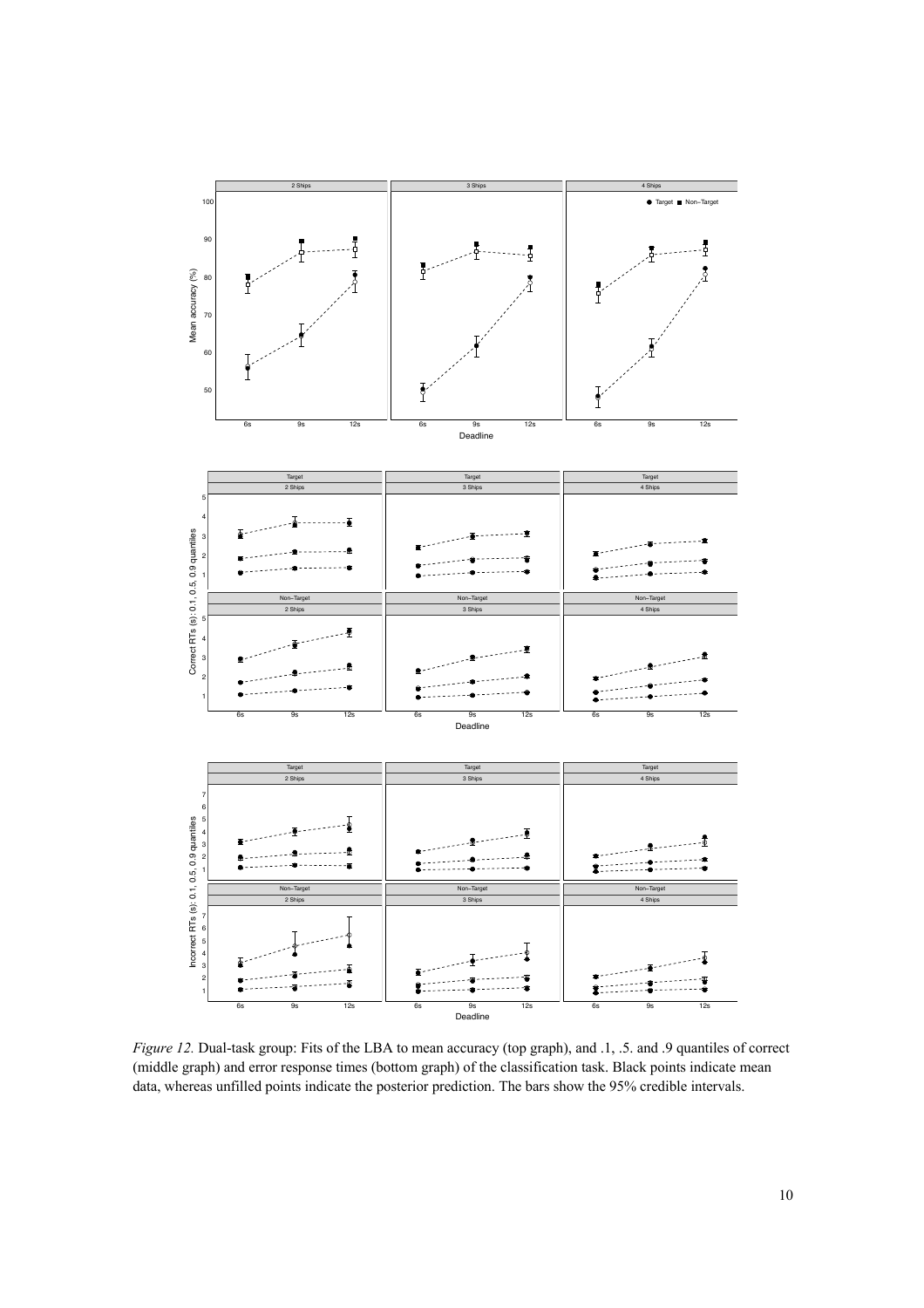

*Figure 12.* Dual-task group: Fits of the LBA to mean accuracy (top graph), and .1, .5. and .9 quantiles of correct (middle graph) and error response times (bottom graph) of the classification task. Black points indicate mean data, whereas unfilled points indicate the posterior prediction. The bars show the 95% credible intervals.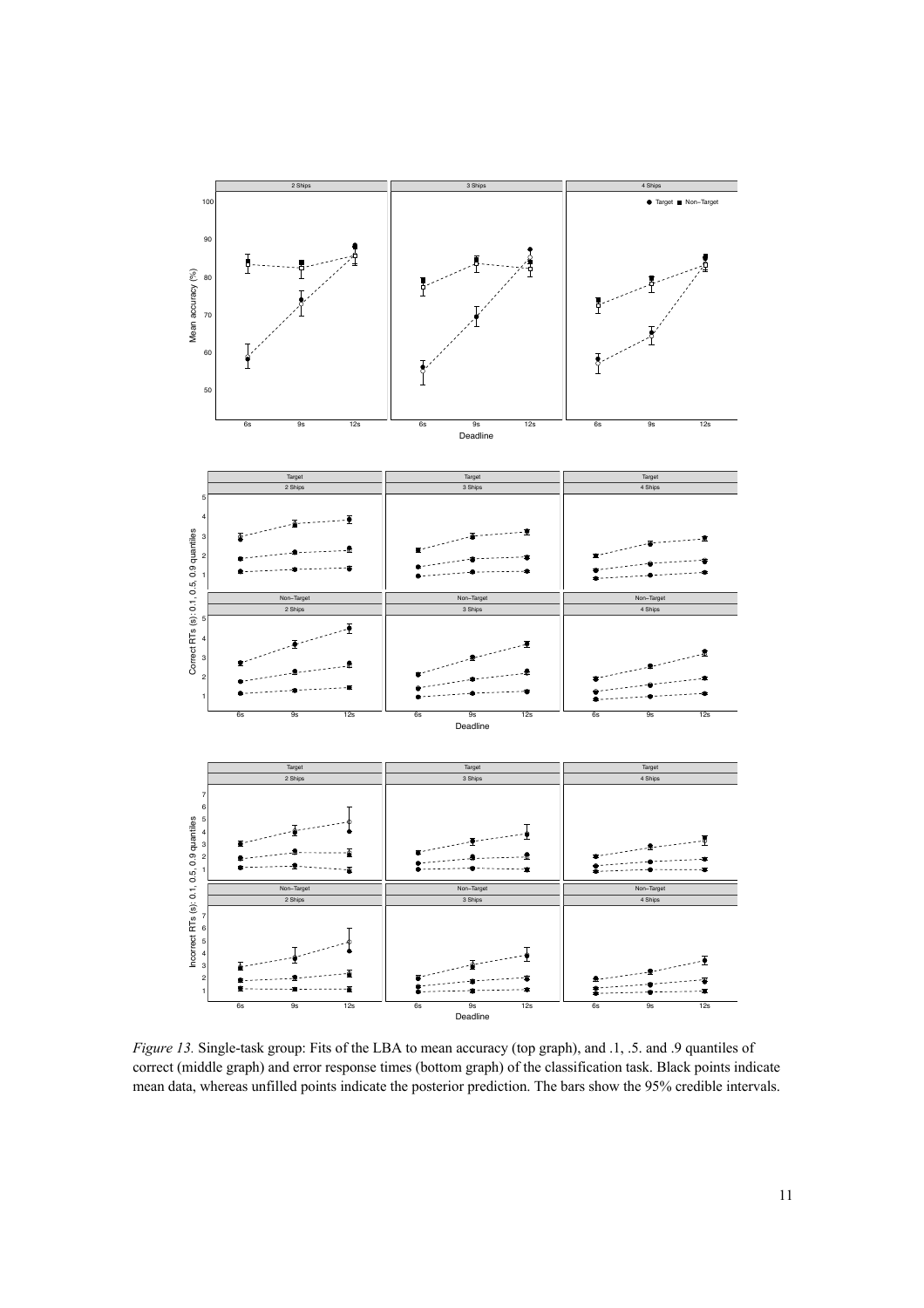

*Figure 13.* Single-task group: Fits of the LBA to mean accuracy (top graph), and .1, .5. and .9 quantiles of correct (middle graph) and error response times (bottom graph) of the classification task. Black points indicate mean data, whereas unfilled points indicate the posterior prediction. The bars show the 95% credible intervals.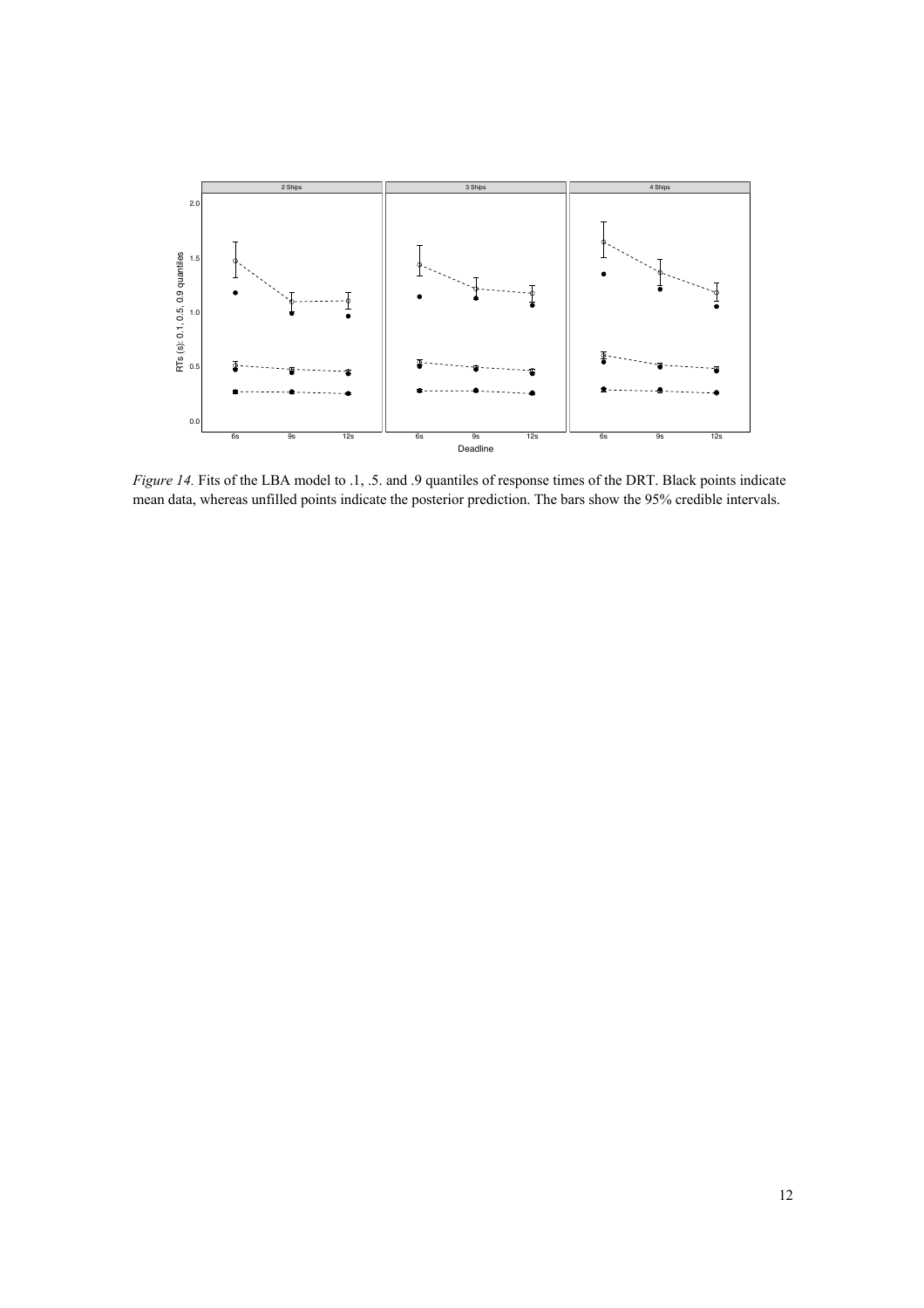

*Figure 14.* Fits of the LBA model to .1, .5. and .9 quantiles of response times of the DRT. Black points indicate mean data, whereas unfilled points indicate the posterior prediction. The bars show the 95% credible intervals.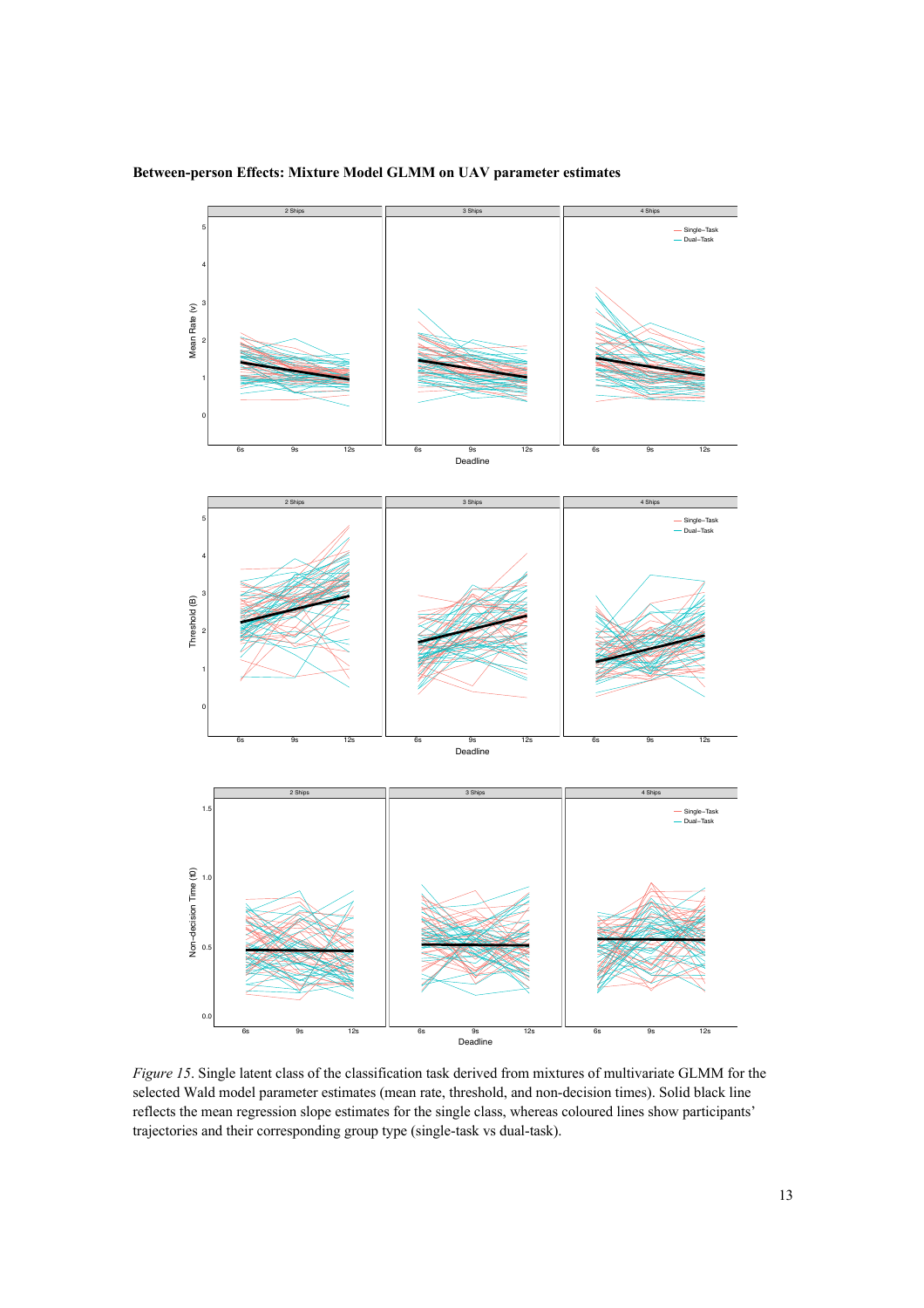

## **Between-person Effects: Mixture Model GLMM on UAV parameter estimates**

0



*Figure 15*. Single latent class of the classification task derived from mixtures of multivariate GLMM for the selected Wald model parameter estimates (mean rate, threshold, and non-decision times). Solid black line reflects the mean regression slope estimates for the single class, whereas coloured lines show participants' trajectories and their corresponding group type (single-task vs dual-task).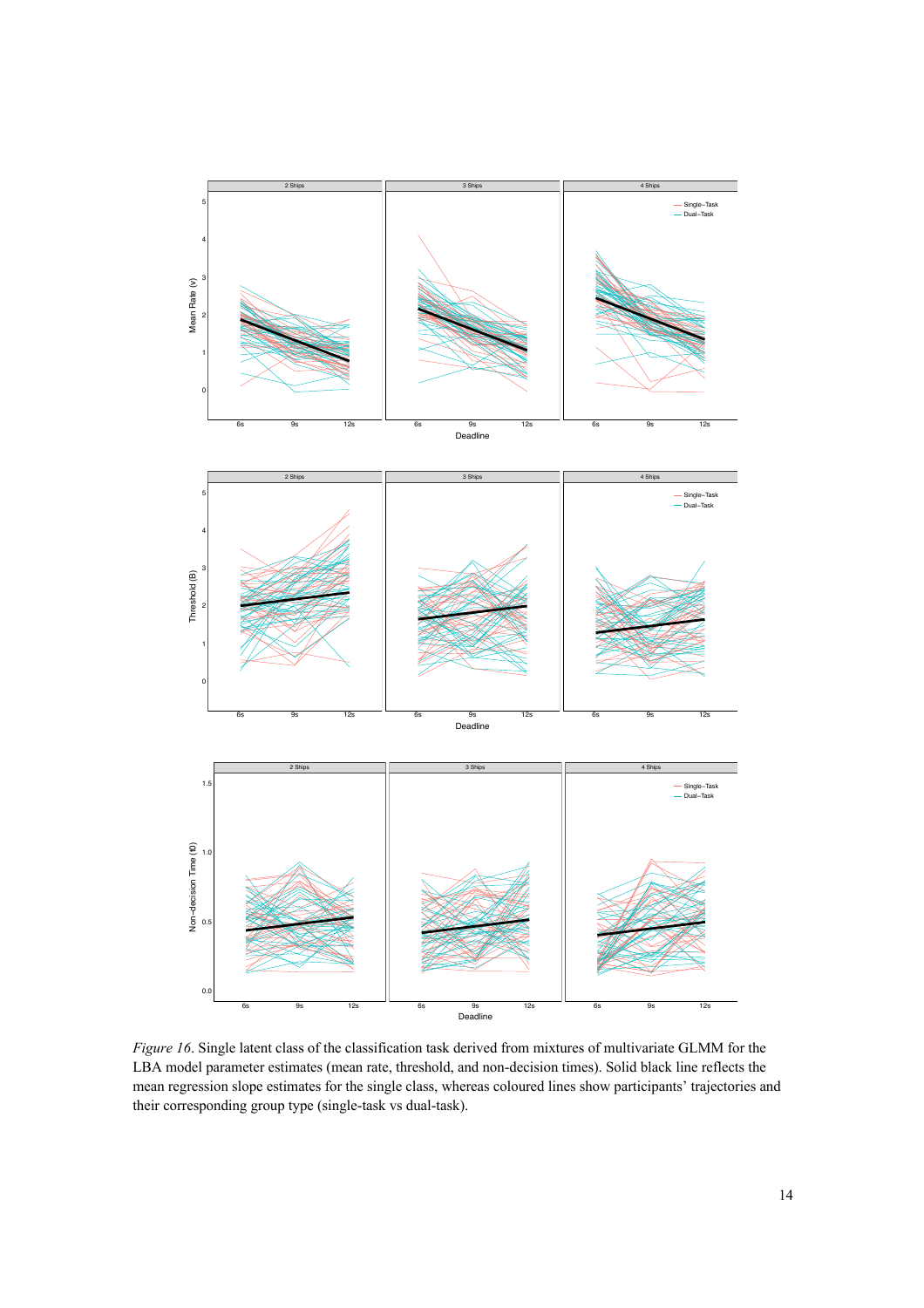

*Figure 16*. Single latent class of the classification task derived from mixtures of multivariate GLMM for the LBA model parameter estimates (mean rate, threshold, and non-decision times). Solid black line reflects the mean regression slope estimates for the single class, whereas coloured lines show participants' trajectories and their corresponding group type (single-task vs dual-task).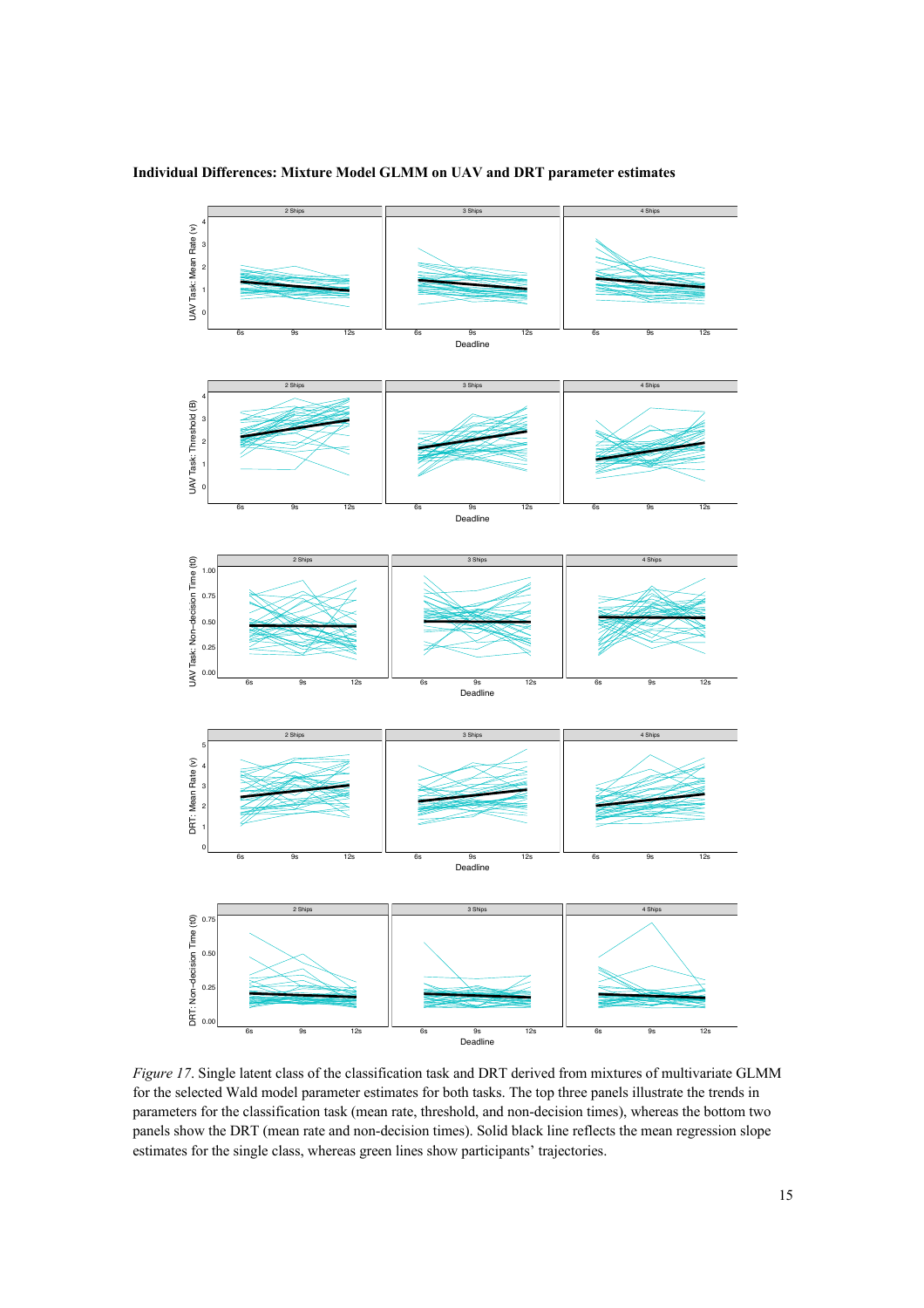## **Individual Differences: Mixture Model GLMM on UAV and DRT parameter estimates**



*Figure 17*. Single latent class of the classification task and DRT derived from mixtures of multivariate GLMM for the selected Wald model parameter estimates for both tasks. The top three panels illustrate the trends in parameters for the classification task (mean rate, threshold, and non-decision times), whereas the bottom two panels show the DRT (mean rate and non-decision times). Solid black line reflects the mean regression slope estimates for the single class, whereas green lines show participants' trajectories.